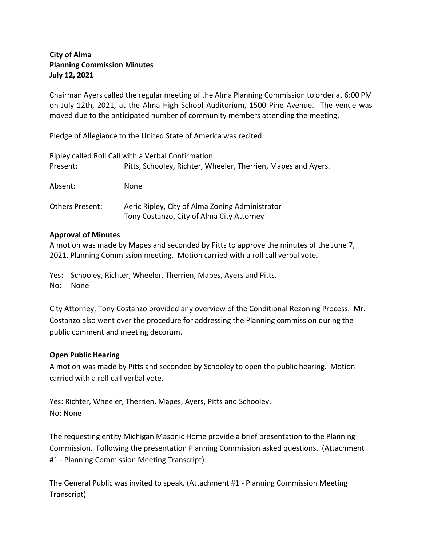## **City of Alma Planning Commission Minutes July 12, 2021**

Chairman Ayers called the regular meeting of the Alma Planning Commission to order at 6:00 PM on July 12th, 2021, at the Alma High School Auditorium, 1500 Pine Avenue. The venue was moved due to the anticipated number of community members attending the meeting.

Pledge of Allegiance to the United State of America was recited.

|                        | Ripley called Roll Call with a Verbal Confirmation                                           |
|------------------------|----------------------------------------------------------------------------------------------|
| Present:               | Pitts, Schooley, Richter, Wheeler, Therrien, Mapes and Ayers.                                |
| Absent:                | None                                                                                         |
| <b>Others Present:</b> | Aeric Ripley, City of Alma Zoning Administrator<br>Tony Costanzo, City of Alma City Attorney |

## **Approval of Minutes**

A motion was made by Mapes and seconded by Pitts to approve the minutes of the June 7, 2021, Planning Commission meeting. Motion carried with a roll call verbal vote.

Yes: Schooley, Richter, Wheeler, Therrien, Mapes, Ayers and Pitts. No: None

City Attorney, Tony Costanzo provided any overview of the Conditional Rezoning Process. Mr. Costanzo also went over the procedure for addressing the Planning commission during the public comment and meeting decorum.

### **Open Public Hearing**

A motion was made by Pitts and seconded by Schooley to open the public hearing. Motion carried with a roll call verbal vote.

Yes: Richter, Wheeler, Therrien, Mapes, Ayers, Pitts and Schooley. No: None

The requesting entity Michigan Masonic Home provide a brief presentation to the Planning Commission. Following the presentation Planning Commission asked questions. (Attachment #1 - Planning Commission Meeting Transcript)

The General Public was invited to speak. (Attachment #1 - Planning Commission Meeting Transcript)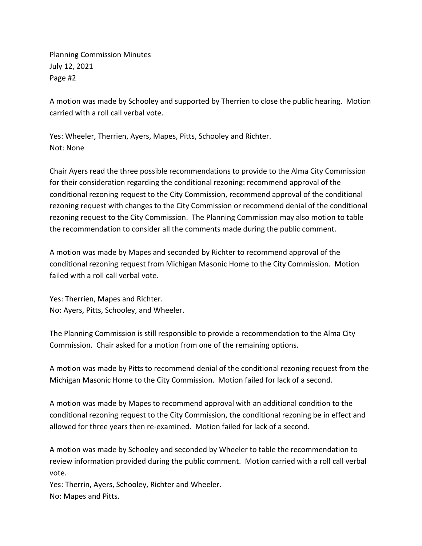Planning Commission Minutes July 12, 2021 Page #2

A motion was made by Schooley and supported by Therrien to close the public hearing. Motion carried with a roll call verbal vote.

Yes: Wheeler, Therrien, Ayers, Mapes, Pitts, Schooley and Richter. Not: None

Chair Ayers read the three possible recommendations to provide to the Alma City Commission for their consideration regarding the conditional rezoning: recommend approval of the conditional rezoning request to the City Commission, recommend approval of the conditional rezoning request with changes to the City Commission or recommend denial of the conditional rezoning request to the City Commission. The Planning Commission may also motion to table the recommendation to consider all the comments made during the public comment.

A motion was made by Mapes and seconded by Richter to recommend approval of the conditional rezoning request from Michigan Masonic Home to the City Commission. Motion failed with a roll call verbal vote.

Yes: Therrien, Mapes and Richter. No: Ayers, Pitts, Schooley, and Wheeler.

The Planning Commission is still responsible to provide a recommendation to the Alma City Commission. Chair asked for a motion from one of the remaining options.

A motion was made by Pitts to recommend denial of the conditional rezoning request from the Michigan Masonic Home to the City Commission. Motion failed for lack of a second.

A motion was made by Mapes to recommend approval with an additional condition to the conditional rezoning request to the City Commission, the conditional rezoning be in effect and allowed for three years then re-examined. Motion failed for lack of a second.

A motion was made by Schooley and seconded by Wheeler to table the recommendation to review information provided during the public comment. Motion carried with a roll call verbal vote.

Yes: Therrin, Ayers, Schooley, Richter and Wheeler. No: Mapes and Pitts.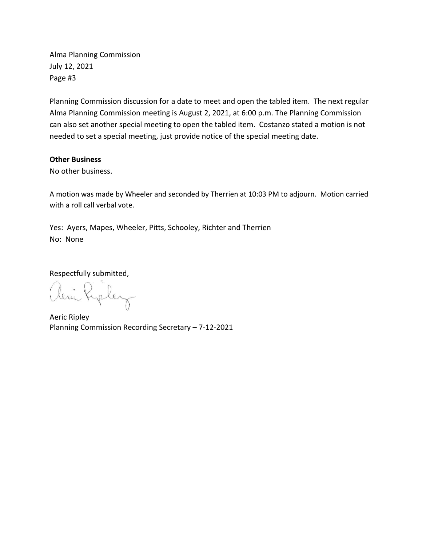Alma Planning Commission July 12, 2021 Page #3

Planning Commission discussion for a date to meet and open the tabled item. The next regular Alma Planning Commission meeting is August 2, 2021, at 6:00 p.m. The Planning Commission can also set another special meeting to open the tabled item. Costanzo stated a motion is not needed to set a special meeting, just provide notice of the special meeting date.

#### **Other Business**

No other business.

A motion was made by Wheeler and seconded by Therrien at 10:03 PM to adjourn. Motion carried with a roll call verbal vote.

Yes: Ayers, Mapes, Wheeler, Pitts, Schooley, Richter and Therrien No: None

Respectfully submitted,

Rycley

Aeric Ripley Planning Commission Recording Secretary – 7-12-2021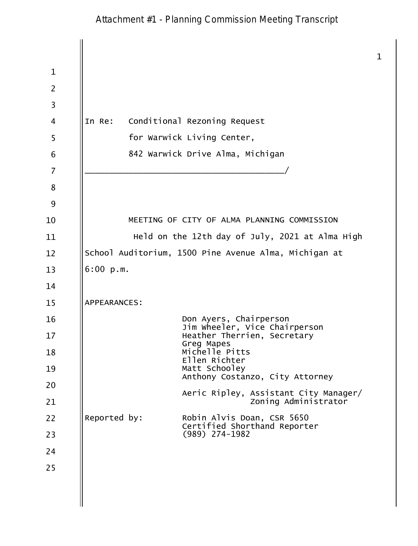# Attachment #1 - Planning Commission Meeting Transcript

 $\mathbf{1}$  $\mathbf{1}$  $\overline{2}$  $\overline{3}$ In Re: Conditional Rezoning Request  $\overline{4}$ 5 for Warwick Living Center, 842 Warwick Drive Alma, Michigan 6  $\overline{7}$ 8 9 MEETING OF CITY OF ALMA PLANNING COMMISSION 10 Held on the 12th day of July, 2021 at Alma High 11 School Auditorium, 1500 Pine Avenue Alma, Michigan at 12 13  $6:00 p.m.$ 14 15 **APPEARANCES:** Don Ayers, Chairperson 16 Jim wheeler, Vice Chairperson  $17$ Heather Therrien, Secretary Greg Mapes Michelle Pitts 18 Ellen Richter Matt Schooley 19 Anthony Costanzo, City Attorney 20 Aeric Ripley, Assistant City Manager/ Zoning Administrator 21 22 Reported by: Robin Alvis Doan, CSR 5650 Certified Shorthand Reporter  $(989)$  274-1982 23 24 25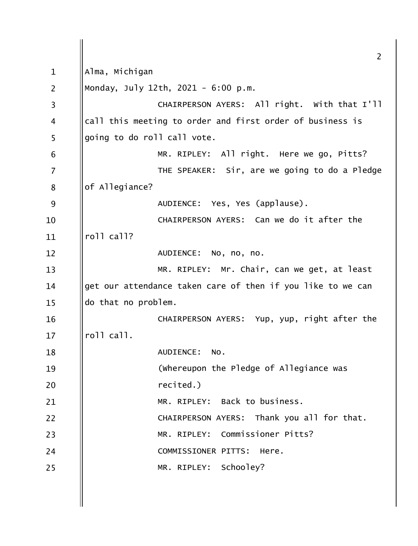$\overline{2}$ Alma, Michigan  $\mathbf{1}$  $\overline{2}$ Monday, July 12th, 2021 - 6:00 p.m. CHAIRPERSON AYERS: All right. With that I'll  $\overline{3}$ call this meeting to order and first order of business is  $\overline{4}$ 5 going to do roll call vote. MR. RIPLEY: All right. Here we go, Pitts? 6  $\overline{7}$ THE SPEAKER: Sir, are we going to do a Pledge of Allegiance? 8 9 AUDIENCE: Yes, Yes (applause). CHAIRPERSON AYERS: Can we do it after the 10 roll call? 11 AUDIENCE: No, no, no.  $12$ MR. RIPLEY: Mr. Chair, can we get, at least  $13$ get our attendance taken care of then if you like to we can  $14$ do that no problem.  $15$ CHAIRPERSON AYERS: Yup, yup, right after the 16 roll call.  $17$ AUDIENCE: 18 NO. (whereupon the Pledge of Allegiance was 19 recited.) 20 Back to business. MR. RTPIFY: 21  $22$ CHAIRPERSON AYERS: Thank you all for that. MR. RIPLEY: Commissioner Pitts? 23 24 COMMISSIONER PITTS: Here. MR. RIPLEY: Schooley? 25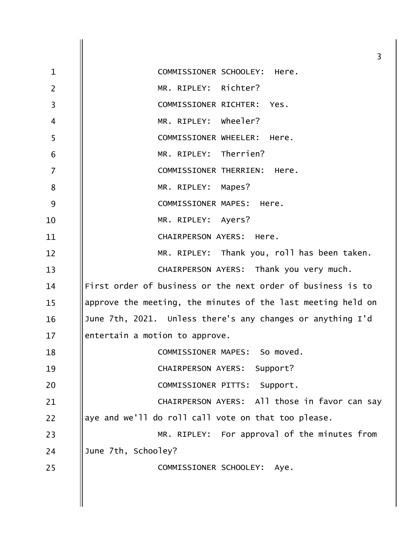|                | $\overline{3}$                                               |
|----------------|--------------------------------------------------------------|
| $\mathbf 1$    | COMMISSIONER SCHOOLEY: Here.                                 |
| $\overline{2}$ | MR. RIPLEY: Richter?                                         |
| $\overline{3}$ | COMMISSIONER RICHTER: Yes.                                   |
| $\overline{4}$ | MR. RIPLEY: Wheeler?                                         |
| 5              | COMMISSIONER WHEELER: Here.                                  |
| 6              | MR. RIPLEY: Therrien?                                        |
| $\overline{7}$ | COMMISSIONER THERRIEN:<br>Here.                              |
| 8              | MR. RIPLEY: Mapes?                                           |
| 9              | COMMISSIONER MAPES: Here.                                    |
| 10             | MR. RIPLEY: Ayers?                                           |
| 11             | CHAIRPERSON AYERS: Here.                                     |
| 12             | MR. RIPLEY: Thank you, roll has been taken.                  |
| 13             | CHAIRPERSON AYERS: Thank you very much.                      |
| 14             | First order of business or the next order of business is to  |
| 15             | approve the meeting, the minutes of the last meeting held on |
| 16             | June 7th, 2021. Unless there's any changes or anything I'd   |
| 17             | entertain a motion to approve.                               |
| 18             | COMMISSIONER MAPES: So moved.                                |
| 19             | CHAIRPERSON AYERS: Support?                                  |
| 20             | COMMISSIONER PITTS: Support.                                 |
| 21             | CHAIRPERSON AYERS: All those in favor can say                |
| 22             | aye and we'll do roll call vote on that too please.          |
| 23             | MR. RIPLEY: For approval of the minutes from                 |
| 24             | June 7th, Schooley?                                          |
| 25             | COMMISSIONER SCHOOLEY: Aye.                                  |
|                |                                                              |
|                |                                                              |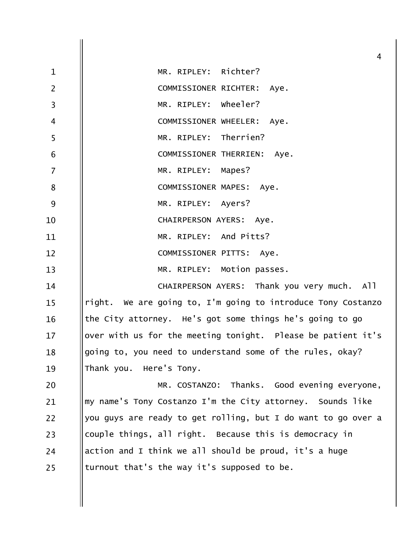| 4                                                             |
|---------------------------------------------------------------|
| MR. RIPLEY: Richter?                                          |
| COMMISSIONER RICHTER: Aye.                                    |
| MR. RIPLEY: wheeler?                                          |
| COMMISSIONER WHEELER: Aye.                                    |
| MR. RIPLEY: Therrien?                                         |
| COMMISSIONER THERRIEN: Aye.                                   |
| MR. RIPLEY: Mapes?                                            |
| COMMISSIONER MAPES: Aye.                                      |
| MR. RIPLEY: Ayers?                                            |
| CHAIRPERSON AYERS: Aye.                                       |
| MR. RIPLEY: And Pitts?                                        |
| COMMISSIONER PITTS: Aye.                                      |
| MR. RIPLEY: Motion passes.                                    |
| CHAIRPERSON AYERS: Thank you very much. All                   |
| right. We are going to, I'm going to introduce Tony Costanzo  |
| the City attorney. He's got some things he's going to go      |
| over with us for the meeting tonight. Please be patient it's  |
| going to, you need to understand some of the rules, okay?     |
| Thank you. Here's Tony.                                       |
| MR. COSTANZO: Thanks. Good evening everyone,                  |
| my name's Tony Costanzo I'm the City attorney. Sounds like    |
| you guys are ready to get rolling, but I do want to go over a |
| couple things, all right. Because this is democracy in        |
| action and I think we all should be proud, it's a huge        |
| turnout that's the way it's supposed to be.                   |
|                                                               |
|                                                               |
|                                                               |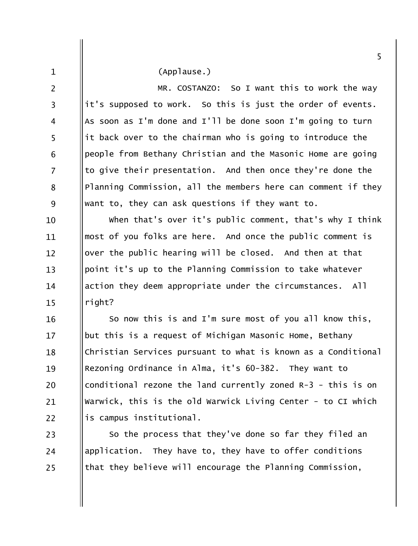|                | 5                                                             |
|----------------|---------------------------------------------------------------|
| $\mathbf{1}$   | (Applause.)                                                   |
| $\overline{2}$ | MR. COSTANZO: So I want this to work the way                  |
| 3              | it's supposed to work. So this is just the order of events.   |
| 4              | As soon as I'm done and I'll be done soon I'm going to turn   |
| 5              | it back over to the chairman who is going to introduce the    |
| 6              | people from Bethany Christian and the Masonic Home are going  |
| $\overline{7}$ | to give their presentation. And then once they're done the    |
| 8              | Planning Commission, all the members here can comment if they |
| 9              | want to, they can ask questions if they want to.              |
| 10             | when that's over it's public comment, that's why I think      |
| 11             | most of you folks are here. And once the public comment is    |
| 12             | over the public hearing will be closed. And then at that      |
| 13             | point it's up to the Planning Commission to take whatever     |
| 14             | action they deem appropriate under the circumstances. All     |
| 15             | right?                                                        |
| 16             | So now this is and I'm sure most of you all know this,        |
| 17             | but this is a request of Michigan Masonic Home, Bethany       |
| 18             | Christian Services pursuant to what is known as a Conditional |
| 19             | Rezoning Ordinance in Alma, it's 60-382. They want to         |
| 20             | conditional rezone the land currently zoned R-3 - this is on  |
| 21             | Warwick, this is the old Warwick Living Center - to CI which  |

is campus institutional.

 $22$ 

So the process that they've done so far they filed an  $23$ application. They have to, they have to offer conditions 24 that they believe will encourage the Planning Commission,  $25$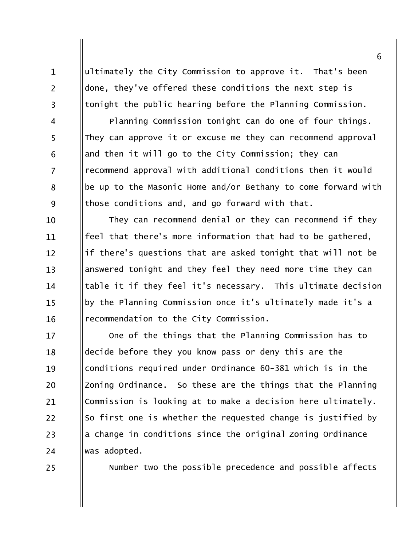ultimately the City Commission to approve it. That's been done, they've offered these conditions the next step is tonight the public hearing before the Planning Commission.

Planning Commission tonight can do one of four things. They can approve it or excuse me they can recommend approval and then it will go to the City Commission; they can recommend approval with additional conditions then it would be up to the Masonic Home and/or Bethany to come forward with those conditions and, and go forward with that.

They can recommend denial or they can recommend if they 10 feel that there's more information that had to be gathered. 11 if there's questions that are asked tonight that will not be  $12 \overline{ }$ answered tonight and they feel they need more time they can  $13$ table it if they feel it's necessary. This ultimate decision 14 by the Planning Commission once it's ultimately made it's a  $15$ recommendation to the City Commission. 16

One of the things that the Planning Commission has to  $17$ decide before they you know pass or deny this are the 18 conditions required under Ordinance 60-381 which is in the 19 Zoning Ordinance. So these are the things that the Planning 20 Commission is looking at to make a decision here ultimately. 21 22 So first one is whether the requested change is justified by a change in conditions since the original Zoning Ordinance 23 was adopted. 24

25

 $\mathbf{1}$ 

 $\overline{2}$ 

 $\overline{3}$ 

 $\overline{4}$ 

5

6

 $\overline{7}$ 

8

9

Number two the possible precedence and possible affects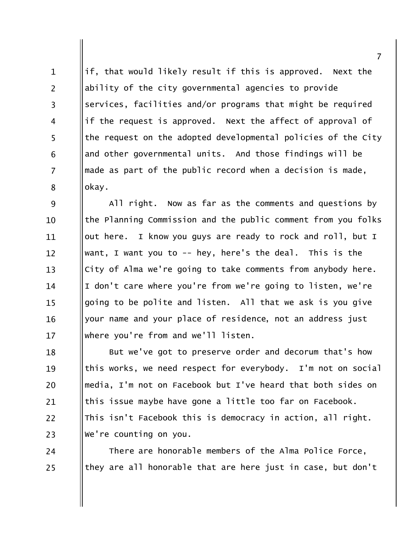if, that would likely result if this is approved. Next the  $\mathbf{1}$  $\overline{2}$ ability of the city governmental agencies to provide services, facilities and/or programs that might be required  $\overline{3}$ if the request is approved. Next the affect of approval of  $\overline{4}$ 5 the request on the adopted developmental policies of the City and other governmental units. And those findings will be 6 made as part of the public record when a decision is made,  $\overline{7}$ okay. 8

9 All right. Now as far as the comments and questions by the Planning Commission and the public comment from you folks 10 out here. I know you guys are ready to rock and roll, but I 11 want, I want you to -- hey, here's the deal. This is the  $12 \overline{ }$ City of Alma we're going to take comments from anybody here.  $13$ I don't care where you're from we're going to listen, we're 14 going to be polite and listen. All that we ask is you give  $15$ your name and your place of residence, not an address just 16 where you're from and we'll listen.  $17$ 

But we've got to preserve order and decorum that's how 18 this works, we need respect for everybody. I'm not on social 19 media, I'm not on Facebook but I've heard that both sides on 20 this issue maybe have gone a little too far on Facebook. 21 This isn't Facebook this is democracy in action, all right. 22 We're counting on you. 23

There are honorable members of the Alma Police Force, 24 they are all honorable that are here just in case, but don't 25

 $\overline{7}$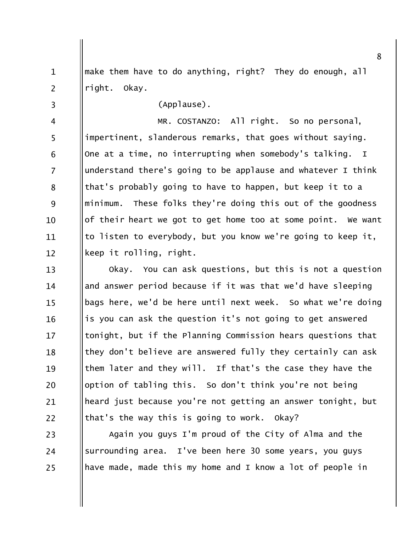make them have to do anything, right? They do enough, all  $\mathbf{1}$  $\overline{2}$ right. Okay.

 $\overline{3}$ 

(Applause).

MR. COSTANZO: All right. So no personal,  $\overline{4}$ 5 impertinent, slanderous remarks, that goes without saying. One at a time, no interrupting when somebody's talking. I 6  $\overline{7}$ understand there's going to be applause and whatever I think that's probably going to have to happen, but keep it to a 8 9 minimum. These folks they're doing this out of the goodness of their heart we got to get home too at some point. We want 10 to listen to everybody, but you know we're going to keep it, 11 keep it rolling, right.  $12 \overline{ }$ 

Okay. You can ask questions, but this is not a question  $13$ and answer period because if it was that we'd have sleeping 14 bags here, we'd be here until next week. So what we're doing  $15$ is you can ask the question it's not going to get answered 16 tonight, but if the Planning Commission hears questions that  $17$ they don't believe are answered fully they certainly can ask 18 them later and they will. If that's the case they have the 19 option of tabling this. So don't think you're not being 20 heard just because you're not getting an answer tonight, but 21 22 that's the way this is going to work. Okay?

Again you guys I'm proud of the City of Alma and the 23 surrounding area. I've been here 30 some years, you guys 24 have made, made this my home and I know a lot of people in 25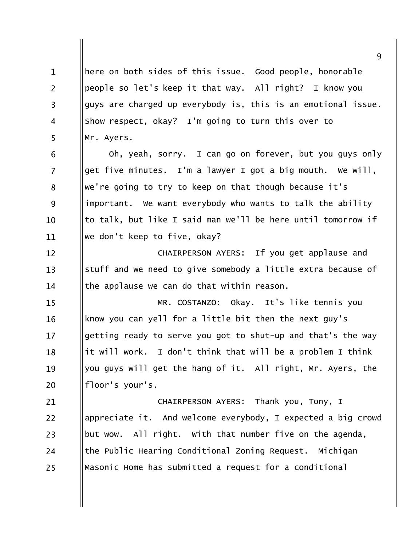here on both sides of this issue. Good people, honorable  $\mathbf{1}$ people so let's keep it that way. All right? I know you  $\overline{2}$ guys are charged up everybody is, this is an emotional issue.  $\overline{3}$ Show respect, okay? I'm going to turn this over to  $\overline{4}$ 5 Mr. Ayers.

Oh, yeah, sorry. I can go on forever, but you guys only get five minutes. I'm a lawyer I got a big mouth. We will, we're going to try to keep on that though because it's important. We want everybody who wants to talk the ability to talk, but like I said man we'll be here until tomorrow if we don't keep to five, okay?

6

 $\overline{7}$ 

8

9

10

11

CHAIRPERSON AYERS: If you get applause and  $12 \overline{ }$ stuff and we need to give somebody a little extra because of  $13$ the applause we can do that within reason. 14

MR. COSTANZO: Okay. It's like tennis you  $15$ know you can yell for a little bit then the next guy's 16 getting ready to serve you got to shut-up and that's the way  $17$ it will work. I don't think that will be a problem I think 18 you guys will get the hang of it. All right, Mr. Ayers, the 19 floor's your's. 20

CHAIRPERSON AYERS: Thank you, Tony, I 21 22 appreciate it. And welcome everybody, I expected a big crowd but wow. All right. With that number five on the agenda, 23 the Public Hearing Conditional Zoning Request. Michigan 24 Masonic Home has submitted a request for a conditional 25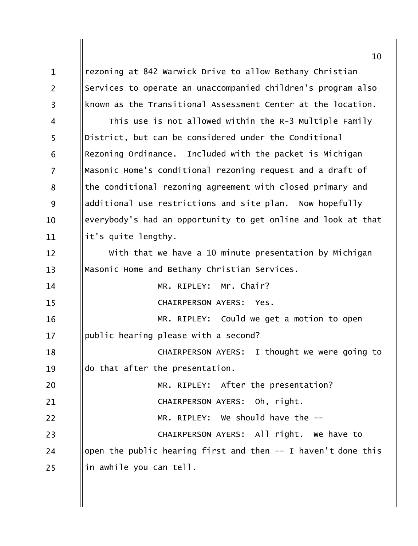rezoning at 842 Warwick Drive to allow Bethany Christian  $\mathbf{1}$  $\overline{2}$ Services to operate an unaccompanied children's program also known as the Transitional Assessment Center at the location.  $\overline{3}$ This use is not allowed within the R-3 Multiple Family  $\overline{4}$ 5 District, but can be considered under the Conditional Rezoning Ordinance. Included with the packet is Michigan 6  $\overline{7}$ Masonic Home's conditional rezoning request and a draft of the conditional rezoning agreement with closed primary and 8 9 additional use restrictions and site plan. Now hopefully everybody's had an opportunity to get online and look at that  $10<sup>1</sup>$ it's quite lengthy. 11 With that we have a 10 minute presentation by Michigan  $12 \overline{ }$ Masonic Home and Bethany Christian Services.  $13$ MR. RIPLEY: Mr. Chair?  $14$ CHAIRPERSON AYERS: Yes.  $15$ MR. RIPLEY: Could we get a motion to open 16 public hearing please with a second?  $17$ CHAIRPERSON AYERS: I thought we were going to 18 do that after the presentation. 19 MR. RIPLEY: After the presentation? 20 CHAIRPERSON AYERS: Oh, right.  $21$  $22$ MR. RIPLEY: We should have the --CHAIRPERSON AYERS: All right. We have to 23 open the public hearing first and then  $-$  I haven't done this 24 in awhile you can tell. 25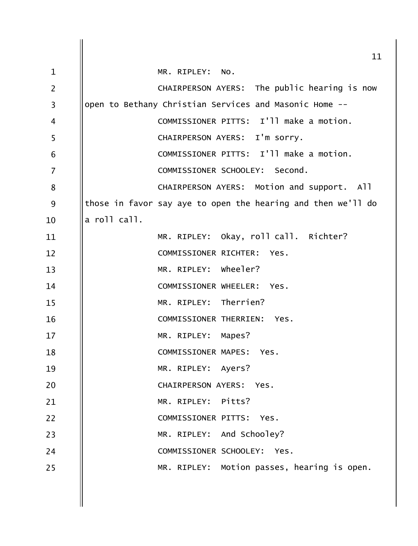|                | 11                                                           |
|----------------|--------------------------------------------------------------|
| $\mathbf{1}$   | MR. RIPLEY: NO.                                              |
| $\overline{2}$ | CHAIRPERSON AYERS: The public hearing is now                 |
| 3              | open to Bethany Christian Services and Masonic Home --       |
| 4              | COMMISSIONER PITTS: I'll make a motion.                      |
| 5              | CHAIRPERSON AYERS: I'm sorry.                                |
| 6              | COMMISSIONER PITTS: I'll make a motion.                      |
| $\overline{7}$ | COMMISSIONER SCHOOLEY: Second.                               |
| 8              | CHAIRPERSON AYERS: Motion and support. All                   |
| 9              | those in favor say aye to open the hearing and then we'll do |
| 10             | a roll call.                                                 |
| 11             | MR. RIPLEY: Okay, roll call. Richter?                        |
| 12             | COMMISSIONER RICHTER:<br>Yes.                                |
| 13             | MR. RIPLEY: Wheeler?                                         |
| 14             | COMMISSIONER WHEELER:<br>Yes.                                |
| 15             | MR. RIPLEY: Therrien?                                        |
| 16             | COMMISSIONER THERRIEN:<br>Yes.                               |
| 17             | MR. RIPLEY: Mapes?                                           |
| 18             | COMMISSIONER MAPES: Yes.                                     |
| 19             | MR. RIPLEY: Ayers?                                           |
| 20             | CHAIRPERSON AYERS: Yes.                                      |
| 21             | MR. RIPLEY: Pitts?                                           |
| 22             | COMMISSIONER PITTS: Yes.                                     |
| 23             | MR. RIPLEY: And Schooley?                                    |
| 24             | COMMISSIONER SCHOOLEY: Yes.                                  |
| 25             | MR. RIPLEY: Motion passes, hearing is open.                  |
|                |                                                              |
|                |                                                              |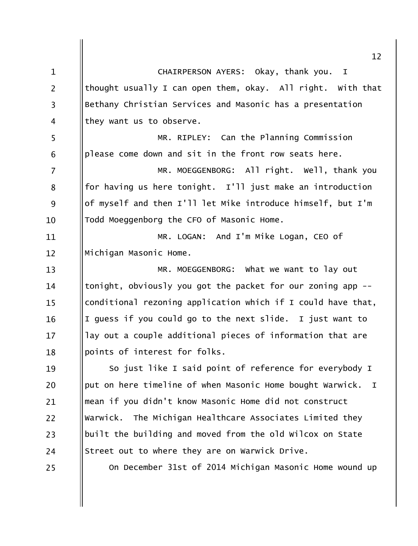|                | 12                                                                        |
|----------------|---------------------------------------------------------------------------|
| $\mathbf{1}$   | CHAIRPERSON AYERS: Okay, thank you. I                                     |
| $\overline{2}$ | thought usually I can open them, okay. All right. With that               |
| $\overline{3}$ | Bethany Christian Services and Masonic has a presentation                 |
| 4              | they want us to observe.                                                  |
| 5              | MR. RIPLEY: Can the Planning Commission                                   |
| 6              | please come down and sit in the front row seats here.                     |
| 7              | MR. MOEGGENBORG: All right. Well, thank you                               |
| 8              | for having us here tonight. I'll just make an introduction                |
| 9              | of myself and then I'll let Mike introduce himself, but I'm               |
| 10             | Todd Moeggenborg the CFO of Masonic Home.                                 |
| 11             | MR. LOGAN: And I'm Mike Logan, CEO of                                     |
| 12             | Michigan Masonic Home.                                                    |
| 13             | MR. MOEGGENBORG: What we want to lay out                                  |
| 14             | tonight, obviously you got the packet for our zoning app --               |
| 15             | conditional rezoning application which if I could have that,              |
| 16             | I guess if you could go to the next slide. I just want to                 |
| 17             | lay out a couple additional pieces of information that are                |
| 18             | points of interest for folks.                                             |
| 19             | So just like I said point of reference for everybody I                    |
| 20             | put on here timeline of when Masonic Home bought Warwick.<br>$\mathbf{I}$ |
| 21             | mean if you didn't know Masonic Home did not construct                    |
| 22             | Warwick. The Michigan Healthcare Associates Limited they                  |
| 23             | built the building and moved from the old wilcox on State                 |
| 24             | Street out to where they are on Warwick Drive.                            |
| 25             | On December 31st of 2014 Michigan Masonic Home wound up                   |
|                |                                                                           |
|                |                                                                           |
|                |                                                                           |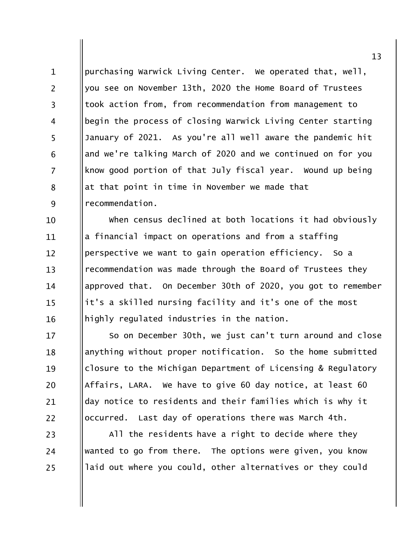purchasing Warwick Living Center. We operated that, well,  $\mathbf{1}$  $\overline{2}$ you see on November 13th, 2020 the Home Board of Trustees took action from, from recommendation from management to  $\overline{3}$ begin the process of closing Warwick Living Center starting  $\overline{4}$ 5 January of 2021. As you're all well aware the pandemic hit and we're talking March of 2020 and we continued on for you 6  $\overline{7}$ know good portion of that July fiscal year. Wound up being at that point in time in November we made that 8 9 recommendation.

When census declined at both locations it had obviously 10 a financial impact on operations and from a staffing 11 perspective we want to gain operation efficiency. So a  $12 \overline{ }$ recommendation was made through the Board of Trustees they  $13$ approved that. On December 30th of 2020, you got to remember 14 it's a skilled nursing facility and it's one of the most  $15$ highly regulated industries in the nation. 16

So on December 30th, we just can't turn around and close  $17$ anything without proper notification. So the home submitted 18 closure to the Michigan Department of Licensing & Regulatory 19 Affairs, LARA. We have to give 60 day notice, at least 60 20 day notice to residents and their families which is why it 21 occurred. Last day of operations there was March 4th. 22

All the residents have a right to decide where they wanted to go from there. The options were given, you know laid out where you could, other alternatives or they could

23

24

25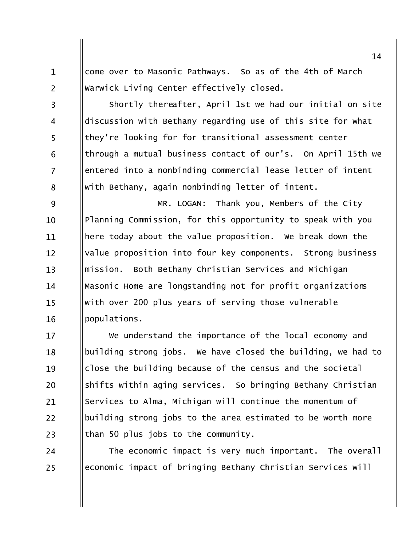come over to Masonic Pathways. So as of the 4th of March Warwick Living Center effectively closed.

 $\mathbf{1}$ 

 $\overline{2}$ 

 $\overline{3}$ 

 $\overline{4}$ 

5

6

 $\overline{7}$ 

8

Shortly thereafter, April 1st we had our initial on site discussion with Bethany regarding use of this site for what they're looking for for transitional assessment center through a mutual business contact of our's. On April 15th we entered into a nonbinding commercial lease letter of intent with Bethany, again nonbinding letter of intent.

9 MR. LOGAN: Thank you, Members of the City Planning Commission, for this opportunity to speak with you  $10<sup>1</sup>$ here today about the value proposition. We break down the 11 value proposition into four key components. Strong business  $12 \overline{ }$ mission. Both Bethany Christian Services and Michigan  $13$ Masonic Home are longstanding not for profit organizations 14 with over 200 plus years of serving those vulnerable  $15$ populations. 16

We understand the importance of the local economy and  $17$ building strong jobs. We have closed the building, we had to 18 close the building because of the census and the societal 19 shifts within aging services. So bringing Bethany Christian 20 Services to Alma, Michigan will continue the momentum of 21  $22$ building strong jobs to the area estimated to be worth more than 50 plus jobs to the community. 23

The economic impact is very much important. The overall 24 economic impact of bringing Bethany Christian Services will 25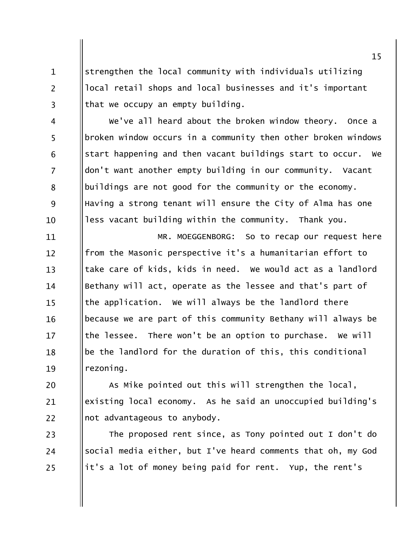strengthen the local community with individuals utilizing local retail shops and local businesses and it's important that we occupy an empty building.

 $\mathbf{1}$ 

 $\overline{2}$ 

 $\overline{3}$ 

We've all heard about the broken window theory. Once a  $\overline{4}$ 5 broken window occurs in a community then other broken windows start happening and then vacant buildings start to occur. We 6  $\overline{7}$ don't want another empty building in our community. Vacant buildings are not good for the community or the economy. 8 9 Having a strong tenant will ensure the City of Alma has one less vacant building within the community. Thank you.  $10<sup>1</sup>$ 

11 MR. MOEGGENBORG: So to recap our request here from the Masonic perspective it's a humanitarian effort to  $12 \overline{ }$ take care of kids, kids in need. We would act as a landlord  $13$ Bethany will act, operate as the lessee and that's part of 14 the application. We will always be the landlord there  $15$ because we are part of this community Bethany will always be 16 the lessee. There won't be an option to purchase. We will  $17$ be the landlord for the duration of this, this conditional 18 rezoning. 19

As Mike pointed out this will strengthen the local, 20 existing local economy. As he said an unoccupied building's 21  $22$ not advantageous to anybody.

The proposed rent since, as Tony pointed out I don't do 23 social media either, but I've heard comments that oh, my God 24 it's a lot of money being paid for rent. Yup, the rent's 25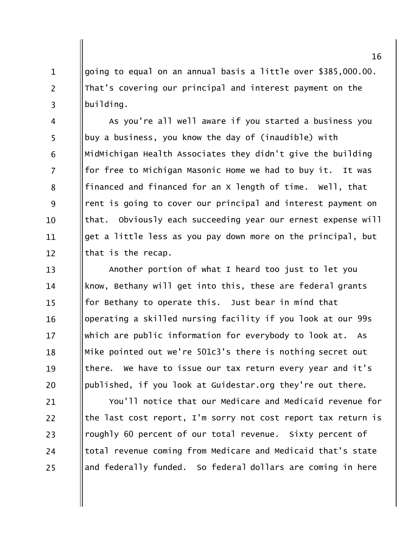going to equal on an annual basis a little over \$385,000.00. That's covering our principal and interest payment on the building.

 $\mathbf{1}$ 

 $\overline{2}$ 

 $\overline{3}$ 

As you're all well aware if you started a business you  $\overline{4}$ 5 buy a business, you know the day of (inaudible) with MidMichigan Health Associates they didn't give the building 6  $\overline{7}$ for free to Michigan Masonic Home we had to buy it. It was financed and financed for an x length of time. Well, that 8 9 rent is going to cover our principal and interest payment on that. Obviously each succeeding year our ernest expense will 10 get a little less as you pay down more on the principal, but 11 that is the recap.  $12 \overline{ }$ 

Another portion of what I heard too just to let you  $13$ know, Bethany will get into this, these are federal grants 14 for Bethany to operate this. Just bear in mind that  $15$ operating a skilled nursing facility if you look at our 99s 16 which are public information for everybody to look at. As  $17$ Mike pointed out we're 501c3's there is nothing secret out 18 there. We have to issue our tax return every year and it's 19 published, if you look at Guidestar.org they're out there. 20

You'll notice that our Medicare and Medicaid revenue for 21 22 the last cost report, I'm sorry not cost report tax return is roughly 60 percent of our total revenue. Sixty percent of 23 total revenue coming from Medicare and Medicaid that's state 24 and federally funded. So federal dollars are coming in here 25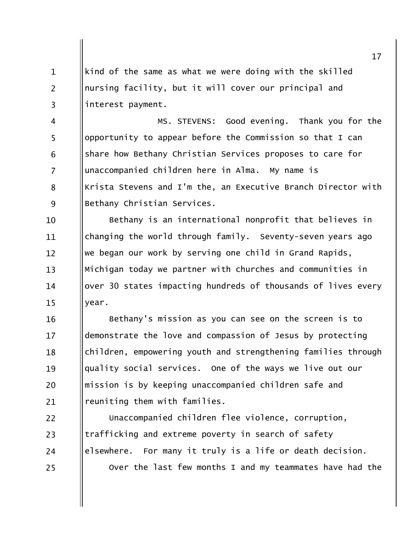kind of the same as what we were doing with the skilled nursing facility, but it will cover our principal and interest payment.

 $\mathbf{1}$ 

 $\overline{2}$ 

 $\overline{3}$ 

MS. STEVENS: Good evening. Thank you for the  $\overline{4}$ 5 opportunity to appear before the Commission so that I can share how Bethany Christian Services proposes to care for 6  $\overline{7}$ unaccompanied children here in Alma. My name is Krista Stevens and I'm the, an Executive Branch Director with 8 9 Bethany Christian Services.

Bethany is an international nonprofit that believes in 10 changing the world through family. Seventy-seven years ago 11 we began our work by serving one child in Grand Rapids,  $12<sup>1</sup>$  $13$ Michigan today we partner with churches and communities in over 30 states impacting hundreds of thousands of lives every 14  $15$ year.

Bethany's mission as you can see on the screen is to 16 demonstrate the love and compassion of Jesus by protecting  $17$ children, empowering youth and strengthening families through 18 quality social services. One of the ways we live out our 19 mission is by keeping unaccompanied children safe and 20 reuniting them with families. 21

22 Unaccompanied children flee violence, corruption, trafficking and extreme poverty in search of safety 23 elsewhere. For many it truly is a life or death decision. 24 Over the last few months I and my teammates have had the 25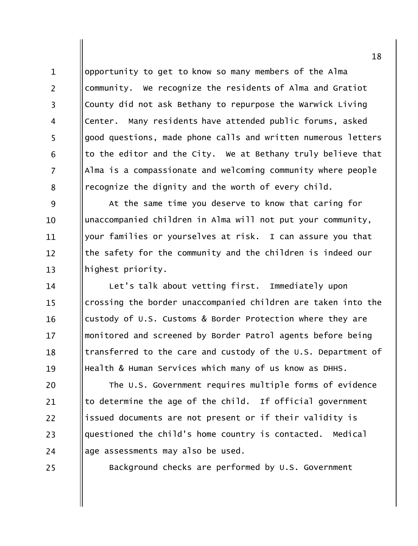opportunity to get to know so many members of the Alma community. We recognize the residents of Alma and Gratiot County did not ask Bethany to repurpose the Warwick Living Center. Many residents have attended public forums, asked good questions, made phone calls and written numerous letters to the editor and the City. We at Bethany truly believe that Alma is a compassionate and welcoming community where people recognize the dignity and the worth of every child.

9 At the same time you deserve to know that caring for unaccompanied children in Alma will not put your community,  $10$ vour families or yourselves at risk. I can assure you that 11 the safety for the community and the children is indeed our  $12 \overline{ }$  $13$ highest priority.

Let's talk about vetting first. Immediately upon 14 crossing the border unaccompanied children are taken into the  $15$ custody of U.S. Customs & Border Protection where they are 16 monitored and screened by Border Patrol agents before being  $17$ transferred to the care and custody of the U.S. Department of 18 Health & Human Services which many of us know as DHHS. 19

The U.S. Government requires multiple forms of evidence 20 to determine the age of the child. If official government 21 issued documents are not present or if their validity is 22 questioned the child's home country is contacted. Medical 23 age assessments may also be used. 24

25

 $\mathbf{1}$ 

 $\overline{2}$ 

 $\overline{3}$ 

 $\overline{4}$ 

5

6

 $\overline{7}$ 

8

Background checks are performed by U.S. Government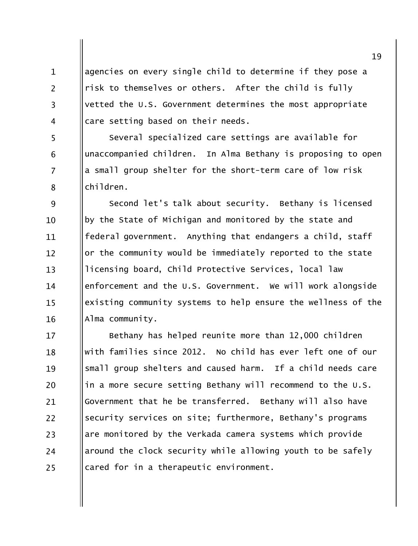agencies on every single child to determine if they pose a risk to themselves or others. After the child is fully vetted the U.S. Government determines the most appropriate care setting based on their needs.

 $\mathbf{1}$ 

 $\overline{2}$ 

 $\overline{3}$ 

 $\overline{4}$ 

5

6

 $\overline{7}$ 

8

Several specialized care settings are available for unaccompanied children. In Alma Bethany is proposing to open a small group shelter for the short-term care of low risk children.

9 Second let's talk about security. Bethany is licensed by the State of Michigan and monitored by the state and  $10<sup>1</sup>$ federal government. Anything that endangers a child, staff 11 or the community would be immediately reported to the state  $12 \overline{ }$  $13$ licensing board, Child Protective Services, local law enforcement and the U.S. Government. We will work alongside 14 existing community systems to help ensure the wellness of the  $15$ 16 Alma community.

Bethany has helped reunite more than 12,000 children  $17$ with families since 2012. No child has ever left one of our 18 small group shelters and caused harm. If a child needs care 19 in a more secure setting Bethany will recommend to the U.S. 20 Government that he be transferred. Bethany will also have 21 security services on site; furthermore, Bethany's programs  $22$ are monitored by the Verkada camera systems which provide 23 around the clock security while allowing youth to be safely 24 cared for in a therapeutic environment. 25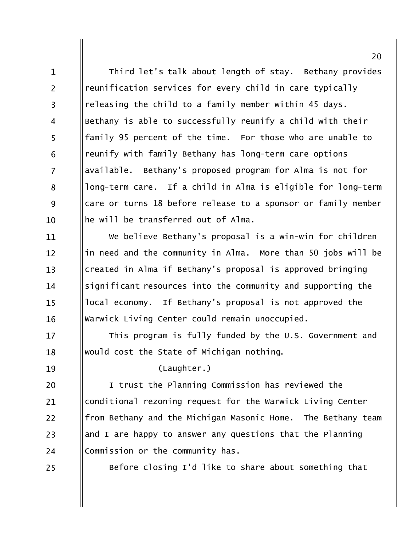Third let's talk about length of stay. Bethany provides  $\mathbf{1}$  $\overline{2}$ reunification services for every child in care typically releasing the child to a family member within 45 days.  $\overline{3}$ Bethany is able to successfully reunify a child with their  $\overline{4}$ 5 family 95 percent of the time. For those who are unable to reunify with family Bethany has long-term care options 6  $\overline{7}$ available. Bethany's proposed program for Alma is not for long-term care. If a child in Alma is eligible for long-term 8 9 care or turns 18 before release to a sponsor or family member he will be transferred out of Alma.  $10<sup>1</sup>$ 

We believe Bethany's proposal is a win-win for children 11 in need and the community in Alma. More than 50 jobs will be  $12 \overline{ }$  $13$ created in Alma if Bethany's proposal is approved bringing significant resources into the community and supporting the 14 local economy. If Bethany's proposal is not approved the  $15$ Warwick Living Center could remain unoccupied. 16

This program is fully funded by the U.S. Government and  $17$ would cost the State of Michigan nothing. 18

19

20

21

22

23

24

(Laughter.)

I trust the Planning Commission has reviewed the conditional rezoning request for the Warwick Living Center from Bethany and the Michigan Masonic Home. The Bethany team and I are happy to answer any questions that the Planning Commission or the community has.

25

Before closing I'd like to share about something that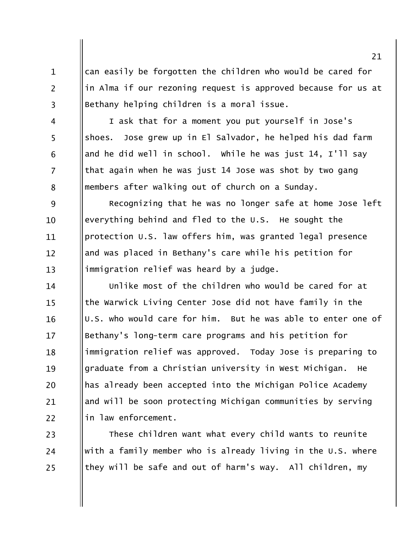can easily be forgotten the children who would be cared for in Alma if our rezoning request is approved because for us at Bethany helping children is a moral issue.

 $\mathbf{1}$ 

 $\overline{2}$ 

 $\overline{3}$ 

 $\overline{4}$ 

5

6

 $\overline{7}$ 

8

23

24

25

I ask that for a moment you put yourself in Jose's shoes. Jose grew up in El Salvador, he helped his dad farm and he did well in school. While he was just 14, I'll say that again when he was just 14 Jose was shot by two gang members after walking out of church on a Sunday.

Recognizing that he was no longer safe at home Jose left 9 everything behind and fled to the U.S. He sought the  $10$ protection U.S. law offers him, was granted legal presence 11 and was placed in Bethany's care while his petition for  $12 \overline{ }$ immigration relief was heard by a judge.  $13$ 

Unlike most of the children who would be cared for at 14 the Warwick Living Center Jose did not have family in the  $15$ U.S. who would care for him. But he was able to enter one of 16 Bethany's long-term care programs and his petition for  $17$ immigration relief was approved. Today Jose is preparing to 18 graduate from a Christian university in West Michigan. 19 He has already been accepted into the Michigan Police Academy 20 and will be soon protecting Michigan communities by serving 21 in law enforcement. 22

These children want what every child wants to reunite with a family member who is already living in the U.S. where they will be safe and out of harm's way. All children, my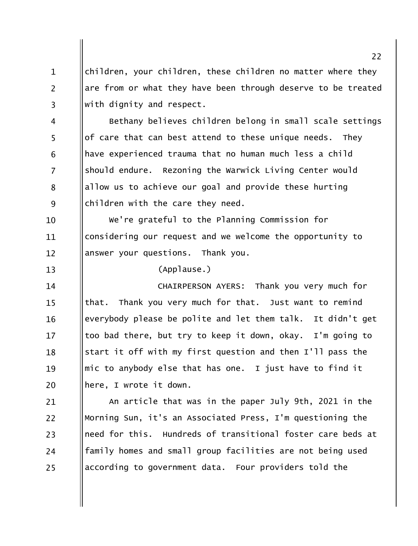children, your children, these children no matter where they are from or what they have been through deserve to be treated with dignity and respect.

Bethany believes children belong in small scale settings  $\overline{4}$ 5 of care that can best attend to these unique needs. They have experienced trauma that no human much less a child 6  $\overline{7}$ should endure. Rezoning the Warwick Living Center would allow us to achieve our goal and provide these hurting 8 9 children with the care they need.

We're grateful to the Planning Commission for 10 considering our request and we welcome the opportunity to 11 answer your questions. Thank you.  $12 \overline{ }$ 

 $13$ 

 $\mathbf{1}$ 

 $\overline{2}$ 

 $\overline{3}$ 

(Applause.)

CHAIRPERSON AYERS: Thank you very much for 14 that. Thank you very much for that. Just want to remind  $15$ everybody please be polite and let them talk. It didn't get 16 too bad there, but try to keep it down, okay. I'm going to  $17$ start it off with my first question and then I'll pass the 18 mic to anybody else that has one. I just have to find it 19 here, I wrote it down. 20

An article that was in the paper July 9th, 2021 in the 21  $22$ Morning Sun, it's an Associated Press, I'm questioning the need for this. Hundreds of transitional foster care beds at 23 family homes and small group facilities are not being used 24 according to government data. Four providers told the 25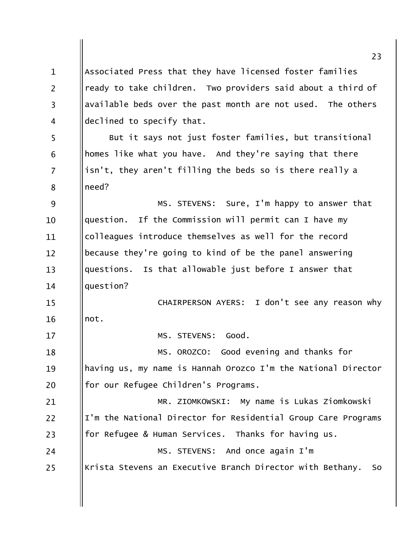Associated Press that they have licensed foster families  $\mathbf{1}$  $\overline{2}$ ready to take children. Two providers said about a third of available beds over the past month are not used. The others  $\overline{3}$ declined to specify that.  $\overline{4}$ 5 But it says not just foster families, but transitional homes like what you have. And they're saying that there 6  $\overline{7}$ isn't, they aren't filling the beds so is there really a need? 8 9 MS. STEVENS: Sure, I'm happy to answer that If the Commission will permit can I have my question.  $10$ colleagues introduce themselves as well for the record 11 because they're going to kind of be the panel answering  $12 \overline{ }$ questions. Is that allowable just before I answer that  $13$ question?  $14$ CHAIRPERSON AYERS: I don't see any reason why  $15$ not. 16 MS. STEVENS: Good.  $17$ MS. OROZCO: Good evening and thanks for 18 having us, my name is Hannah Orozco I'm the National Director 19 for our Refugee Children's Programs. 20 MR. ZIOMKOWSKI: My name is Lukas Ziomkowski 21  $22$ I'm the National Director for Residential Group Care Programs for Refugee & Human Services. Thanks for having us. 23 MS. STEVENS: And once again I'm 24 Krista Stevens an Executive Branch Director with Bethany. 25 **So**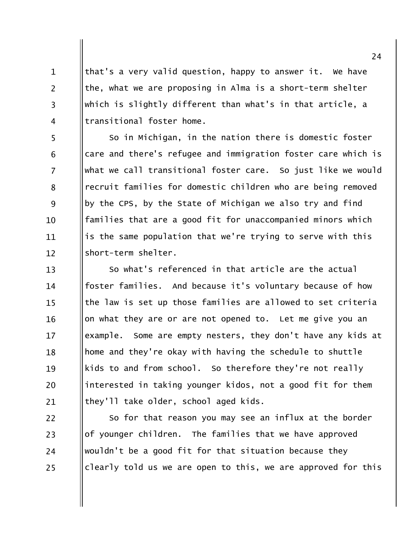that's a very valid question, happy to answer it. We have the, what we are proposing in Alma is a short-term shelter which is slightly different than what's in that article, a transitional foster home.

 $\mathbf{1}$ 

 $\overline{2}$ 

 $\overline{3}$ 

 $\overline{4}$ 

5

6

 $\overline{7}$ 

8

9

 $10$ 

11

 $12 \overline{ }$ 

So in Michigan, in the nation there is domestic foster care and there's refugee and immigration foster care which is what we call transitional foster care. So just like we would recruit families for domestic children who are being removed by the CPS, by the State of Michigan we also try and find families that are a good fit for unaccompanied minors which is the same population that we're trying to serve with this short-term shelter.

So what's referenced in that article are the actual  $13$ foster families. And because it's voluntary because of how 14 the law is set up those families are allowed to set criteria  $15$ on what they are or are not opened to. Let me give you an 16 example. Some are empty nesters, they don't have any kids at  $17$ home and they're okay with having the schedule to shuttle 18 kids to and from school. So therefore they're not really 19 interested in taking younger kidos, not a good fit for them 20 they'll take older, school aged kids. 21

 $22$ So for that reason you may see an influx at the border of younger children. The families that we have approved 23 wouldn't be a good fit for that situation because they 24 clearly told us we are open to this, we are approved for this 25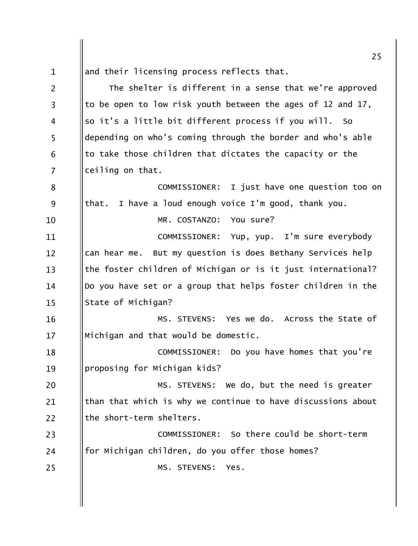25 and their licensing process reflects that.  $\mathbf{1}$  $\overline{2}$ The shelter is different in a sense that we're approved to be open to low risk youth between the ages of 12 and 17,  $\overline{3}$ so it's a little bit different process if you will. So  $\overline{4}$ 5 depending on who's coming through the border and who's able to take those children that dictates the capacity or the 6  $\overline{7}$ ceiling on that. COMMISSIONER: I just have one question too on 8 that. I have a loud enough voice I'm good, thank you. 9 MR. COSTANZO: You sure? 10 11 COMMISSIONER: Yup, yup. I'm sure everybody can hear me. But my question is does Bethany Services help  $12 \overline{ }$ the foster children of Michigan or is it just international?  $13$ Do you have set or a group that helps foster children in the  $14$ State of Michigan?  $15$ MS. STEVENS: Yes we do. Across the State of 16 Michigan and that would be domestic.  $17$ COMMISSIONER: Do you have homes that you're 18 proposing for Michigan kids? 19 MS. STEVENS: We do, but the need is greater 20 than that which is why we continue to have discussions about 21 22 the short-term shelters. COMMISSIONER: So there could be short-term 23 for Michigan children, do you offer those homes? 24 MS. STEVENS: Yes. 25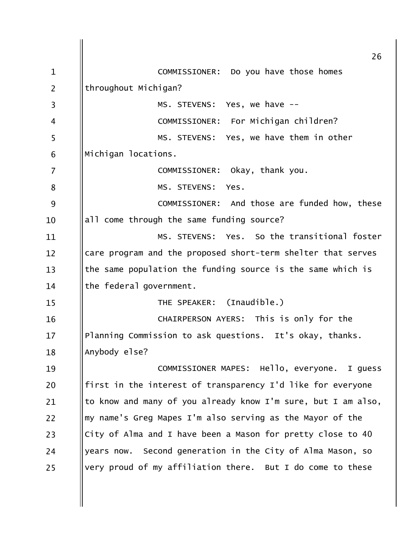| $\mathbf{1}$   | 26<br>COMMISSIONER: Do you have those homes                   |
|----------------|---------------------------------------------------------------|
| $\overline{2}$ | throughout Michigan?                                          |
|                | MS. STEVENS: Yes, we have --                                  |
| $\overline{3}$ |                                                               |
| 4              | COMMISSIONER: For Michigan children?                          |
| 5              | MS. STEVENS: Yes, we have them in other                       |
| 6              | Michigan locations.                                           |
| 7              | COMMISSIONER: Okay, thank you.                                |
| 8              | MS. STEVENS: Yes.                                             |
| 9              | COMMISSIONER: And those are funded how, these                 |
| 10             | all come through the same funding source?                     |
| 11             | MS. STEVENS: Yes. So the transitional foster                  |
| 12             | care program and the proposed short-term shelter that serves  |
| 13             | the same population the funding source is the same which is   |
| 14             | the federal government.                                       |
| 15             | THE SPEAKER: (Inaudible.)                                     |
| 16             | CHAIRPERSON AYERS: This is only for the                       |
| 17             | Planning Commission to ask questions. It's okay, thanks.      |
| 18             | Anybody else?                                                 |
| 19             | COMMISSIONER MAPES: Hello, everyone. I guess                  |
| 20             | first in the interest of transparency I'd like for everyone   |
| 21             | to know and many of you already know I'm sure, but I am also, |
| 22             | my name's Greg Mapes I'm also serving as the Mayor of the     |
| 23             | City of Alma and I have been a Mason for pretty close to 40   |
| 24             | Second generation in the City of Alma Mason, so<br>years now. |
| 25             | very proud of my affiliation there. But I do come to these    |
|                |                                                               |
|                |                                                               |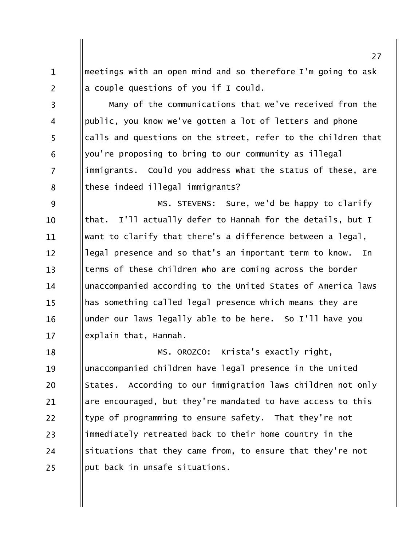meetings with an open mind and so therefore I'm going to ask  $\mathbf{1}$  $\overline{2}$ a couple questions of you if I could.

Many of the communications that we've received from the  $\overline{3}$ public, you know we've gotten a lot of letters and phone  $\overline{4}$ 5 calls and questions on the street, refer to the children that you're proposing to bring to our community as illegal 6  $\overline{7}$ immigrants. Could you address what the status of these, are these indeed illegal immigrants? 8

9 MS. STEVENS: Sure, we'd be happy to clarify that. I'll actually defer to Hannah for the details, but I  $10$ want to clarify that there's a difference between a legal. 11 legal presence and so that's an important term to know.  $12 \overline{ }$ In terms of these children who are coming across the border  $13$ unaccompanied according to the United States of America laws 14 has something called legal presence which means they are  $15$ under our laws legally able to be here. So I'll have you 16 explain that, Hannah.  $17$ 

MS. OROZCO: Krista's exactly right, 18 unaccompanied children have legal presence in the United 19 States. According to our immigration laws children not only 20 are encouraged, but they're mandated to have access to this 21 type of programming to ensure safety. That they're not 22 immediately retreated back to their home country in the 23 situations that they came from, to ensure that they're not 24 put back in unsafe situations. 25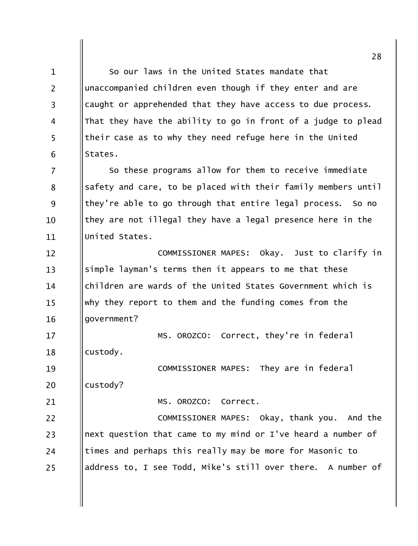So our laws in the United States mandate that  $\mathbf{1}$  $\overline{2}$ unaccompanied children even though if they enter and are caught or apprehended that they have access to due process.  $\overline{3}$ That they have the ability to go in front of a judge to plead  $\overline{4}$ 5 their case as to why they need refuge here in the United States. 6 So these programs allow for them to receive immediate  $\overline{7}$ safety and care, to be placed with their family members until 8 9 they're able to go through that entire legal process. So no they are not illegal they have a legal presence here in the 10 United States. 11 Okay. Just to clarify in COMMISSIONER MAPES:  $12 \overline{ }$ simple layman's terms then it appears to me that these  $13$ children are wards of the United States Government which is 14 why they report to them and the funding comes from the  $15$ qovernment? 16 MS. OROZCO: Correct, they're in federal  $17$ custody. 18 COMMISSIONER MAPES: They are in federal 19 20 custody? MS. OROZCO: Correct. 21  $22$ COMMISSIONER MAPES: Okay, thank you. And the next question that came to my mind or I've heard a number of 23 times and perhaps this really may be more for Masonic to 24 address to, I see Todd, Mike's still over there. A number of 25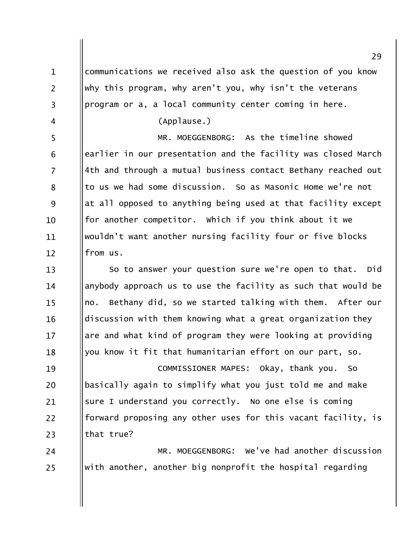communications we received also ask the question of you know  $\mathbf{1}$  $\overline{2}$ why this program, why aren't you, why isn't the veterans program or a, a local community center coming in here.  $\overline{3}$ (Applause.)  $\overline{4}$ 5 MR. MOEGGENBORG: As the timeline showed earlier in our presentation and the facility was closed March 6  $\overline{7}$ 4th and through a mutual business contact Bethany reached out to us we had some discussion. So as Masonic Home we're not 8 9 at all opposed to anything being used at that facility except for another competitor. Which if you think about it we 10 wouldn't want another nursing facility four or five blocks 11 from us.  $12 \overline{ }$ So to answer your question sure we're open to that.  $13$ Did anybody approach us to use the facility as such that would be 14 no. Bethany did, so we started talking with them. After our  $15$ discussion with them knowing what a great organization they 16 are and what kind of program they were looking at providing  $17$ you know it fit that humanitarian effort on our part, so. 18 COMMISSIONER MAPES: Okay, thank you. 19 So basically again to simplify what you just told me and make 20 sure I understand you correctly. No one else is coming 21 forward proposing any other uses for this vacant facility, is 22 that true? 23 MR. MOEGGENBORG: We've had another discussion 24

with another, another big nonprofit the hospital regarding

25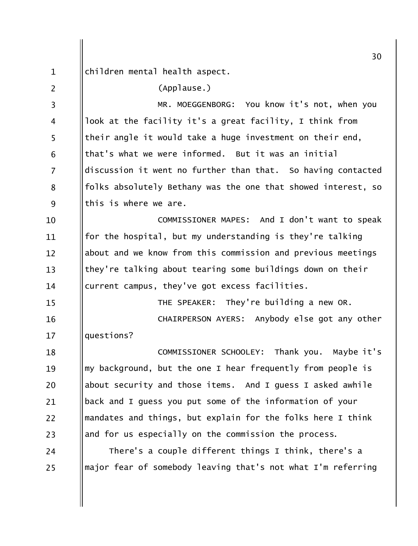|                | 30                                                            |
|----------------|---------------------------------------------------------------|
| $\mathbf{1}$   | children mental health aspect.                                |
| $\overline{2}$ | (Applause.)                                                   |
| 3              | MR. MOEGGENBORG: You know it's not, when you                  |
| 4              | look at the facility it's a great facility, I think from      |
| 5              | their angle it would take a huge investment on their end,     |
| 6              | that's what we were informed. But it was an initial           |
| 7              | discussion it went no further than that. So having contacted  |
| 8              | folks absolutely Bethany was the one that showed interest, so |
| 9              | this is where we are.                                         |
| 10             | COMMISSIONER MAPES: And I don't want to speak                 |
| 11             | for the hospital, but my understanding is they're talking     |
| 12             | about and we know from this commission and previous meetings  |
| 13             | they're talking about tearing some buildings down on their    |
| 14             | current campus, they've got excess facilities.                |
| 15             | THE SPEAKER: They're building a new OR.                       |
| 16             | CHAIRPERSON AYERS: Anybody else got any other                 |
| 17             | questions?                                                    |
| 18             | COMMISSIONER SCHOOLEY: Thank you. Maybe it's                  |
| 19             | my background, but the one I hear frequently from people is   |
| 20             | about security and those items. And I guess I asked awhile    |
| 21             | back and I guess you put some of the information of your      |
| 22             | mandates and things, but explain for the folks here I think   |
| 23             | and for us especially on the commission the process.          |
| 24             | There's a couple different things I think, there's a          |
| 25             | major fear of somebody leaving that's not what I'm referring  |
|                |                                                               |
|                |                                                               |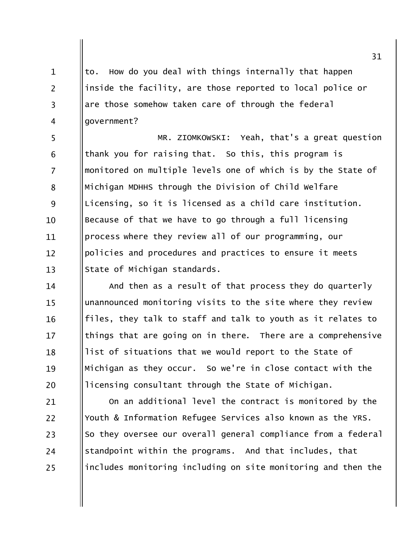How do you deal with things internally that happen to. inside the facility, are those reported to local police or are those somehow taken care of through the federal qovernment?

 $\mathbf{1}$ 

 $\overline{2}$ 

 $\overline{3}$ 

 $\overline{4}$ 

MR. ZIOMKOWSKI: Yeah, that's a great question 5 thank you for raising that. So this, this program is 6  $\overline{7}$ monitored on multiple levels one of which is by the State of Michigan MDHHS through the Division of Child Welfare 8 9 Licensing, so it is licensed as a child care institution. Because of that we have to go through a full licensing  $10<sup>1</sup>$ process where they review all of our programming, our 11 policies and procedures and practices to ensure it meets  $12 \overline{ }$  $13$ State of Michigan standards.

And then as a result of that process they do quarterly 14 unannounced monitoring visits to the site where they review  $15$ files, they talk to staff and talk to youth as it relates to 16 things that are going on in there. There are a comprehensive  $17$ list of situations that we would report to the State of 18 Michigan as they occur. So we're in close contact with the 19 licensing consultant through the State of Michigan. 20

On an additional level the contract is monitored by the 21  $22$ Youth & Information Refugee Services also known as the YRS. So they oversee our overall general compliance from a federal 23 standpoint within the programs. And that includes, that 24 includes monitoring including on site monitoring and then the 25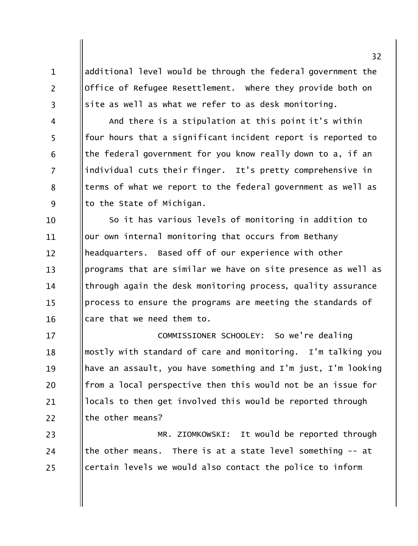additional level would be through the federal government the Office of Refugee Resettlement. Where they provide both on site as well as what we refer to as desk monitoring.

 $\mathbf{1}$ 

 $\overline{2}$ 

 $\overline{3}$ 

 $\overline{4}$ 

5

6

 $\overline{7}$ 

8

9

And there is a stipulation at this point it's within four hours that a significant incident report is reported to the federal government for you know really down to a, if an individual cuts their finger. It's pretty comprehensive in terms of what we report to the federal government as well as to the State of Michigan.

So it has various levels of monitoring in addition to 10 our own internal monitoring that occurs from Bethany 11 headquarters. Based off of our experience with other  $12 \overline{ }$  $13$ programs that are similar we have on site presence as well as through again the desk monitoring process, quality assurance 14 process to ensure the programs are meeting the standards of  $15$ care that we need them to. 16

COMMISSIONER SCHOOLEY: So we're dealing  $17$ mostly with standard of care and monitoring. I'm talking you 18 have an assault, you have something and I'm just, I'm looking 19 from a local perspective then this would not be an issue for 20 locals to then get involved this would be reported through 21 the other means?  $22$ 

MR. ZIOMKOWSKI: It would be reported through 23 the other means. There is at a state level something  $-$  at 24 certain levels we would also contact the police to inform 25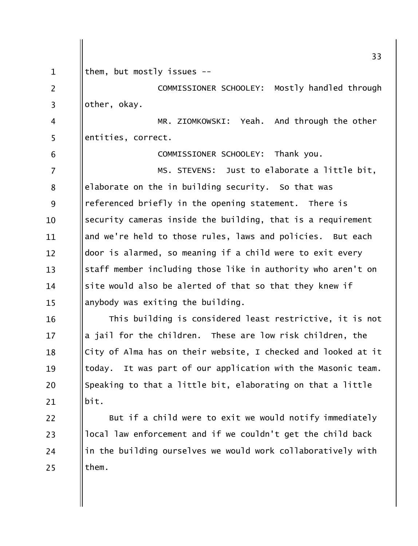|                | 33                                                              |
|----------------|-----------------------------------------------------------------|
| $\mathbf{1}$   | them, but mostly issues --                                      |
| $\overline{2}$ | COMMISSIONER SCHOOLEY: Mostly handled through                   |
| $\overline{3}$ | other, okay.                                                    |
| 4              | MR. ZIOMKOWSKI: Yeah. And through the other                     |
| 5              | entities, correct.                                              |
| 6              | COMMISSIONER SCHOOLEY: Thank you.                               |
| $\overline{7}$ | MS. STEVENS: Just to elaborate a little bit,                    |
| 8              | elaborate on the in building security. So that was              |
| 9              | referenced briefly in the opening statement. There is           |
| 10             | security cameras inside the building, that is a requirement     |
| 11             | and we're held to those rules, laws and policies. But each      |
| 12             | door is alarmed, so meaning if a child were to exit every       |
| 13             | staff member including those like in authority who aren't on    |
| 14             | site would also be alerted of that so that they knew if         |
| 15             | anybody was exiting the building.                               |
| 16             | This building is considered least restrictive, it is not        |
| 17             | a jail for the children. These are low risk children, the       |
| 18             | City of Alma has on their website, I checked and looked at it   |
| 19             | It was part of our application with the Masonic team.<br>today. |
| 20             | Speaking to that a little bit, elaborating on that a little     |
| 21             | bit.                                                            |
| 22             | But if a child were to exit we would notify immediately         |
| 23             | local law enforcement and if we couldn't get the child back     |
| 24             | in the building ourselves we would work collaboratively with    |
| $25$           | them.                                                           |
|                |                                                                 |
|                |                                                                 |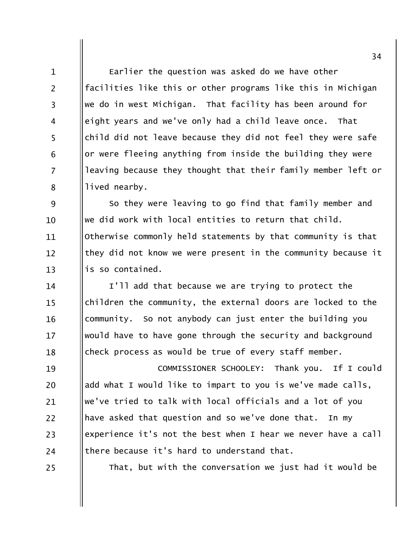Earlier the question was asked do we have other facilities like this or other programs like this in Michigan we do in west Michigan. That facility has been around for eight years and we've only had a child leave once. That child did not leave because they did not feel they were safe or were fleeing anything from inside the building they were leaving because they thought that their family member left or lived nearby.

9 So they were leaving to go find that family member and we did work with local entities to return that child.  $10<sup>1</sup>$ Otherwise commonly held statements by that community is that 11 they did not know we were present in the community because it  $12 \overline{ }$  $13$ is so contained.

I'll add that because we are trying to protect the 14 children the community, the external doors are locked to the  $15$ community. So not anybody can just enter the building you 16 would have to have gone through the security and background  $17$ check process as would be true of every staff member. 18

COMMISSIONER SCHOOLEY: Thank you. If I could 19 add what I would like to impart to you is we've made calls, 20 we've tried to talk with local officials and a lot of you 21 have asked that question and so we've done that.  $22$ In my experience it's not the best when I hear we never have a call 23 there because it's hard to understand that. 24

25

 $\mathbf{1}$ 

 $\overline{2}$ 

 $\overline{3}$ 

 $\overline{4}$ 

5

6

 $\overline{7}$ 

8

That, but with the conversation we just had it would be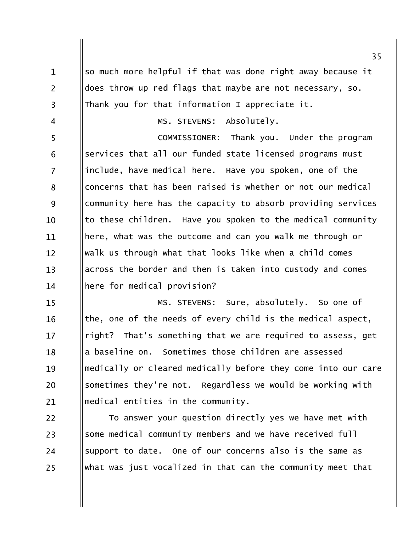so much more helpful if that was done right away because it  $\mathbf{1}$  $\overline{2}$ does throw up red flags that maybe are not necessary, so. Thank you for that information I appreciate it.  $\overline{3}$ Absolutely. MS. STEVENS:  $\overline{4}$ 5 COMMISSIONER: Thank you. Under the program services that all our funded state licensed programs must 6  $\overline{7}$ include, have medical here. Have you spoken, one of the concerns that has been raised is whether or not our medical 8 9 community here has the capacity to absorb providing services to these children. Have you spoken to the medical community  $10$ here, what was the outcome and can you walk me through or 11 walk us through what that looks like when a child comes  $12 \overline{ }$ across the border and then is taken into custody and comes  $13$ here for medical provision?  $14$ MS. STEVENS: Sure, absolutely. So one of  $15$ the, one of the needs of every child is the medical aspect, 16 right? That's something that we are required to assess, get  $17$ a baseline on. Sometimes those children are assessed 18 medically or cleared medically before they come into our care 19 sometimes they're not. Regardless we would be working with 20 medical entities in the community. 21

 $22$ To answer your question directly yes we have met with some medical community members and we have received full 23 support to date. One of our concerns also is the same as 24 what was just vocalized in that can the community meet that 25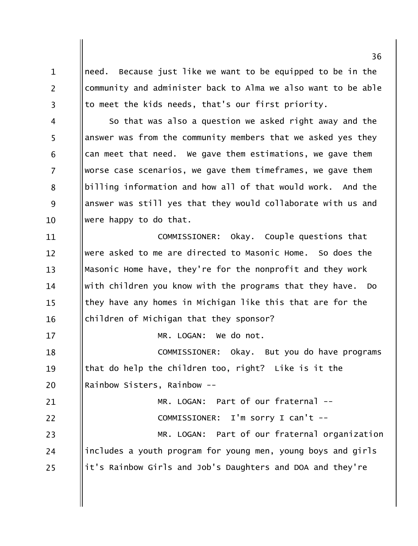need. Because just like we want to be equipped to be in the community and administer back to Alma we also want to be able to meet the kids needs, that's our first priority.

 $\mathbf{1}$ 

 $\overline{2}$ 

 $\overline{3}$ 

 $17$ 

So that was also a question we asked right away and the  $\overline{4}$ 5 answer was from the community members that we asked yes they 6 can meet that need. We gave them estimations, we gave them  $\overline{7}$ worse case scenarios, we gave them timeframes, we gave them billing information and how all of that would work. And the 8 9 answer was still yes that they would collaborate with us and were happy to do that.  $10$ 

COMMISSIONER: Okay. Couple questions that 11 were asked to me are directed to Masonic Home. So does the  $12 \overline{ }$ Masonic Home have, they're for the nonprofit and they work  $13$ with children you know with the programs that they have. Do 14 they have any homes in Michigan like this that are for the  $15$ children of Michigan that they sponsor? 16

MR. LOGAN: We do not.

COMMISSIONER: Okay. But you do have programs 18 that do help the children too, right? Like is it the 19 Rainbow Sisters, Rainbow --20

MR. LOGAN: Part of our fraternal --21  $22$ COMMISSIONER: I'm sorry I can't --MR. LOGAN: Part of our fraternal organization 23 includes a youth program for young men, young boys and girls 24 it's Rainbow Girls and Job's Daughters and DOA and they're 25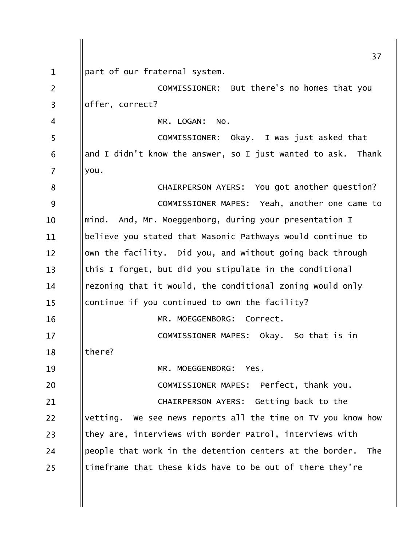|                | 37                                                              |
|----------------|-----------------------------------------------------------------|
| $\mathbf 1$    | part of our fraternal system.                                   |
| $\overline{2}$ | COMMISSIONER: But there's no homes that you                     |
| 3              | offer, correct?                                                 |
| 4              | MR. LOGAN:<br>NO.                                               |
| 5              | COMMISSIONER: Okay. I was just asked that                       |
| 6              | and I didn't know the answer, so I just wanted to ask.<br>Thank |
| 7              | you.                                                            |
| 8              | CHAIRPERSON AYERS: You got another question?                    |
| 9              | COMMISSIONER MAPES: Yeah, another one came to                   |
| 10             | mind. And, Mr. Moeggenborg, during your presentation I          |
| 11             | believe you stated that Masonic Pathways would continue to      |
| 12             | own the facility. Did you, and without going back through       |
| 13             | this I forget, but did you stipulate in the conditional         |
| 14             | rezoning that it would, the conditional zoning would only       |
| 15             | continue if you continued to own the facility?                  |
| 16             | MR. MOEGGENBORG:<br>Correct.                                    |
| 17             | COMMISSIONER MAPES: Okay. So that is in                         |
| 18             | there?                                                          |
| 19             | Yes.<br>MR. MOEGGENBORG:                                        |
| 20             | COMMISSIONER MAPES: Perfect, thank you.                         |
| 21             | CHAIRPERSON AYERS: Getting back to the                          |
| 22             | We see news reports all the time on TV you know how<br>vetting. |
| 23             | they are, interviews with Border Patrol, interviews with        |
| 24             | people that work in the detention centers at the border.<br>The |
| 25             | timeframe that these kids have to be out of there they're       |
|                |                                                                 |
|                |                                                                 |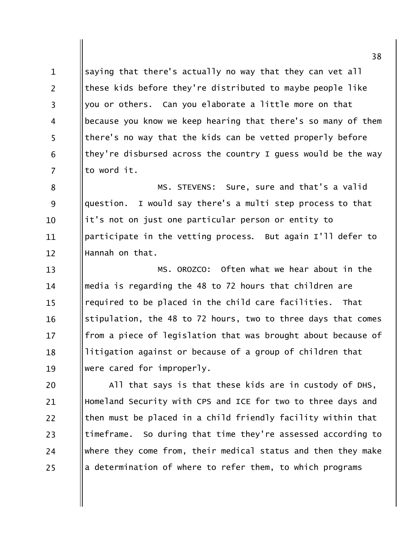saying that there's actually no way that they can vet all  $\mathbf{1}$  $\overline{2}$ these kids before they're distributed to maybe people like you or others. Can you elaborate a little more on that  $\overline{3}$ because you know we keep hearing that there's so many of them  $\overline{4}$ 5 there's no way that the kids can be vetted properly before they're disbursed across the country I guess would be the way 6  $\overline{7}$ to word it.

MS. STEVENS: Sure, sure and that's a valid 8 I would say there's a multi step process to that question. 9 it's not on just one particular person or entity to 10 participate in the vetting process. But again I'll defer to 11 Hannah on that.  $12 \overline{ }$ 

MS. OROZCO: Often what we hear about in the  $13$ media is regarding the 48 to 72 hours that children are 14 required to be placed in the child care facilities. That  $15$ stipulation, the 48 to 72 hours, two to three days that comes 16 from a piece of legislation that was brought about because of  $17$ litigation against or because of a group of children that 18 were cared for improperly. 19

All that says is that these kids are in custody of DHS, 20 Homeland Security with CPS and ICE for two to three days and 21 then must be placed in a child friendly facility within that  $22$ timeframe. So during that time they're assessed according to 23 where they come from, their medical status and then they make 24 a determination of where to refer them, to which programs 25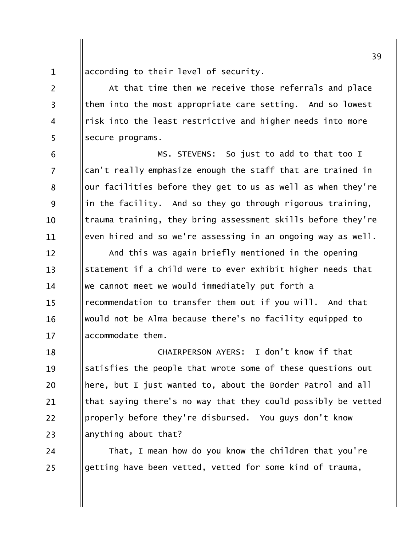according to their level of security.  $\mathbf{1}$ 

 $\overline{2}$ 

 $\overline{3}$ 

 $\overline{4}$ 

5

6

 $\overline{7}$ 

8

9

10

11

At that time then we receive those referrals and place them into the most appropriate care setting. And so lowest risk into the least restrictive and higher needs into more secure programs.

MS. STEVENS: So just to add to that too I can't really emphasize enough the staff that are trained in our facilities before they get to us as well as when they're in the facility. And so they go through rigorous training, trauma training, they bring assessment skills before they're even hired and so we're assessing in an ongoing way as well.

And this was again briefly mentioned in the opening  $12 \overline{ }$ statement if a child were to ever exhibit higher needs that  $13$ we cannot meet we would immediately put forth a 14 recommendation to transfer them out if you will. And that  $15$ would not be Alma because there's no facility equipped to 16 accommodate them.  $17$ 

CHAIRPERSON AYERS: I don't know if that 18 satisfies the people that wrote some of these questions out 19 here, but I just wanted to, about the Border Patrol and all 20 that saying there's no way that they could possibly be vetted 21 properly before they're disbursed. You guys don't know  $22$ anything about that? 23

That, I mean how do you know the children that you're 24 getting have been vetted, vetted for some kind of trauma, 25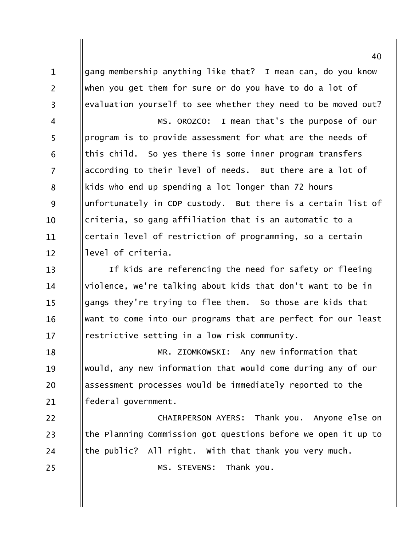gang membership anything like that? I mean can, do you know  $\mathbf{1}$  $\overline{2}$ when you get them for sure or do you have to do a lot of evaluation yourself to see whether they need to be moved out?  $\overline{3}$ MS. OROZCO: I mean that's the purpose of our  $\overline{4}$ 5 program is to provide assessment for what are the needs of this child. So yes there is some inner program transfers 6 according to their level of needs. But there are a lot of  $\overline{7}$ kids who end up spending a lot longer than 72 hours 8 9 unfortunately in CDP custody. But there is a certain list of criteria, so gang affiliation that is an automatic to a  $10<sup>1</sup>$ certain level of restriction of programming, so a certain 11 level of criteria.  $12 \overline{ }$ If kids are referencing the need for safety or fleeing  $13$ violence, we're talking about kids that don't want to be in 14 gangs they're trying to flee them. So those are kids that  $15$ want to come into our programs that are perfect for our least 16 restrictive setting in a low risk community.  $17$ MR. ZIOMKOWSKI: Any new information that 18 would, any new information that would come during any of our 19 assessment processes would be immediately reported to the 20 federal government. 21  $22$ CHAIRPERSON AYERS: Thank you. Anyone else on the Planning Commission got questions before we open it up to 23 the public? All right. With that thank you very much. 24 MS. STEVENS: Thank you. 25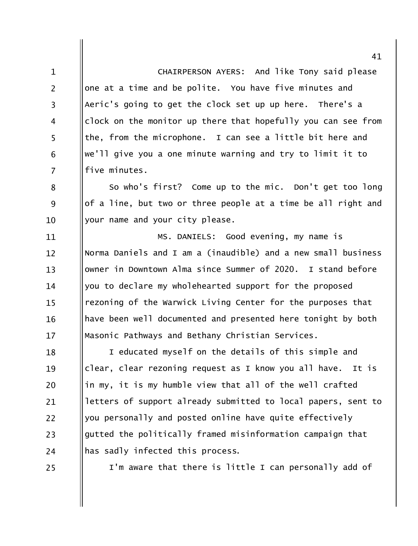CHAIRPERSON AYERS: And like Tony said please  $\mathbf{1}$ one at a time and be polite. You have five minutes and  $\overline{2}$ Aeric's going to get the clock set up up here. There's a  $\overline{3}$ clock on the monitor up there that hopefully you can see from  $\overline{4}$ 5 the, from the microphone. I can see a little bit here and we'll give you a one minute warning and try to limit it to 6  $\overline{7}$ five minutes.

So who's first? Come up to the mic. Don't get too long 8 of a line, but two or three people at a time be all right and 9 your name and your city please.  $10$ 

MS. DANIELS: Good evening, my name is 11 Norma Daniels and I am a (inaudible) and a new small business  $12 \overline{ }$  $13$ owner in Downtown Alma since Summer of 2020. I stand before you to declare my wholehearted support for the proposed 14 rezoning of the Warwick Living Center for the purposes that  $15$ have been well documented and presented here tonight by both 16 Masonic Pathways and Bethany Christian Services.  $17$ 

I educated myself on the details of this simple and 18 clear, clear rezoning request as I know you all have. It is 19 in my, it is my humble view that all of the well crafted 20 letters of support already submitted to local papers, sent to 21 you personally and posted online have quite effectively 22 gutted the politically framed misinformation campaign that 23 has sadly infected this process. 24

25

I'm aware that there is little I can personally add of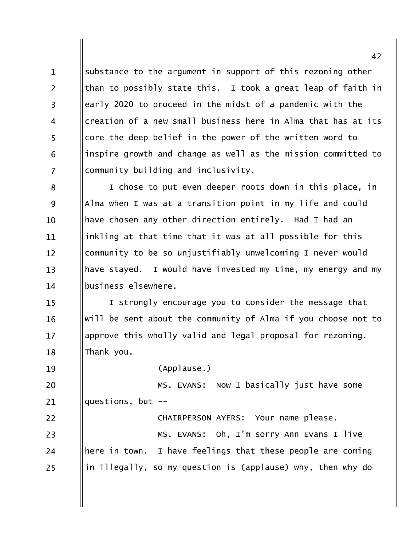substance to the argument in support of this rezoning other  $\mathbf{1}$  $\overline{2}$ than to possibly state this. I took a great leap of faith in early 2020 to proceed in the midst of a pandemic with the  $\overline{3}$ creation of a new small business here in Alma that has at its  $\overline{4}$ 5 core the deep belief in the power of the written word to inspire growth and change as well as the mission committed to 6  $\overline{7}$ community building and inclusivity.

I chose to put even deeper roots down in this place, in 8 9 Alma when I was at a transition point in my life and could have chosen any other direction entirely. Had I had an  $10$ inkling at that time that it was at all possible for this 11 community to be so unjustifiably unwelcoming I never would  $12 \overline{ }$  $13$ have stayed. I would have invested my time, my energy and my business elsewhere. 14

I strongly encourage you to consider the message that  $15$ will be sent about the community of Alma if you choose not to 16 approve this wholly valid and legal proposal for rezoning.  $17$ Thank you. 18

19

(Applause.)

MS. EVANS: Now I basically just have some 20 questions, but  $-$ 21

 $22$ CHAIRPERSON AYERS: Your name please. MS. EVANS: Oh, I'm sorry Ann Evans I live 23 here in town. I have feelings that these people are coming 24 in illegally, so my question is (applause) why, then why do 25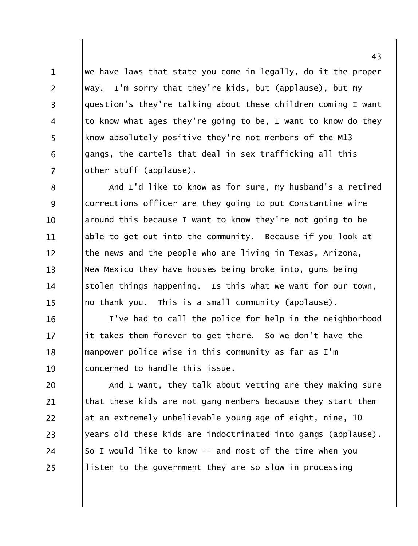we have laws that state you come in legally, do it the proper  $\mathbf{1}$  $\overline{2}$ way. I'm sorry that they're kids, but (applause), but my question's they're talking about these children coming I want  $\overline{3}$ to know what ages they're going to be, I want to know do they  $\overline{4}$ 5 know absolutely positive they're not members of the M13 gangs, the cartels that deal in sex trafficking all this 6  $\overline{7}$ other stuff (applause).

And I'd like to know as for sure, my husband's a retired 8 corrections officer are they going to put Constantine wire 9 around this because I want to know they're not going to be 10 able to get out into the community. Because if you look at 11 the news and the people who are living in Texas, Arizona,  $12 \overline{ }$ New Mexico they have houses being broke into, guns being  $13$ stolen things happening. Is this what we want for our town, 14 no thank you. This is a small community (applause).  $15$ 

I've had to call the police for help in the neighborhood 16 it takes them forever to get there. So we don't have the 17 manpower police wise in this community as far as I'm 18 concerned to handle this issue. 19

And I want, they talk about vetting are they making sure 20 that these kids are not gang members because they start them 21 22 at an extremely unbelievable young age of eight, nine, 10 years old these kids are indoctrinated into gangs (applause). 23 So I would like to know -- and most of the time when you 24 listen to the government they are so slow in processing 25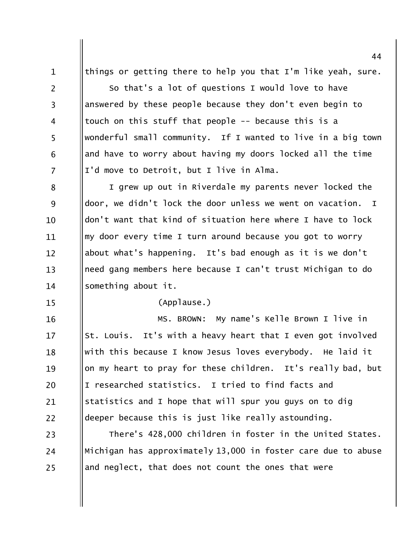things or getting there to help you that I'm like yeah, sure.  $\mathbf{1}$  $\overline{2}$ So that's a lot of questions I would love to have answered by these people because they don't even begin to  $\overline{3}$ touch on this stuff that people -- because this is a  $\overline{4}$ 5 wonderful small community. If I wanted to live in a big town and have to worry about having my doors locked all the time 6  $\overline{7}$ I'd move to Detroit, but I live in Alma.

I grew up out in Riverdale my parents never locked the 8 9 door, we didn't lock the door unless we went on vacation.  $\mathbf I$ don't want that kind of situation here where I have to lock  $10<sup>1</sup>$ my door every time I turn around because you got to worry 11 about what's happening. It's bad enough as it is we don't  $12 \overline{ }$ need gang members here because I can't trust Michigan to do  $13$ something about it.  $14$ 

 $15$ 

(Applause.)

MS. BROWN: My name's Kelle Brown I live in 16 St. Louis. It's with a heavy heart that I even got involved  $17$ with this because I know Jesus loves everybody. He laid it 18 on my heart to pray for these children. It's really bad, but 19 I researched statistics. I tried to find facts and 20 statistics and I hope that will spur you guys on to dig 21 deeper because this is just like really astounding.  $22$ 

There's 428,000 children in foster in the United States. 23 Michigan has approximately 13,000 in foster care due to abuse 24 and neglect, that does not count the ones that were 25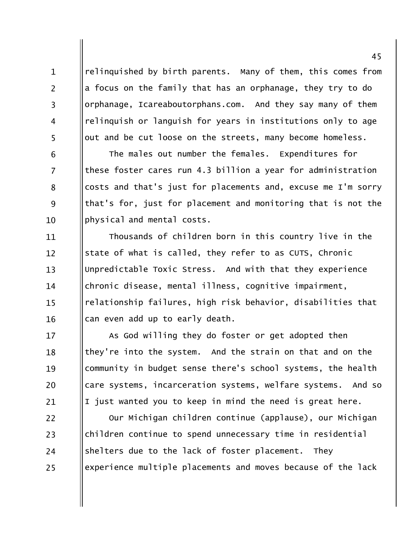relinguished by birth parents. Many of them, this comes from a focus on the family that has an orphanage, they try to do orphanage, Icareaboutorphans.com. And they say many of them relinquish or languish for years in institutions only to age out and be cut loose on the streets, many become homeless.

 $\mathbf{1}$ 

 $\overline{2}$ 

 $\overline{3}$ 

 $\overline{4}$ 

5

6

 $\overline{7}$ 

8

9

10

The males out number the females. Expenditures for these foster cares run 4.3 billion a year for administration costs and that's just for placements and, excuse me I'm sorry that's for, just for placement and monitoring that is not the physical and mental costs.

Thousands of children born in this country live in the 11 state of what is called, they refer to as CUTS, Chronic  $12 \overline{ }$ Unpredictable Toxic Stress. And with that they experience  $13$ chronic disease, mental illness, cognitive impairment, 14 relationship failures, high risk behavior, disabilities that  $15$ can even add up to early death. 16

As God willing they do foster or get adopted then  $17$ they're into the system. And the strain on that and on the 18 community in budget sense there's school systems, the health 19 care systems, incarceration systems, welfare systems. And so 20 I just wanted you to keep in mind the need is great here. 21

Our Michigan children continue (applause), our Michigan 22 children continue to spend unnecessary time in residential 23 shelters due to the lack of foster placement. They 24 experience multiple placements and moves because of the lack 25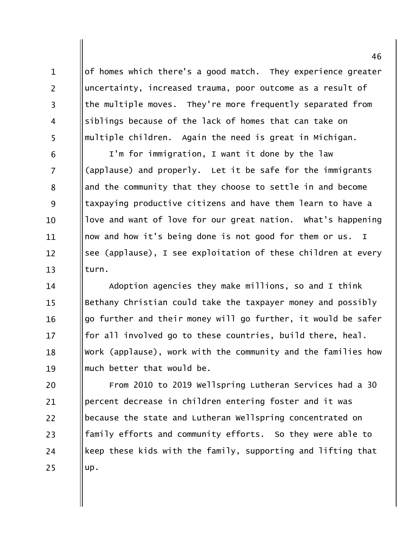of homes which there's a good match. They experience greater uncertainty, increased trauma, poor outcome as a result of the multiple moves. They're more frequently separated from siblings because of the lack of homes that can take on multiple children. Again the need is great in Michigan.

 $\mathbf{1}$ 

 $\overline{2}$ 

 $\overline{3}$ 

 $\overline{4}$ 

5

6

 $\overline{7}$ 

8

9

10

11

 $12 \overline{ }$ 

 $13$ 

I'm for immigration, I want it done by the law (applause) and properly. Let it be safe for the immigrants and the community that they choose to settle in and become taxpaying productive citizens and have them learn to have a love and want of love for our great nation. What's happening now and how it's being done is not good for them or us. I see (applause), I see exploitation of these children at every turn.

Adoption agencies they make millions, so and I think 14 Bethany Christian could take the taxpayer money and possibly  $15$ go further and their money will go further, it would be safer 16 for all involved go to these countries, build there, heal.  $17$ Work (applause), work with the community and the families how 18 much better that would be. 19

From 2010 to 2019 Wellspring Lutheran Services had a 30 20 percent decrease in children entering foster and it was 21 because the state and Lutheran Wellspring concentrated on 22 family efforts and community efforts. So they were able to 23 keep these kids with the family, supporting and lifting that 24 up. 25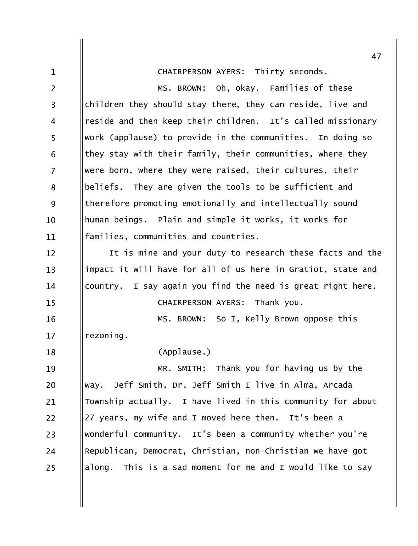|                | 47                                                           |
|----------------|--------------------------------------------------------------|
| $\mathbf{1}$   | CHAIRPERSON AYERS: Thirty seconds.                           |
| 2              | MS. BROWN: Oh, okay. Families of these                       |
| 3              | children they should stay there, they can reside, live and   |
| 4              | reside and then keep their children. It's called missionary  |
| 5              | work (applause) to provide in the communities. In doing so   |
| 6              | they stay with their family, their communities, where they   |
| $\overline{7}$ | were born, where they were raised, their cultures, their     |
| 8              | beliefs. They are given the tools to be sufficient and       |
| 9              | therefore promoting emotionally and intellectually sound     |
| 10             | human beings. Plain and simple it works, it works for        |
| 11             | families, communities and countries.                         |
| 12             | It is mine and your duty to research these facts and the     |
| 13             | impact it will have for all of us here in Gratiot, state and |
| 14             | country. I say again you find the need is great right here.  |
| 15             | CHAIRPERSON AYERS: Thank you.                                |
| 16             | MS. BROWN: So I, Kelly Brown oppose this                     |
| 17             | rezoning.                                                    |
| 18             | (Applause.)                                                  |
| 19             | MR. SMITH: Thank you for having us by the                    |
| 20             | Jeff Smith, Dr. Jeff Smith I live in Alma, Arcada<br>way.    |
| 21             | Township actually. I have lived in this community for about  |
| 22             | 27 years, my wife and I moved here then. It's been a         |
| 23             | wonderful community. It's been a community whether you're    |
| 24             | Republican, Democrat, Christian, non-Christian we have got   |
| 25             | along. This is a sad moment for me and I would like to say   |

 $\parallel$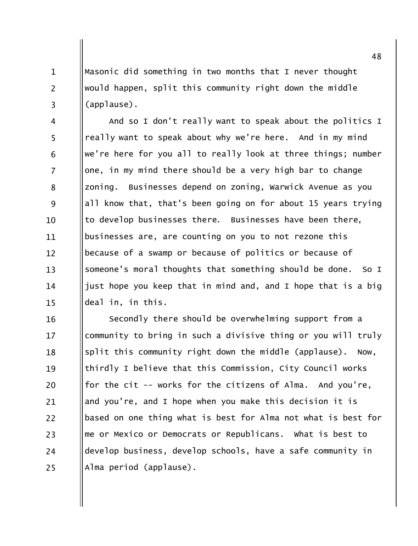Masonic did something in two months that I never thought would happen, split this community right down the middle (applause).

 $\mathbf{1}$ 

 $\overline{2}$ 

 $\overline{3}$ 

And so I don't really want to speak about the politics I  $\overline{4}$ 5 really want to speak about why we're here. And in my mind we're here for you all to really look at three things; number 6  $\overline{7}$ one, in my mind there should be a very high bar to change zoning. Businesses depend on zoning, Warwick Avenue as you 8 9 all know that, that's been going on for about 15 years trying to develop businesses there. Businesses have been there, 10 businesses are, are counting on you to not rezone this 11 because of a swamp or because of politics or because of  $12 \overline{ }$ someone's moral thoughts that something should be done.  $13$  $SO I$ just hope you keep that in mind and, and I hope that is a big 14 deal in, in this.  $15$ 

Secondly there should be overwhelming support from a 16 community to bring in such a divisive thing or you will truly  $17$ split this community right down the middle (applause). 18 Now, thirdly I believe that this Commission, City Council works 19 for the cit -- works for the citizens of Alma. And you're, 20 and you're, and I hope when you make this decision it is 21 based on one thing what is best for Alma not what is best for 22 me or Mexico or Democrats or Republicans. What is best to 23 develop business, develop schools, have a safe community in 24 Alma period (applause). 25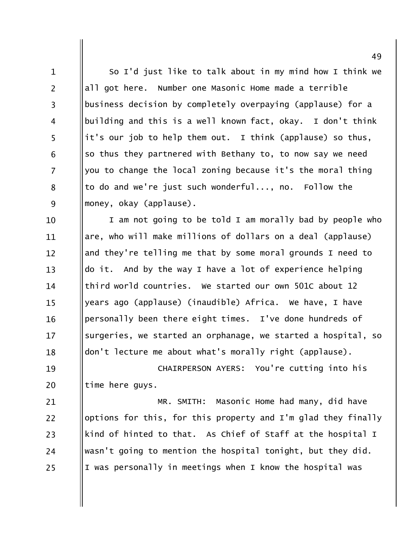So I'd just like to talk about in my mind how I think we  $\mathbf{1}$  $\overline{2}$ all got here. Number one Masonic Home made a terrible business decision by completely overpaying (applause) for a  $\overline{3}$ building and this is a well known fact, okay. I don't think  $\overline{4}$ 5 it's our job to help them out. I think (applause) so thus, so thus they partnered with Bethany to, to now say we need 6  $\overline{7}$ you to change the local zoning because it's the moral thing to do and we're just such wonderful..., no. Follow the 8 9 money, okay (applause).

I am not going to be told I am morally bad by people who 10 are, who will make millions of dollars on a deal (applause) 11 and they're telling me that by some moral grounds I need to  $12 \overline{ }$ do it. And by the way I have a lot of experience helping  $13$ third world countries. We started our own 501C about 12 14 years ago (applause) (inaudible) Africa. We have, I have  $15$ personally been there eight times. I've done hundreds of 16 surgeries, we started an orphanage, we started a hospital, so 17 don't lecture me about what's morally right (applause). 18

CHAIRPERSON AYERS: You're cutting into his 19 20 time here guys.

MR. SMITH: Masonic Home had many, did have 21 options for this, for this property and I'm glad they finally 22 kind of hinted to that. As Chief of Staff at the hospital I 23 wasn't going to mention the hospital tonight, but they did. 24 I was personally in meetings when I know the hospital was 25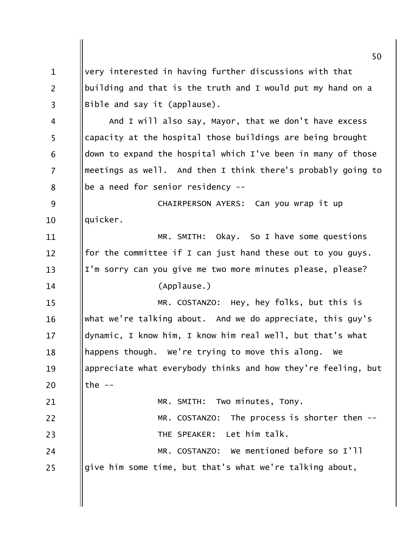very interested in having further discussions with that  $\mathbf{1}$  $\overline{2}$ building and that is the truth and I would put my hand on a Bible and say it (applause).  $\overline{3}$ And I will also say, Mayor, that we don't have excess  $\overline{4}$ 5 capacity at the hospital those buildings are being brought down to expand the hospital which I've been in many of those 6  $\overline{7}$ meetings as well. And then I think there's probably going to be a need for senior residency --8 CHAIRPERSON AYERS: Can you wrap it up 9 quicker.  $10$ MR. SMITH: Okay, So I have some questions 11 for the committee if I can just hand these out to you guys.  $12 \overline{ }$ I'm sorry can you give me two more minutes please, please?  $13$ (Applause.) 14 MR. COSTANZO: Hey, hey folks, but this is  $15$ what we're talking about. And we do appreciate, this guy's 16 dynamic, I know him, I know him real well, but that's what  $17$ happens though. We're trying to move this along. We 18 appreciate what everybody thinks and how they're feeling, but 19 the  $--$ 20 MR. SMITH: Two minutes, Tony. 21  $22$ MR. COSTANZO: The process is shorter then --THE SPEAKER: Let him talk. 23 MR. COSTANZO: We mentioned before so I'll 24 give him some time, but that's what we're talking about, 25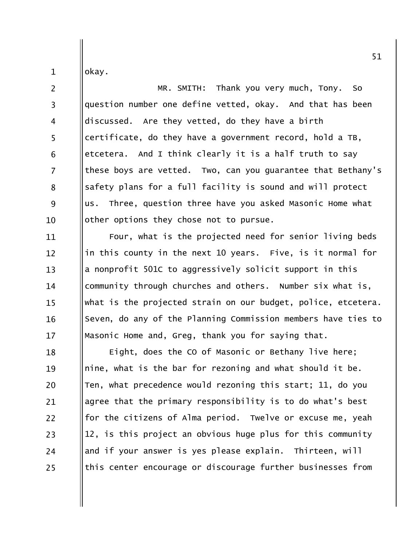okay.

 $\mathbf{1}$ 

 $\overline{2}$ MR. SMITH: Thank you very much, Tony. So question number one define vetted, okay. And that has been  $\overline{3}$ discussed. Are they vetted, do they have a birth  $\overline{4}$ 5 certificate, do they have a government record, hold a TB, etcetera. And I think clearly it is a half truth to say 6  $\overline{7}$ these boys are vetted. Two, can you quarantee that Bethany's safety plans for a full facility is sound and will protect 8 9 us. Three, question three have you asked Masonic Home what other options they chose not to pursue. 10

Four, what is the projected need for senior living beds 11 in this county in the next 10 years. Five, is it normal for  $12 \overline{ }$ a nonprofit 501C to aggressively solicit support in this  $13$ community through churches and others. Number six what is, 14 what is the projected strain on our budget, police, etcetera.  $15$ Seven, do any of the Planning Commission members have ties to 16 Masonic Home and, Greg, thank you for saying that.  $17$ 

Eight, does the CO of Masonic or Bethany live here; 18 nine, what is the bar for rezoning and what should it be. 19 Ten, what precedence would rezoning this start; 11, do you 20 agree that the primary responsibility is to do what's best 21 for the citizens of Alma period. Twelve or excuse me, yeah 22 12, is this project an obvious huge plus for this community 23 and if your answer is yes please explain. Thirteen, will 24 this center encourage or discourage further businesses from 25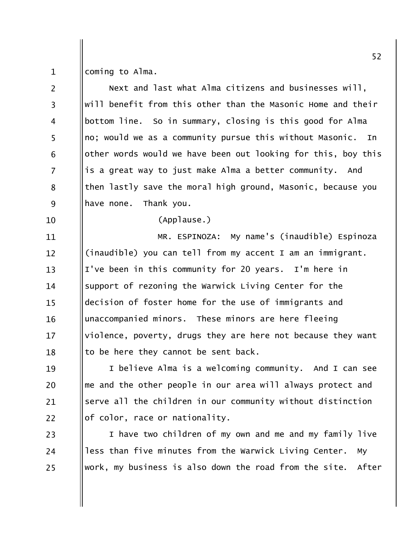coming to Alma.  $\mathbf{1}$ 

 $\overline{2}$ Next and last what Alma citizens and businesses will, will benefit from this other than the Masonic Home and their  $\overline{3}$ bottom line. So in summary, closing is this good for Alma  $\overline{4}$ 5 no; would we as a community pursue this without Masonic. In other words would we have been out looking for this, boy this 6  $\overline{7}$ is a great way to just make Alma a better community. And then lastly save the moral high ground, Masonic, because you 8 9 have none. Thank you.  $(Applause.)$ 10 MR. ESPINOZA: My name's (inaudible) Espinoza 11 (inaudible) you can tell from my accent I am an immigrant.  $12 \overline{ }$  $13$ I've been in this community for 20 years. I'm here in support of rezoning the Warwick Living Center for the 14 decision of foster home for the use of immigrants and  $15$ unaccompanied minors. These minors are here fleeing 16 violence, poverty, drugs they are here not because they want  $17$ to be here they cannot be sent back. 18 I believe Alma is a welcoming community. And I can see 19 me and the other people in our area will always protect and 20 serve all the children in our community without distinction 21

of color, race or nationality. 22

I have two children of my own and me and my family live 23 less than five minutes from the Warwick Living Center. 24 **MV** work, my business is also down the road from the site. After 25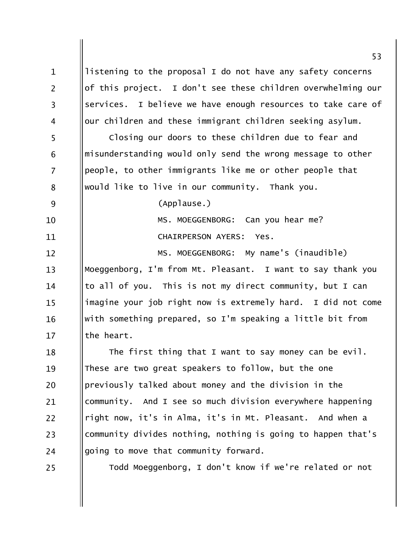53 listening to the proposal I do not have any safety concerns  $\mathbf{1}$  $\overline{2}$ of this project. I don't see these children overwhelming our services. I believe we have enough resources to take care of  $\overline{3}$ our children and these immigrant children seeking asylum.  $\overline{4}$ 5 Closing our doors to these children due to fear and misunderstanding would only send the wrong message to other 6  $\overline{7}$ people, to other immigrants like me or other people that would like to live in our community. Thank you. 8 9 (Applause.) Can you hear me? MS. MOEGGENBORG: 10 CHAIRPERSON AYERS: Yes. 11 MS. MOEGGENBORG: My name's (inaudible)  $12 \overline{ }$ Moeggenborg, I'm from Mt. Pleasant. I want to say thank you  $13$ to all of you. This is not my direct community, but I can 14 imagine your job right now is extremely hard. I did not come  $15$ with something prepared, so I'm speaking a little bit from 16 the heart.  $17$ The first thing that I want to say money can be evil. 18 These are two great speakers to follow, but the one 19 previously talked about money and the division in the 20 community. And I see so much division everywhere happening 21 right now, it's in Alma, it's in Mt. Pleasant. And when a 22 community divides nothing, nothing is going to happen that's 23 going to move that community forward. 24 Todd Moeggenborg, I don't know if we're related or not 25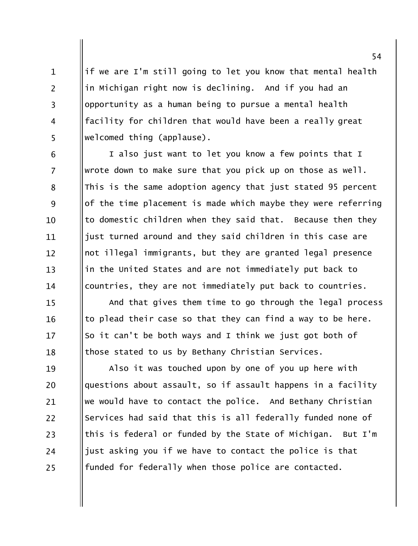if we are I'm still going to let you know that mental health in Michigan right now is declining. And if you had an opportunity as a human being to pursue a mental health facility for children that would have been a really great welcomed thing (applause).

 $\mathbf{1}$ 

 $\overline{2}$ 

 $\overline{3}$ 

 $\overline{4}$ 

5

6

8

9

10

 $12 \overline{ }$ 

 $13$ 

14

15

16

17

18

I also just want to let you know a few points that I  $\overline{7}$ wrote down to make sure that you pick up on those as well. This is the same adoption agency that just stated 95 percent of the time placement is made which maybe they were referring to domestic children when they said that. Because then they just turned around and they said children in this case are 11 not illegal immigrants, but they are granted legal presence in the United States and are not immediately put back to countries, they are not immediately put back to countries.

And that gives them time to go through the legal process to plead their case so that they can find a way to be here. So it can't be both ways and I think we just got both of those stated to us by Bethany Christian Services.

Also it was touched upon by one of you up here with 19 questions about assault, so if assault happens in a facility 20 we would have to contact the police. And Bethany Christian 21 Services had said that this is all federally funded none of 22 this is federal or funded by the State of Michigan. But I'm 23 just asking you if we have to contact the police is that 24 funded for federally when those police are contacted. 25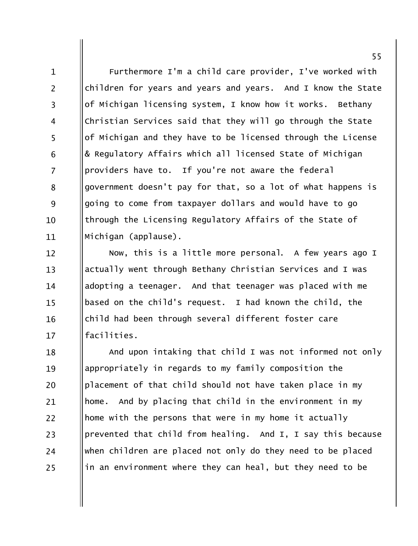Furthermore I'm a child care provider, I've worked with children for years and years and years. And I know the State of Michigan licensing system, I know how it works. Bethany Christian Services said that they will go through the State of Michigan and they have to be licensed through the License & Regulatory Affairs which all licensed State of Michigan providers have to. If you're not aware the federal government doesn't pay for that, so a lot of what happens is going to come from taxpayer dollars and would have to go through the Licensing Regulatory Affairs of the State of Michigan (applause).

 $\mathbf{1}$ 

 $\overline{2}$ 

 $\overline{3}$ 

 $\overline{4}$ 

5

6

 $\overline{7}$ 

8

9

10

11

Now, this is a little more personal. A few years ago I  $12 \overline{ }$ actually went through Bethany Christian Services and I was  $13$ adopting a teenager. And that teenager was placed with me 14 based on the child's request. I had known the child, the  $15$ child had been through several different foster care 16 facilities.  $17$ 

And upon intaking that child I was not informed not only 18 appropriately in regards to my family composition the 19 placement of that child should not have taken place in my 20 home. And by placing that child in the environment in my 21 22 home with the persons that were in my home it actually prevented that child from healing. And I, I say this because 23 when children are placed not only do they need to be placed 24 in an environment where they can heal, but they need to be 25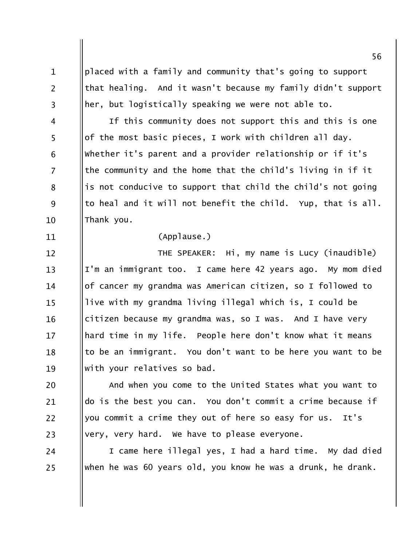placed with a family and community that's going to support that healing. And it wasn't because my family didn't support her, but logistically speaking we were not able to.

If this community does not support this and this is one of the most basic pieces, I work with children all day. whether it's parent and a provider relationship or if it's the community and the home that the child's living in if it is not conducive to support that child the child's not going to heal and it will not benefit the child. Yup, that is all. Thank you.

## (Applause.)

 $\mathbf{1}$ 

 $\overline{2}$ 

 $\overline{3}$ 

 $\overline{4}$ 

5

6

 $\overline{7}$ 

8

9

10

11

THE SPEAKER: Hi, my name is Lucy (inaudible)  $12 \overline{ }$ I'm an immigrant too. I came here 42 years ago. My mom died  $13$ of cancer my grandma was American citizen, so I followed to 14 live with my grandma living illegal which is, I could be  $15$ citizen because my grandma was, so I was. And I have very 16 hard time in my life. People here don't know what it means  $17$ to be an immigrant. You don't want to be here you want to be 18 with your relatives so bad. 19

And when you come to the United States what you want to 20 do is the best you can. You don't commit a crime because if 21 you commit a crime they out of here so easy for us. It's 22 very, very hard. We have to please everyone. 23

I came here illegal yes, I had a hard time. My dad died 24 when he was 60 years old, you know he was a drunk, he drank. 25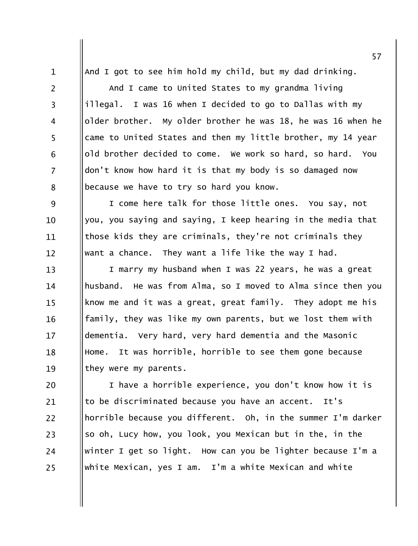And I got to see him hold my child, but my dad drinking. And I came to United States to my grandma living illegal. I was 16 when I decided to go to Dallas with my older brother. My older brother he was 18, he was 16 when he came to United States and then my little brother, my 14 year old brother decided to come. We work so hard, so hard. You don't know how hard it is that my body is so damaged now because we have to try so hard you know.

 $\mathbf{1}$ 

 $\overline{2}$ 

 $\overline{3}$ 

 $\overline{4}$ 

5

6

 $\overline{7}$ 

8

9 I come here talk for those little ones. You say, not you, you saying and saying, I keep hearing in the media that  $10$ those kids they are criminals, they're not criminals they 11 want a chance. They want a life like the way I had.  $12 \overline{ }$ 

I marry my husband when I was 22 years, he was a great  $13$ husband. He was from Alma, so I moved to Alma since then you 14 know me and it was a great, great family. They adopt me his  $15$ family, they was like my own parents, but we lost them with 16 dementia. Very hard, very hard dementia and the Masonic  $17$ Home. It was horrible, horrible to see them gone because 18 they were my parents. 19

I have a horrible experience, you don't know how it is 20 to be discriminated because you have an accent. It's 21 horrible because you different. Oh, in the summer I'm darker  $22$ so oh, Lucy how, you look, you Mexican but in the, in the 23 winter I get so light. How can you be lighter because I'm a 24 white Mexican, yes I am. I'm a white Mexican and white 25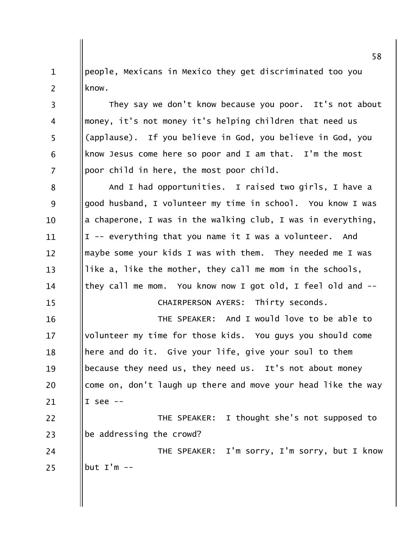people, Mexicans in Mexico they get discriminated too you  $\mathbf{1}$  $\overline{2}$ know.

They say we don't know because you poor. It's not about  $\overline{3}$ money, it's not money it's helping children that need us  $\overline{4}$ 5 (applause). If you believe in God, you believe in God, you know Jesus come here so poor and I am that. I'm the most 6  $\overline{7}$ poor child in here, the most poor child.

And I had opportunities. I raised two girls, I have a 8 good husband, I volunteer my time in school. You know I was 9 a chaperone, I was in the walking club, I was in everything,  $10$ I -- everything that you name it I was a volunteer. And 11 maybe some your kids I was with them. They needed me I was  $12 \overline{ }$ like a, like the mother, they call me mom in the schools,  $13$ they call me mom. You know now I got old, I feel old and --14 CHAIRPERSON AYERS: Thirty seconds.  $15$ 

THE SPEAKER: And I would love to be able to 16 volunteer my time for those kids. You guys you should come  $17$ here and do it. Give your life, give your soul to them 18 because they need us, they need us. It's not about money 19 come on, don't laugh up there and move your head like the way 20 I see  $-$ 21

22 THE SPEAKER: I thought she's not supposed to be addressing the crowd? 23

24 THE SPEAKER: I'm sorry, I'm sorry, but I know but  $I'm --$ 25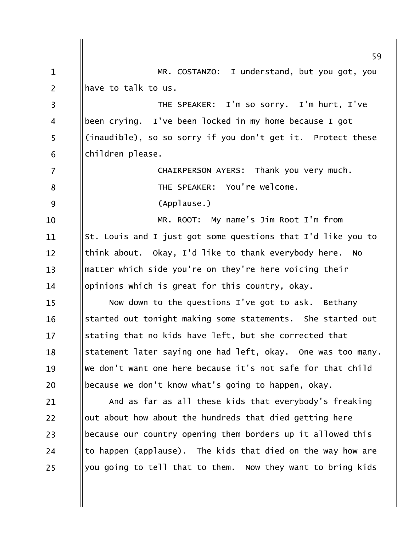|                | 59                                                                |
|----------------|-------------------------------------------------------------------|
| $\mathbf 1$    | MR. COSTANZO: I understand, but you got, you                      |
| $\overline{2}$ | have to talk to us.                                               |
| 3              | THE SPEAKER: I'm so sorry. I'm hurt, I've                         |
| 4              | been crying. I've been locked in my home because I got            |
| 5              | (inaudible), so so sorry if you don't get it. Protect these       |
| 6              | children please.                                                  |
| 7              | CHAIRPERSON AYERS: Thank you very much.                           |
| 8              | THE SPEAKER: You're welcome.                                      |
| 9              | (Applause.)                                                       |
| 10             | MR. ROOT: My name's Jim Root I'm from                             |
| 11             | St. Louis and I just got some questions that I'd like you to      |
| 12             | think about. Okay, I'd like to thank everybody here.<br><b>NO</b> |
| 13             | matter which side you're on they're here voicing their            |
| 14             | opinions which is great for this country, okay.                   |
| 15             | Now down to the questions I've got to ask. Bethany                |
| 16             | started out tonight making some statements. She started out       |
| 17             | stating that no kids have left, but she corrected that            |
| 18             | statement later saying one had left, okay. One was too many.      |
| 19             | We don't want one here because it's not safe for that child       |
| 20             | because we don't know what's going to happen, okay.               |
| 21             | And as far as all these kids that everybody's freaking            |
| 22             | out about how about the hundreds that died getting here           |
| 23             | because our country opening them borders up it allowed this       |
| 24             | to happen (applause). The kids that died on the way how are       |
| 25             | you going to tell that to them. Now they want to bring kids       |
|                |                                                                   |
|                |                                                                   |
|                |                                                                   |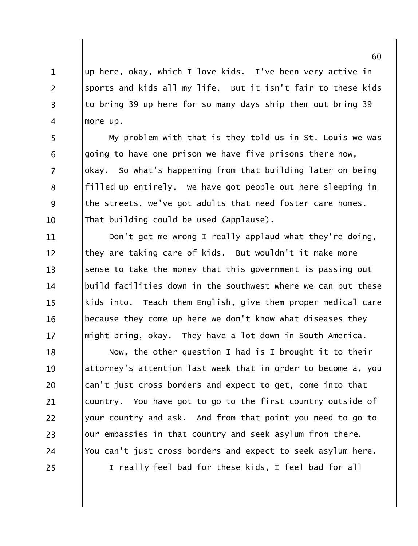up here, okay, which I love kids. I've been very active in  $\mathbf{1}$  $\overline{2}$ sports and kids all my life. But it isn't fair to these kids to bring 39 up here for so many days ship them out bring 39  $\overline{3}$ more up.  $\overline{4}$ 

My problem with that is they told us in St. Louis we was going to have one prison we have five prisons there now,  $\overline{7}$ okay. So what's happening from that building later on being filled up entirely. We have got people out here sleeping in the streets, we've got adults that need foster care homes. That building could be used (applause).

5

6

8

9

 $10$ 

Don't get me wrong I really applaud what they're doing, 11 they are taking care of kids. But wouldn't it make more  $12 \overline{ }$ sense to take the money that this government is passing out  $13$ build facilities down in the southwest where we can put these 14 kids into. Teach them English, give them proper medical care  $15$ because they come up here we don't know what diseases they 16 might bring, okay. They have a lot down in South America.  $17$ 

Now, the other question I had is I brought it to their 18 attorney's attention last week that in order to become a, you 19 can't just cross borders and expect to get, come into that 20 country. You have got to go to the first country outside of 21 22 your country and ask. And from that point you need to go to our embassies in that country and seek asylum from there. 23 You can't just cross borders and expect to seek asylum here. 24 I really feel bad for these kids, I feel bad for all 25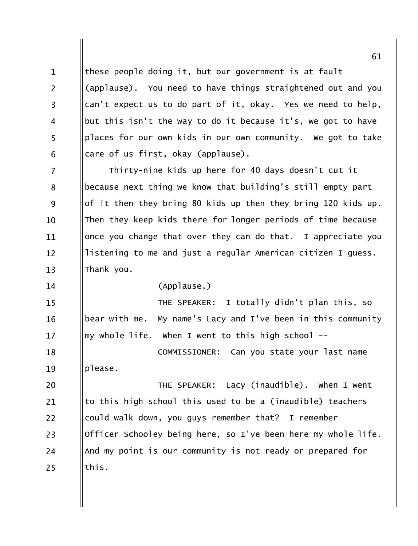these people doing it, but our government is at fault  $\mathbf{1}$  $\overline{2}$ (applause). You need to have things straightened out and you can't expect us to do part of it, okay. Yes we need to help,  $\overline{3}$ but this isn't the way to do it because it's, we got to have  $\overline{4}$ 5 places for our own kids in our own community. We got to take care of us first, okay (applause). 6  $\overline{7}$ Thirty-nine kids up here for 40 days doesn't cut it because next thing we know that building's still empty part 8 9 of it then they bring 80 kids up then they bring 120 kids up. Then they keep kids there for longer periods of time because 10 once you change that over they can do that. I appreciate you 11 listening to me and just a regular American citizen I guess.  $12 \overline{ }$ Thank you.  $13$ (Applause.) 14 THE SPEAKER: I totally didn't plan this, so  $15$ bear with me. My name's Lacy and I've been in this community 16 my whole life. When I went to this high school -- $17$ 

COMMISSIONER: Can you state your last name 18 please. 19

THE SPEAKER: Lacy (inaudible). When I went 20 to this high school this used to be a (inaudible) teachers 21 22 could walk down, you guys remember that? I remember Officer Schooley being here, so I've been here my whole life. 23 And my point is our community is not ready or prepared for 24 this. 25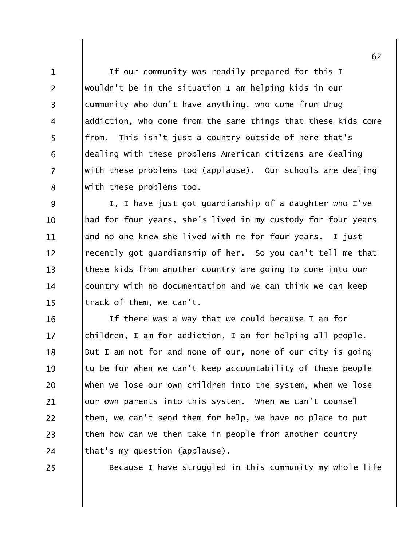If our community was readily prepared for this I wouldn't be in the situation I am helping kids in our community who don't have anything, who come from drug addiction, who come from the same things that these kids come from. This isn't just a country outside of here that's dealing with these problems American citizens are dealing  $\overline{7}$ with these problems too (applause). Our schools are dealing with these problems too.

9 I, I have just got guardianship of a daughter who I've had for four years, she's lived in my custody for four years  $10$ and no one knew she lived with me for four vears. I just 11 recently got guardianship of her. So you can't tell me that  $12 \overline{ }$ these kids from another country are going to come into our  $13$ country with no documentation and we can think we can keep 14 track of them, we can't.  $15$ 

If there was a way that we could because I am for 16 children, I am for addiction, I am for helping all people. 17 But I am not for and none of our, none of our city is going 18 to be for when we can't keep accountability of these people 19 when we lose our own children into the system, when we lose 20 our own parents into this system. When we can't counsel 21 22 them, we can't send them for help, we have no place to put them how can we then take in people from another country  $23$ that's my question (applause). 24

25

 $\mathbf{1}$ 

 $\overline{2}$ 

 $\overline{3}$ 

 $\overline{4}$ 

5

6

8

Because I have struggled in this community my whole life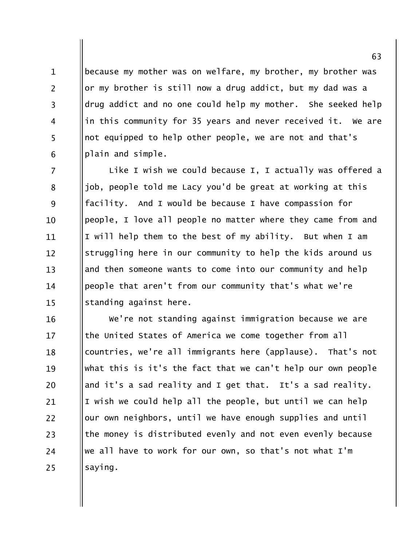because my mother was on welfare, my brother, my brother was or my brother is still now a drug addict, but my dad was a drug addict and no one could help my mother. She seeked help in this community for 35 years and never received it. We are not equipped to help other people, we are not and that's plain and simple.

 $\mathbf{1}$ 

 $\overline{2}$ 

 $\overline{3}$ 

 $\overline{4}$ 

5

6

 $\overline{7}$ Like I wish we could because I, I actually was offered a job, people told me Lacy you'd be great at working at this 8 9 facility. And I would be because I have compassion for people, I love all people no matter where they came from and  $10$ I will help them to the best of my ability. But when I am 11 struggling here in our community to help the kids around us  $12 \overline{ }$ and then someone wants to come into our community and help  $13$ people that aren't from our community that's what we're 14 standing against here.  $15$ 

We're not standing against immigration because we are 16 the United States of America we come together from all  $17$ countries, we're all immigrants here (applause). That's not 18 what this is it's the fact that we can't help our own people 19 and it's a sad reality and I get that. It's a sad reality. 20 I wish we could help all the people, but until we can help 21 our own neighbors, until we have enough supplies and until 22 the money is distributed evenly and not even evenly because 23 we all have to work for our own, so that's not what I'm 24 saying. 25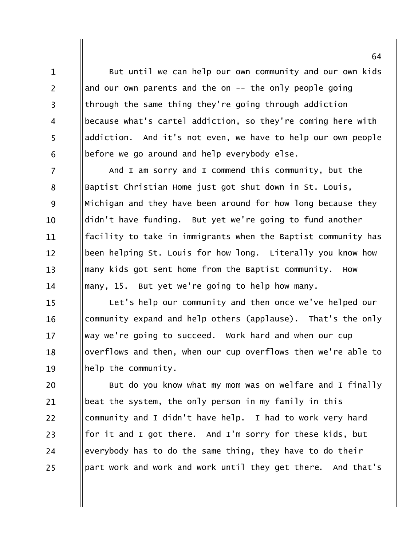But until we can help our own community and our own kids and our own parents and the on  $-$ - the only people going through the same thing they're going through addiction because what's cartel addiction, so they're coming here with addiction. And it's not even, we have to help our own people before we go around and help everybody else.

 $\mathbf{1}$ 

 $\overline{2}$ 

 $\overline{3}$ 

 $\overline{4}$ 

5

6

And I am sorry and I commend this community, but the  $\overline{7}$ Baptist Christian Home just got shut down in St. Louis, 8 9 Michigan and they have been around for how long because they didn't have funding. But yet we're going to fund another 10 facility to take in immigrants when the Baptist community has 11 been helping St. Louis for how long. Literally you know how  $12 \overline{ }$ many kids got sent home from the Baptist community.  $13$ How many, 15. But yet we're going to help how many. 14

Let's help our community and then once we've helped our 15 community expand and help others (applause). That's the only 16 way we're going to succeed. Work hard and when our cup 17 overflows and then, when our cup overflows then we're able to 18 help the community. 19

But do you know what my mom was on welfare and I finally 20 beat the system, the only person in my family in this 21 community and I didn't have help. I had to work very hard 22 for it and I got there. And I'm sorry for these kids, but 23 everybody has to do the same thing, they have to do their 24 part work and work and work until they get there. And that's 25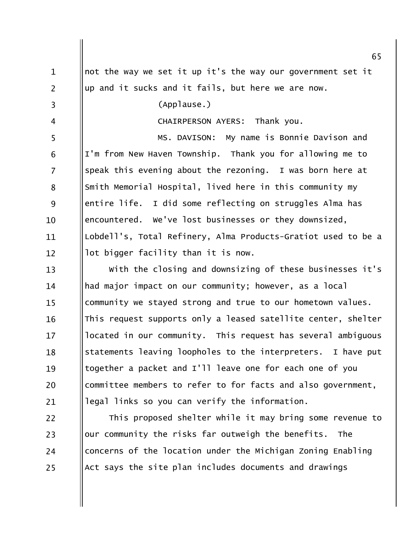|                | 65                                                            |
|----------------|---------------------------------------------------------------|
| $\mathbf{1}$   | not the way we set it up it's the way our government set it   |
| $\overline{2}$ | up and it sucks and it fails, but here we are now.            |
| 3              | (Applause.)                                                   |
| 4              | CHAIRPERSON AYERS: Thank you.                                 |
| 5              | MS. DAVISON: My name is Bonnie Davison and                    |
| 6              | I'm from New Haven Township. Thank you for allowing me to     |
| $\overline{7}$ | speak this evening about the rezoning. I was born here at     |
| 8              | Smith Memorial Hospital, lived here in this community my      |
| 9              | entire life. I did some reflecting on struggles Alma has      |
| 10             | encountered. We've lost businesses or they downsized,         |
| 11             | Lobdell's, Total Refinery, Alma Products-Gratiot used to be a |
| 12             | lot bigger facility than it is now.                           |
| 13             | With the closing and downsizing of these businesses it's      |
| 14             | had major impact on our community; however, as a local        |
| 15             | community we stayed strong and true to our hometown values.   |
| 16             | This request supports only a leased satellite center, shelter |
| 17             | located in our community. This request has several ambiguous  |
| 18             | statements leaving loopholes to the interpreters. I have put  |
| 19             | together a packet and I'll leave one for each one of you      |
| 20             | committee members to refer to for facts and also government,  |
| 21             | legal links so you can verify the information.                |
| 22             | This proposed shelter while it may bring some revenue to      |
| 23             | our community the risks far outweigh the benefits.<br>The     |
| 24             | concerns of the location under the Michigan Zoning Enabling   |
| 25             | Act says the site plan includes documents and drawings        |

Ш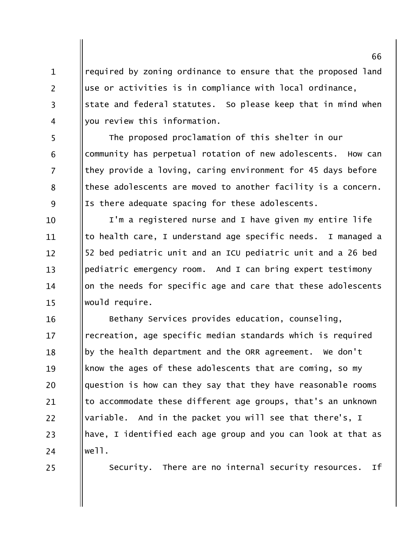required by zoning ordinance to ensure that the proposed land use or activities is in compliance with local ordinance, state and federal statutes. So please keep that in mind when you review this information.

 $\mathbf{1}$ 

 $\overline{2}$ 

 $\overline{3}$ 

 $\overline{4}$ 

5

6

 $\overline{7}$ 

8

9

25

The proposed proclamation of this shelter in our community has perpetual rotation of new adolescents. How can they provide a loving, caring environment for 45 days before these adolescents are moved to another facility is a concern. Is there adequate spacing for these adolescents.

I'm a registered nurse and I have given my entire life 10 to health care. I understand age specific needs. I managed a 11 52 bed pediatric unit and an ICU pediatric unit and a 26 bed  $12 \overline{ }$ pediatric emergency room. And I can bring expert testimony  $13$ on the needs for specific age and care that these adolescents 14 would require.  $15$ 

Bethany Services provides education, counseling, 16 recreation, age specific median standards which is required  $17$ by the health department and the ORR agreement. We don't 18 know the ages of these adolescents that are coming, so my 19 question is how can they say that they have reasonable rooms 20 to accommodate these different age groups, that's an unknown 21 variable. And in the packet you will see that there's, I  $22$ have, I identified each age group and you can look at that as 23 we11. 24

> Security. There are no internal security resources. If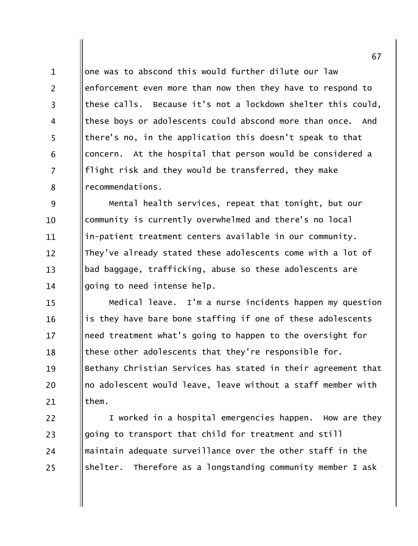one was to abscond this would further dilute our law  $\mathbf{1}$  $\overline{2}$ enforcement even more than now then they have to respond to these calls. Because it's not a lockdown shelter this could,  $\overline{3}$ these boys or adolescents could abscond more than once. And  $\overline{4}$ 5 there's no, in the application this doesn't speak to that concern. At the hospital that person would be considered a 6  $\overline{7}$ flight risk and they would be transferred, they make recommendations. 8

9 Mental health services, repeat that tonight, but our community is currently overwhelmed and there's no local  $10$ in-patient treatment centers available in our community. 11 They've already stated these adolescents come with a lot of  $12 \overline{ }$ bad baggage, trafficking, abuse so these adolescents are  $13$ going to need intense help. 14

Medical leave. I'm a nurse incidents happen my question  $15$ is they have bare bone staffing if one of these adolescents 16 need treatment what's going to happen to the oversight for  $17$ these other adolescents that they're responsible for. 18 Bethany Christian Services has stated in their agreement that 19 no adolescent would leave, leave without a staff member with 20 them. 21

 $22$ I worked in a hospital emergencies happen. How are they going to transport that child for treatment and still 23 maintain adequate surveillance over the other staff in the 24 shelter. Therefore as a longstanding community member I ask 25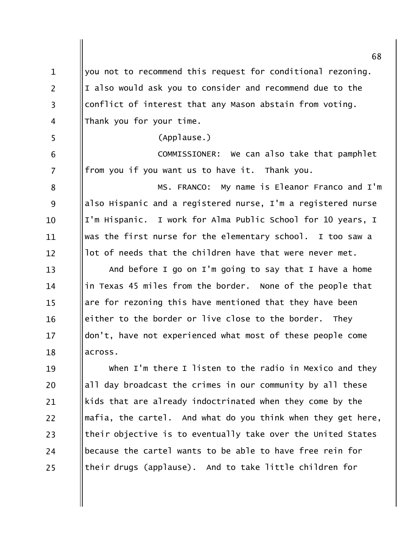68 you not to recommend this request for conditional rezoning.  $\mathbf{1}$  $\overline{2}$ I also would ask you to consider and recommend due to the conflict of interest that any Mason abstain from voting.  $\overline{3}$ Thank you for your time.  $\overline{4}$ 5 (Applause.) COMMISSIONER: We can also take that pamphlet 6  $\overline{7}$ from you if you want us to have it. Thank you. MS. FRANCO: My name is Eleanor Franco and I'm 8 also Hispanic and a registered nurse, I'm a registered nurse 9 I'm Hispanic. I work for Alma Public School for 10 years, I  $10$ was the first nurse for the elementary school. I too saw a 11 lot of needs that the children have that were never met.  $12$ And before I go on I'm going to say that I have a home  $13$ in Texas 45 miles from the border. None of the people that 14 are for rezoning this have mentioned that they have been  $15$ either to the border or live close to the border. They 16 don't, have not experienced what most of these people come  $17$ across. 18 When I'm there I listen to the radio in Mexico and they 19 all day broadcast the crimes in our community by all these 20 kids that are already indoctrinated when they come by the 21 mafia, the cartel. And what do you think when they get here,  $22$ their objective is to eventually take over the United States 23 because the cartel wants to be able to have free rein for 24 their drugs (applause). And to take little children for 25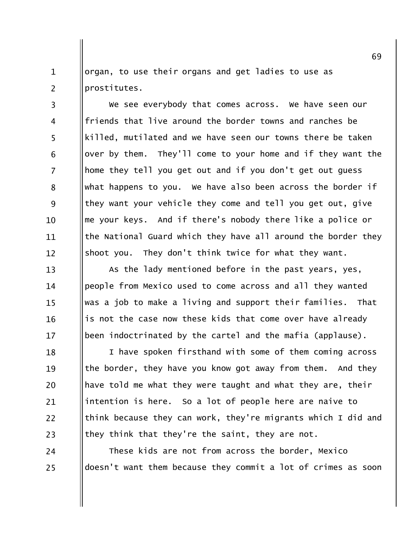organ, to use their organs and get ladies to use as  $\mathbf{1}$  $\overline{2}$ prostitutes.

 $\overline{3}$ 

 $\overline{4}$ 

5

6

 $\overline{7}$ 

8

9

 $10$ 

 $12 \overline{ }$ 

We see everybody that comes across. We have seen our friends that live around the border towns and ranches be killed, mutilated and we have seen our towns there be taken over by them. They'll come to your home and if they want the home they tell you get out and if you don't get out guess what happens to you. We have also been across the border if they want your vehicle they come and tell you get out, give me your keys. And if there's nobody there like a police or the National Guard which they have all around the border they 11 They don't think twice for what they want. shoot you.

As the lady mentioned before in the past years, yes,  $13$ people from Mexico used to come across and all they wanted 14 was a job to make a living and support their families. That  $15$ is not the case now these kids that come over have already 16 been indoctrinated by the cartel and the mafia (applause).  $17$ 

I have spoken firsthand with some of them coming across 18 the border, they have you know got away from them. And they 19 have told me what they were taught and what they are, their 20 intention is here. So a lot of people here are naive to 21  $22$ think because they can work, they're migrants which I did and they think that they're the saint, they are not. 23

These kids are not from across the border, Mexico 24 doesn't want them because they commit a lot of crimes as soon 25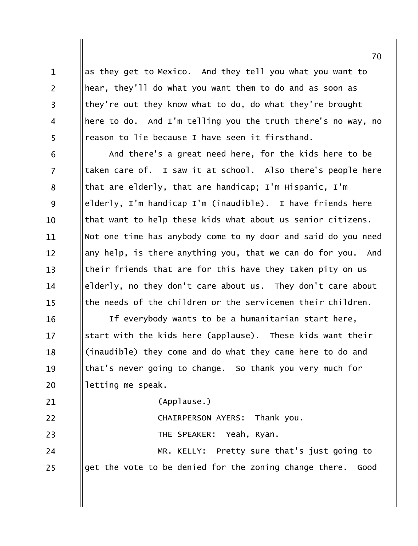as they get to Mexico. And they tell you what you want to hear, they'll do what you want them to do and as soon as they're out they know what to do, do what they're brought here to do. And I'm telling you the truth there's no way, no reason to lie because I have seen it firsthand.

 $\mathbf{1}$ 

 $\overline{2}$ 

 $\overline{3}$ 

 $\overline{4}$ 

5

16

 $17$ 

18

19

20

21

25

And there's a great need here, for the kids here to be 6  $\overline{7}$ taken care of. I saw it at school. Also there's people here that are elderly, that are handicap; I'm Hispanic, I'm 8 9 elderly, I'm handicap I'm (inaudible). I have friends here that want to help these kids what about us senior citizens. 10 Not one time has anybody come to my door and said do you need 11 any help, is there anything you, that we can do for you. And  $12 \overline{ }$ their friends that are for this have they taken pity on us  $13$ elderly, no they don't care about us. They don't care about 14 the needs of the children or the servicemen their children.  $15$ 

If everybody wants to be a humanitarian start here, start with the kids here (applause). These kids want their (inaudible) they come and do what they came here to do and that's never going to change. So thank you very much for letting me speak.

(Applause.)

 $22$ Thank you. **CHAIRPERSON AYERS:** THE SPEAKER: Yeah, Ryan. 23 MR. KELLY: Pretty sure that's just going to 24

get the vote to be denied for the zoning change there. Good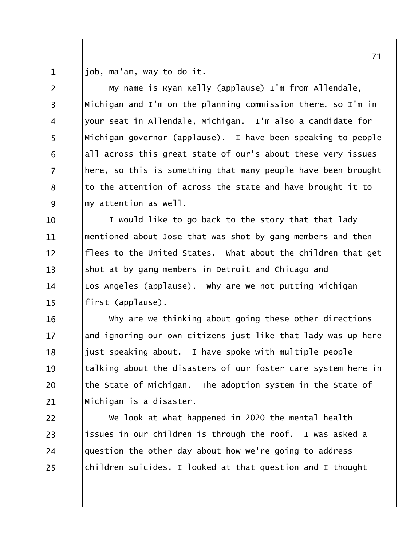job, ma'am, way to do it.  $\mathbf{1}$ 

 $\overline{2}$ 

 $\overline{3}$ 

 $\overline{4}$ 

5

6

 $\overline{7}$ 

8

9

My name is Ryan Kelly (applause) I'm from Allendale, Michigan and I'm on the planning commission there, so I'm in your seat in Allendale, Michigan. I'm also a candidate for Michigan governor (applause). I have been speaking to people all across this great state of our's about these very issues here, so this is something that many people have been brought to the attention of across the state and have brought it to my attention as well.

I would like to go back to the story that that lady 10 mentioned about Jose that was shot by gang members and then 11 flees to the United States. What about the children that get  $12 \overline{ }$ shot at by gang members in Detroit and Chicago and  $13$ Los Angeles (applause). Why are we not putting Michigan 14 first (applause).  $15$ 

Why are we thinking about going these other directions 16 and ignoring our own citizens just like that lady was up here  $17$ just speaking about. I have spoke with multiple people 18 talking about the disasters of our foster care system here in 19 the State of Michigan. The adoption system in the State of 20 Michigan is a disaster. 21

We look at what happened in 2020 the mental health 22 issues in our children is through the roof. I was asked a 23 question the other day about how we're going to address 24 children suicides, I looked at that question and I thought 25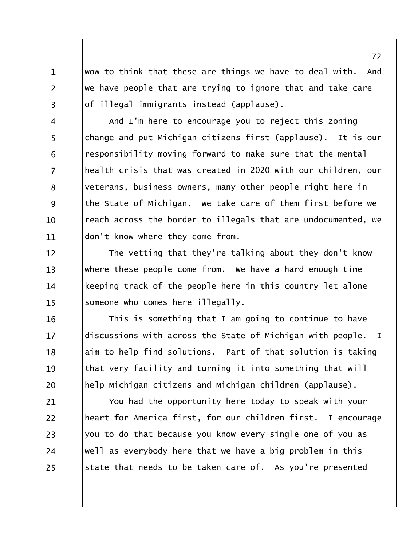wow to think that these are things we have to deal with. And we have people that are trying to ignore that and take care of illegal immigrants instead (applause).

 $\mathbf{1}$ 

 $\overline{2}$ 

 $\overline{3}$ 

16

 $17$ 

18

19

20

And I'm here to encourage you to reject this zoning  $\overline{4}$ 5 change and put Michigan citizens first (applause). It is our responsibility moving forward to make sure that the mental 6  $\overline{7}$ health crisis that was created in 2020 with our children, our veterans, business owners, many other people right here in 8 9 the State of Michigan. We take care of them first before we reach across the border to illegals that are undocumented, we 10 don't know where they come from. 11

The vetting that they're talking about they don't know  $12 \overline{ }$ where these people come from. We have a hard enough time  $13$ keeping track of the people here in this country let alone 14 someone who comes here illegally.  $15$ 

This is something that I am going to continue to have discussions with across the State of Michigan with people.  $\mathbf{T}$ aim to help find solutions. Part of that solution is taking that very facility and turning it into something that will help Michigan citizens and Michigan children (applause).

You had the opportunity here today to speak with your 21 heart for America first, for our children first. I encourage 22 you to do that because you know every single one of you as 23 well as everybody here that we have a big problem in this 24 state that needs to be taken care of. As you're presented 25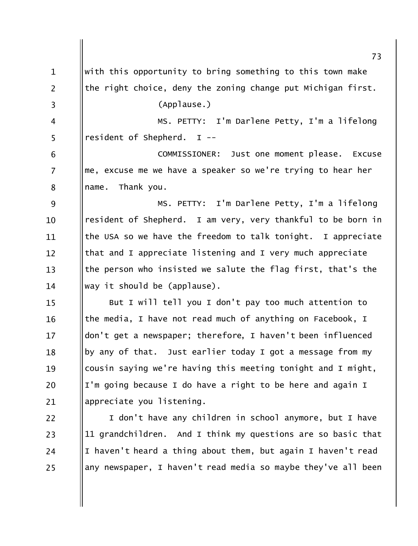with this opportunity to bring something to this town make  $\mathbf{1}$  $\overline{2}$ the right choice, deny the zoning change put Michigan first. (Applause.)  $\overline{3}$ MS. PETTY: I'm Darlene Petty, I'm a lifelong  $\overline{4}$ 5 resident of Shepherd. I --COMMISSIONER: Just one moment please. Excuse 6 me, excuse me we have a speaker so we're trying to hear her  $\overline{7}$ name. Thank you. 8 MS. PETTY: I'm Darlene Petty, I'm a lifelong 9 resident of Shepherd. I am very, very thankful to be born in 10 the USA so we have the freedom to talk tonight. I appreciate 11 that and I appreciate listening and I very much appreciate  $12 \overline{ }$ the person who insisted we salute the flag first, that's the  $13$ way it should be (applause). 14 But I will tell you I don't pay too much attention to  $15$ the media, I have not read much of anything on Facebook, I 16 don't get a newspaper; therefore, I haven't been influenced  $17$ by any of that. Just earlier today I got a message from my 18 cousin saying we're having this meeting tonight and I might, 19 I'm going because I do have a right to be here and again I 20 appreciate you listening. 21 22 I don't have any children in school anymore, but I have 11 grandchildren. And I think my questions are so basic that 23 I haven't heard a thing about them, but again I haven't read 24 any newspaper, I haven't read media so maybe they've all been 25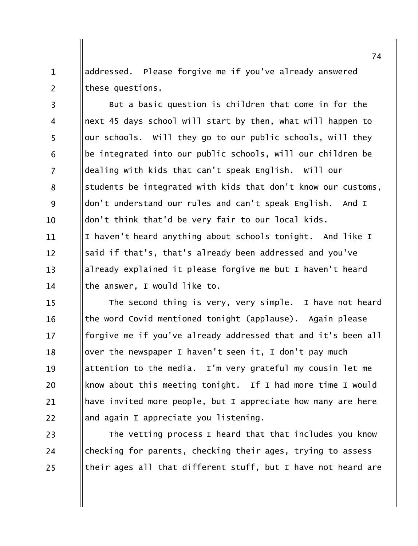addressed. Please forgive me if you've already answered  $\mathbf{1}$  $\overline{2}$ these questions.

But a basic question is children that come in for the  $\overline{3}$ next 45 days school will start by then, what will happen to  $\overline{4}$ 5 our schools. Will they go to our public schools, will they be integrated into our public schools, will our children be 6  $\overline{7}$ dealing with kids that can't speak English. Will our students be integrated with kids that don't know our customs, 8 9 don't understand our rules and can't speak English. And I don't think that'd be very fair to our local kids.  $10<sup>1</sup>$ I haven't heard anything about schools tonight. And like I 11 said if that's, that's already been addressed and you've  $12 \overline{ }$ already explained it please forgive me but I haven't heard  $13$ the answer, I would like to. 14

The second thing is very, very simple. I have not heard  $15$ the word Covid mentioned tonight (applause). Again please 16 forgive me if you've already addressed that and it's been all  $17$ over the newspaper I haven't seen it, I don't pay much 18 attention to the media. I'm very grateful my cousin let me 19 know about this meeting tonight. If I had more time I would 20 have invited more people, but I appreciate how many are here 21 22 and again I appreciate you listening.

The vetting process I heard that that includes you know 23 checking for parents, checking their ages, trying to assess 24 their ages all that different stuff, but I have not heard are 25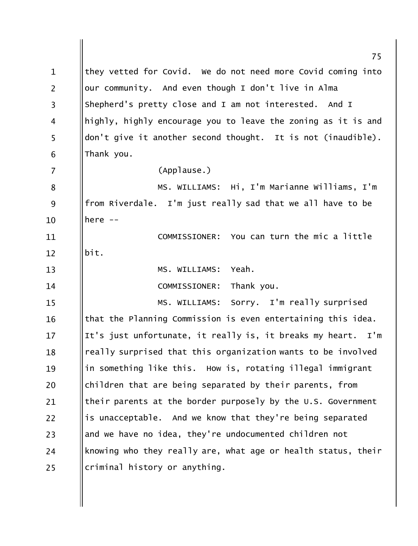|                | 75                                                              |
|----------------|-----------------------------------------------------------------|
| $\mathbf{1}$   | they vetted for Covid. We do not need more Covid coming into    |
| $\overline{2}$ | our community. And even though I don't live in Alma             |
| 3              | Shepherd's pretty close and I am not interested. And I          |
| 4              | highly, highly encourage you to leave the zoning as it is and   |
| 5              | don't give it another second thought. It is not (inaudible).    |
| 6              | Thank you.                                                      |
| 7              | (Applause.)                                                     |
| 8              | MS. WILLIAMS: Hi, I'm Marianne Williams, I'm                    |
| 9              | from Riverdale. I'm just really sad that we all have to be      |
| 10             | here $--$                                                       |
| 11             | COMMISSIONER: You can turn the mic a little                     |
| 12             | bit.                                                            |
| 13             | Yeah.<br>MS. WILLIAMS:                                          |
| 14             | Thank you.<br>COMMISSIONER:                                     |
| 15             | MS. WILLIAMS: Sorry. I'm really surprised                       |
| 16             | that the Planning Commission is even entertaining this idea.    |
| 17             | It's just unfortunate, it really is, it breaks my heart.<br>I'm |
| 18             | really surprised that this organization wants to be involved    |
| 19             | in something like this. How is, rotating illegal immigrant      |
| 20             | children that are being separated by their parents, from        |
| 21             | their parents at the border purposely by the U.S. Government    |
| 22             | is unacceptable. And we know that they're being separated       |
| 23             | and we have no idea, they're undocumented children not          |
| 24             | knowing who they really are, what age or health status, their   |
| 25             | criminal history or anything.                                   |
|                |                                                                 |
|                |                                                                 |
|                |                                                                 |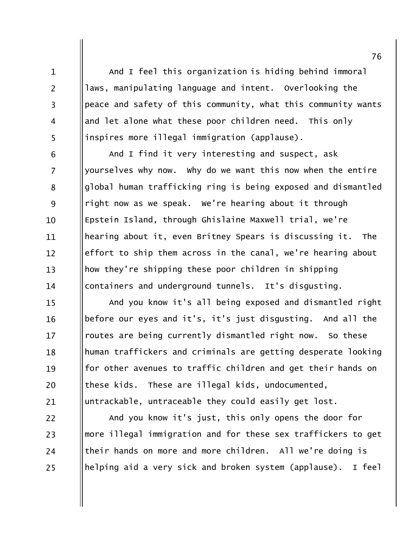And I feel this organization is hiding behind immoral laws, manipulating language and intent. Overlooking the peace and safety of this community, what this community wants and let alone what these poor children need. This only inspires more illegal immigration (applause).

 $\mathbf{1}$ 

 $\overline{2}$ 

 $\overline{3}$ 

 $\overline{4}$ 

5

6

 $\overline{7}$ 

8

9

10

11

 $12 \overline{ }$ 

 $13$ 

14

22

23

24

25

And I find it very interesting and suspect, ask yourselves why now. Why do we want this now when the entire global human trafficking ring is being exposed and dismantled right now as we speak. We're hearing about it through Epstein Island, through Ghislaine Maxwell trial, we're hearing about it, even Britney Spears is discussing it. The effort to ship them across in the canal, we're hearing about how they're shipping these poor children in shipping containers and underground tunnels. It's disqusting.

And you know it's all being exposed and dismantled right  $15$ before our eyes and it's, it's just disgusting. And all the 16 routes are being currently dismantled right now. So these  $17$ human traffickers and criminals are getting desperate looking 18 for other avenues to traffic children and get their hands on 19 these kids. These are illegal kids, undocumented, 20 untrackable, untraceable they could easily get lost. 21

And you know it's just, this only opens the door for more illegal immigration and for these sex traffickers to get their hands on more and more children. All we're doing is helping aid a very sick and broken system (applause). I feel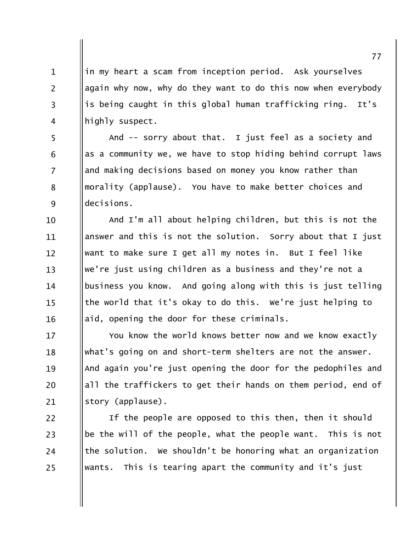in my heart a scam from inception period. Ask yourselves again why now, why do they want to do this now when everybody is being caught in this global human trafficking ring. It's highly suspect.

 $\mathbf{1}$ 

 $\overline{2}$ 

 $\overline{3}$ 

 $\overline{4}$ 

5

6

 $\overline{7}$ 

8

9

And -- sorry about that. I just feel as a society and as a community we, we have to stop hiding behind corrupt laws and making decisions based on money you know rather than morality (applause). You have to make better choices and decisions.

And I'm all about helping children, but this is not the 10 answer and this is not the solution. Sorry about that I just 11 want to make sure I get all my notes in. But I feel like  $12 \overline{ }$ we're just using children as a business and they're not a  $13$ business you know. And going along with this is just telling 14 the world that it's okay to do this. We're just helping to  $15$ aid, opening the door for these criminals. 16

You know the world knows better now and we know exactly 17 what's going on and short-term shelters are not the answer. 18 And again you're just opening the door for the pedophiles and 19 all the traffickers to get their hands on them period, end of 20 story (applause). 21

If the people are opposed to this then, then it should 22 be the will of the people, what the people want. This is not 23 the solution. We shouldn't be honoring what an organization 24 wants. This is tearing apart the community and it's just 25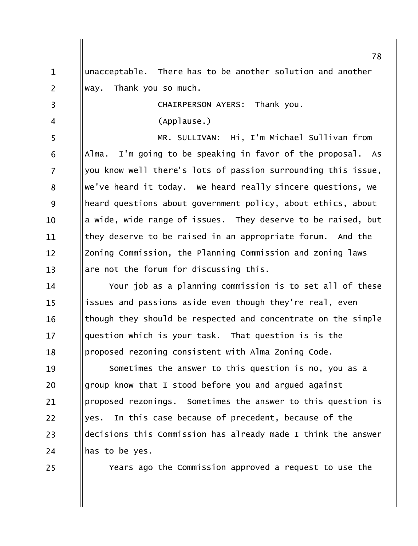unacceptable. There has to be another solution and another  $\mathbf{1}$  $\overline{2}$ way. Thank you so much.  $\overline{3}$ CHAIRPERSON AYERS: Thank you. (Applause.)  $\overline{4}$ 5 MR. SULLIVAN: Hi, I'm Michael Sullivan from Alma. I'm going to be speaking in favor of the proposal. As 6  $\overline{7}$ you know well there's lots of passion surrounding this issue, we've heard it today. We heard really sincere questions, we 8 9 heard questions about government policy, about ethics, about a wide, wide range of issues. They deserve to be raised, but  $10<sup>1</sup>$ they deserve to be raised in an appropriate forum. And the 11 Zoning Commission, the Planning Commission and zoning laws  $12 \overline{ }$ are not the forum for discussing this.  $13$ Your job as a planning commission is to set all of these 14 issues and passions aside even though they're real, even  $15$ though they should be respected and concentrate on the simple 16 question which is your task. That question is is the  $17$ proposed rezoning consistent with Alma Zoning Code. 18 Sometimes the answer to this question is no, you as a 19 group know that I stood before you and argued against 20 proposed rezonings. Sometimes the answer to this question is 21  $22$ yes. In this case because of precedent, because of the decisions this Commission has already made I think the answer 23 has to be yes. 24 25

Years ago the Commission approved a request to use the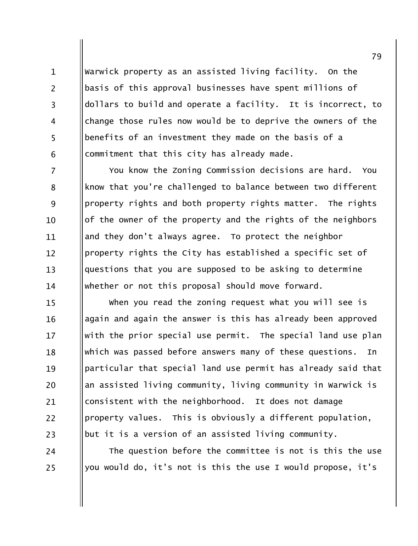Warwick property as an assisted living facility. On the basis of this approval businesses have spent millions of dollars to build and operate a facility. It is incorrect, to change those rules now would be to deprive the owners of the benefits of an investment they made on the basis of a commitment that this city has already made.

 $\mathbf{1}$ 

 $\overline{2}$ 

 $\overline{3}$ 

 $\overline{4}$ 

5

6

24

25

 $\overline{7}$ You know the Zoning Commission decisions are hard. You know that you're challenged to balance between two different 8 9 property rights and both property rights matter. The rights of the owner of the property and the rights of the neighbors  $10<sup>1</sup>$ and they don't always agree. To protect the neighbor 11 property rights the City has established a specific set of  $12 \overline{ }$ questions that you are supposed to be asking to determine  $13$ whether or not this proposal should move forward. 14

when you read the zoning request what you will see is  $15$ again and again the answer is this has already been approved 16 with the prior special use permit. The special land use plan  $17$ which was passed before answers many of these questions. 18 In particular that special land use permit has already said that 19 an assisted living community, living community in Warwick is 20 consistent with the neighborhood. It does not damage 21 property values. This is obviously a different population,  $22$ but it is a version of an assisted living community. 23

The question before the committee is not is this the use you would do, it's not is this the use I would propose, it's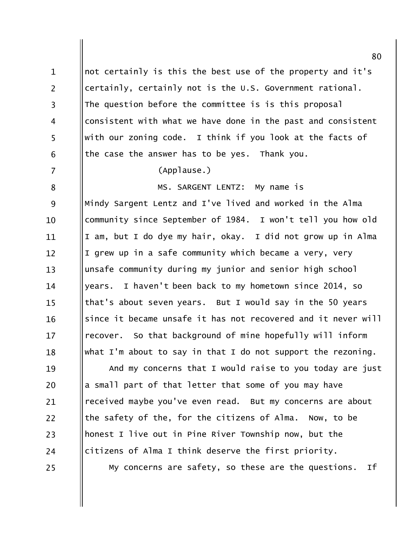not certainly is this the best use of the property and it's  $\mathbf{1}$  $\overline{2}$ certainly, certainly not is the U.S. Government rational. The question before the committee is is this proposal  $\overline{3}$ consistent with what we have done in the past and consistent  $\overline{4}$ 5 with our zoning code. I think if you look at the facts of the case the answer has to be yes. Thank you. 6  $\overline{7}$ (Applause.) MS. SARGENT LENTZ: My name is 8 Mindy Sargent Lentz and I've lived and worked in the Alma 9 community since September of 1984. I won't tell you how old  $10$ I am, but I do dye my hair, okay. I did not grow up in Alma 11 I grew up in a safe community which became a very, very  $12 \overline{ }$ unsafe community during my junior and senior high school  $13$ years. I haven't been back to my hometown since 2014, so 14 that's about seven years. But I would say in the 50 years  $15$ since it became unsafe it has not recovered and it never will 16 recover. So that background of mine hopefully will inform  $17$ what I'm about to say in that I do not support the rezoning. 18 And my concerns that I would raise to you today are just 19 a small part of that letter that some of you may have 20 received maybe you've even read. But my concerns are about 21 the safety of the, for the citizens of Alma. 22 Now, to be honest I live out in Pine River Township now, but the 23 citizens of Alma I think deserve the first priority. 24 My concerns are safety, so these are the questions. Ιf 25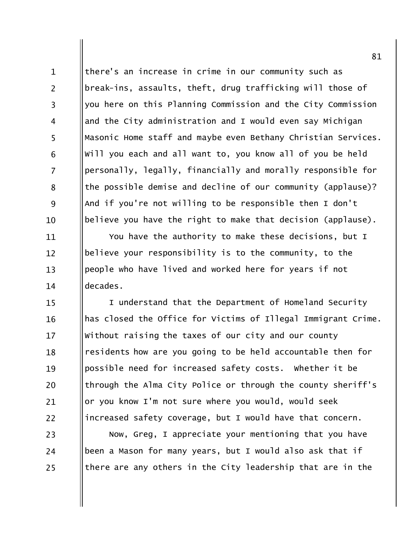there's an increase in crime in our community such as break-ins, assaults, theft, drug trafficking will those of you here on this Planning Commission and the City Commission and the City administration and I would even say Michigan Masonic Home staff and maybe even Bethany Christian Services. will you each and all want to, you know all of you be held personally, legally, financially and morally responsible for the possible demise and decline of our community (applause)? And if you're not willing to be responsible then I don't believe you have the right to make that decision (applause).

 $\mathbf{1}$ 

 $\overline{2}$ 

 $\overline{3}$ 

 $\overline{4}$ 

5

6

 $\overline{7}$ 

8

9

10

11

 $12 \overline{ }$ 

 $13$ 

14

24

25

You have the authority to make these decisions, but I believe your responsibility is to the community, to the people who have lived and worked here for years if not decades.

I understand that the Department of Homeland Security 15 has closed the Office for Victims of Illegal Immigrant Crime. 16 Without raising the taxes of our city and our county 17 residents how are you going to be held accountable then for 18 possible need for increased safety costs. Whether it be 19 through the Alma City Police or through the county sheriff's 20 or you know I'm not sure where you would, would seek 21 increased safety coverage, but I would have that concern. 22 23

Now, Greg, I appreciate your mentioning that you have been a Mason for many years, but I would also ask that if there are any others in the City leadership that are in the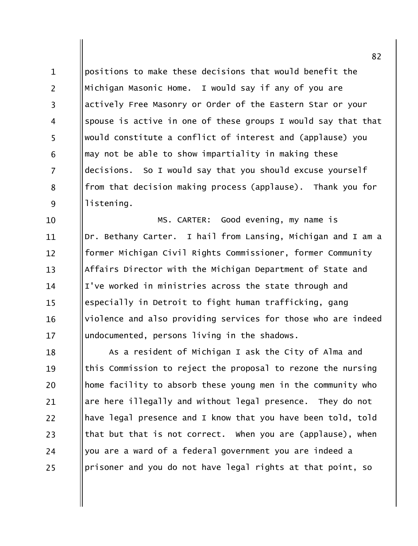positions to make these decisions that would benefit the  $\mathbf{1}$  $\overline{2}$ Michigan Masonic Home. I would say if any of you are actively Free Masonry or Order of the Eastern Star or your  $\overline{3}$ spouse is active in one of these groups I would say that that  $\overline{4}$ 5 would constitute a conflict of interest and (applause) you may not be able to show impartiality in making these 6  $\overline{7}$ decisions. So I would say that you should excuse yourself from that decision making process (applause). Thank you for 8 9 listening.

Good evening, my name is MS. CARTER: 10 Dr. Bethany Carter. I hail from Lansing, Michigan and I am a 11 former Michigan Civil Rights Commissioner, former Community  $12 \overline{ }$ Affairs Director with the Michigan Department of State and  $13$ I've worked in ministries across the state through and 14 especially in Detroit to fight human trafficking, gang  $15$ violence and also providing services for those who are indeed 16 undocumented, persons living in the shadows.  $17$ 

As a resident of Michigan I ask the City of Alma and 18 this Commission to reject the proposal to rezone the nursing 19 home facility to absorb these young men in the community who 20 are here illegally and without legal presence. They do not 21 22 have legal presence and I know that you have been told, told that but that is not correct. When you are (applause), when 23 you are a ward of a federal government you are indeed a 24 prisoner and you do not have legal rights at that point, so 25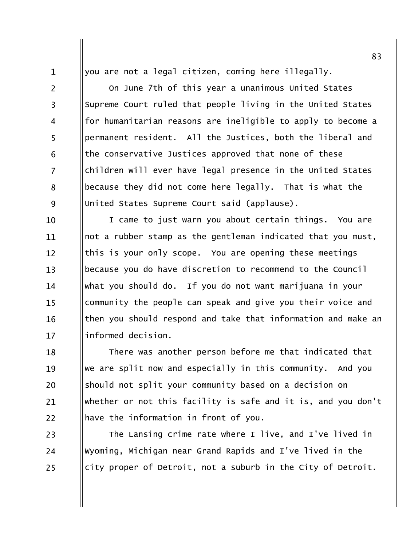you are not a legal citizen, coming here illegally.

 $\mathbf{1}$  $\overline{2}$ 

 $\overline{3}$ 

 $\overline{4}$ 

5

6

 $\overline{7}$ 

8

9

On June 7th of this year a unanimous United States

Supreme Court ruled that people living in the United States for humanitarian reasons are ineligible to apply to become a permanent resident. All the Justices, both the liberal and the conservative Justices approved that none of these children will ever have legal presence in the United States because they did not come here legally. That is what the United States Supreme Court said (applause).

I came to just warn you about certain things. You are 10 not a rubber stamp as the gentleman indicated that you must, 11 this is your only scope. You are opening these meetings  $12 \overline{ }$ because you do have discretion to recommend to the Council  $13$ what you should do. If you do not want marijuana in your 14 community the people can speak and give you their voice and  $15$ then you should respond and take that information and make an 16 informed decision.  $17$ 

There was another person before me that indicated that 18 we are split now and especially in this community. And you 19 should not split your community based on a decision on 20 whether or not this facility is safe and it is, and you don't 21 have the information in front of you. 22

The Lansing crime rate where I live, and I've lived in 23 Wyoming, Michigan near Grand Rapids and I've lived in the 24 city proper of Detroit, not a suburb in the City of Detroit. 25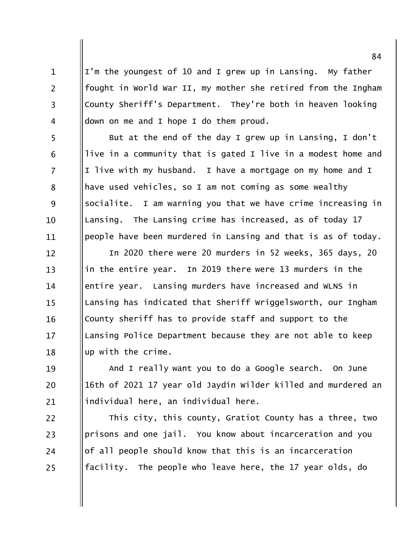I'm the youngest of 10 and I grew up in Lansing. My father fought in World War II, my mother she retired from the Ingham County Sheriff's Department. They're both in heaven looking down on me and I hope I do them proud.

 $\mathbf{1}$ 

 $\overline{2}$ 

 $\overline{3}$ 

 $\overline{4}$ 

5

6

 $\overline{7}$ 

8

9

10

11

But at the end of the day I grew up in Lansing, I don't live in a community that is gated I live in a modest home and I live with my husband. I have a mortgage on my home and I have used vehicles, so I am not coming as some wealthy socialite. I am warning you that we have crime increasing in Lansing. The Lansing crime has increased, as of today 17 people have been murdered in Lansing and that is as of today.

In 2020 there were 20 murders in 52 weeks, 365 days, 20  $12 \overline{ }$ in the entire year. In 2019 there were 13 murders in the  $13$ entire year. Lansing murders have increased and WLNS in 14 Lansing has indicated that Sheriff Wriggelsworth, our Ingham  $15$ County sheriff has to provide staff and support to the 16 Lansing Police Department because they are not able to keep 17 up with the crime. 18

And I really want you to do a Google search. On June 19 16th of 2021 17 year old Jaydin Wilder killed and murdered an 20 individual here, an individual here. 21

22 This city, this county, Gratiot County has a three, two prisons and one jail. You know about incarceration and you 23 of all people should know that this is an incarceration 24 facility. The people who leave here, the 17 year olds, do 25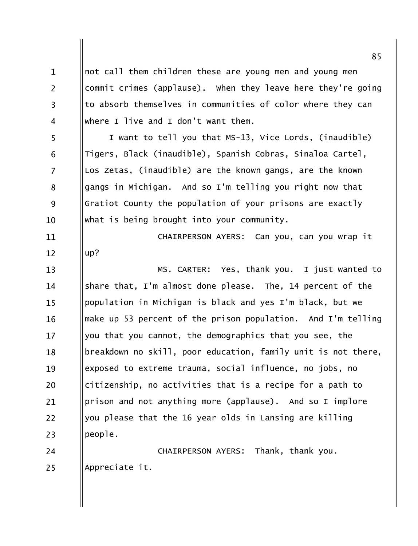not call them children these are young men and young men  $\mathbf{1}$  $\overline{2}$ commit crimes (applause). When they leave here they're going to absorb themselves in communities of color where they can  $\overline{3}$ where I live and I don't want them.  $\overline{4}$ I want to tell you that MS-13, Vice Lords, (inaudible) 5 Tigers, Black (inaudible), Spanish Cobras, Sinaloa Cartel, 6  $\overline{7}$ Los Zetas, (inaudible) are the known gangs, are the known gangs in Michigan. And so I'm telling you right now that 8 9 Gratiot County the population of your prisons are exactly what is being brought into your community. 10 CHAIRPERSON AYERS: Can you, can you wrap it 11  $up?$  $12 \overline{ }$ MS. CARTER: Yes, thank you. I just wanted to  $13$ share that, I'm almost done please. The, 14 percent of the 14 population in Michigan is black and yes I'm black, but we  $15$ make up 53 percent of the prison population. And I'm telling 16 you that you cannot, the demographics that you see, the  $17$ breakdown no skill, poor education, family unit is not there, 18 exposed to extreme trauma, social influence, no jobs, no 19 citizenship, no activities that is a recipe for a path to 20 prison and not anything more (applause). And so I implore 21 22 you please that the 16 year olds in Lansing are killing people. 23 24 CHAIRPERSON AYERS: Thank, thank you. Appreciate it. 25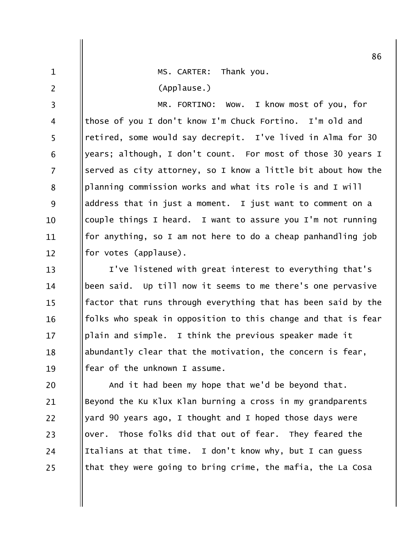MS. CARTER: Thank you.

(Applause.)

 $\mathbf{1}$ 

 $\overline{2}$ 

I know most of you, for  $\overline{3}$ MR. FORTINO: WOW. those of you I don't know I'm Chuck Fortino. I'm old and  $\overline{4}$ 5 retired, some would say decrepit. I've lived in Alma for 30 years; although, I don't count. For most of those 30 years I 6  $\overline{7}$ served as city attorney, so I know a little bit about how the planning commission works and what its role is and I will 8 9 address that in just a moment. I just want to comment on a couple things I heard. I want to assure you I'm not running  $10<sup>1</sup>$ for anything, so I am not here to do a cheap panhandling job 11 for votes (applause).  $12 \overline{ }$ 

I've listened with great interest to everything that's  $13$ been said. Up till now it seems to me there's one pervasive 14 factor that runs through everything that has been said by the  $15$ folks who speak in opposition to this change and that is fear 16 plain and simple. I think the previous speaker made it  $17$ abundantly clear that the motivation, the concern is fear, 18 fear of the unknown I assume. 19

And it had been my hope that we'd be beyond that. 20 Beyond the Ku Klux Klan burning a cross in my grandparents 21 yard 90 years ago, I thought and I hoped those days were  $22$ over. Those folks did that out of fear. They feared the 23 Italians at that time. I don't know why, but I can guess 24 that they were going to bring crime, the mafia, the La Cosa 25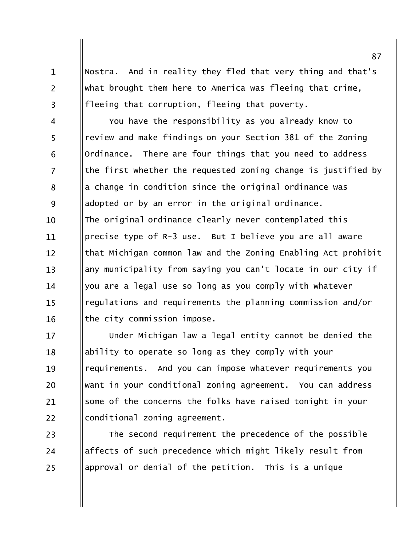Nostra. And in reality they fled that very thing and that's what brought them here to America was fleeing that crime, fleeing that corruption, fleeing that poverty.

 $\mathbf{1}$ 

 $\overline{2}$ 

 $\overline{3}$ 

You have the responsibility as you already know to  $\overline{4}$ 5 review and make findings on your Section 381 of the Zoning Ordinance. There are four things that you need to address 6  $\overline{7}$ the first whether the requested zoning change is justified by a change in condition since the original ordinance was 8 9 adopted or by an error in the original ordinance. The original ordinance clearly never contemplated this 10 precise type of R-3 use. But I believe you are all aware 11 that Michigan common law and the Zoning Enabling Act prohibit  $12 \overline{ }$ any municipality from saying you can't locate in our city if  $13$ you are a legal use so long as you comply with whatever 14 regulations and requirements the planning commission and/or  $15$ the city commission impose. 16

Under Michigan law a legal entity cannot be denied the 17 ability to operate so long as they comply with your 18 requirements. And you can impose whatever requirements you 19 want in your conditional zoning agreement. You can address 20 some of the concerns the folks have raised tonight in your 21 22 conditional zoning agreement.

The second requirement the precedence of the possible 23 affects of such precedence which might likely result from 24 approval or denial of the petition. This is a unique 25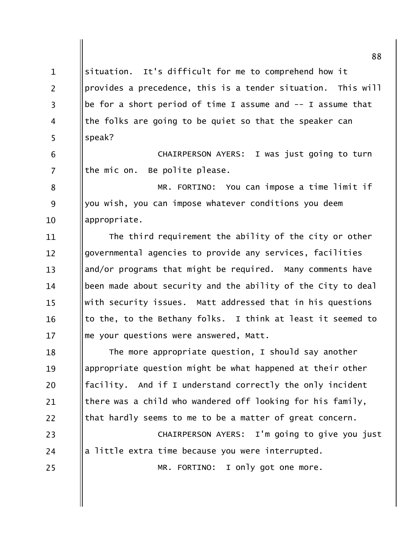| 88                                                           |
|--------------------------------------------------------------|
| situation. It's difficult for me to comprehend how it        |
| provides a precedence, this is a tender situation. This will |
| be for a short period of time I assume and -- I assume that  |
| the folks are going to be quiet so that the speaker can      |
| speak?                                                       |
| CHAIRPERSON AYERS: I was just going to turn                  |
| the mic on.<br>Be polite please.                             |
| MR. FORTINO: You can impose a time limit if                  |
| you wish, you can impose whatever conditions you deem        |
| appropriate.                                                 |
| The third requirement the ability of the city or other       |
| governmental agencies to provide any services, facilities    |
| and/or programs that might be required. Many comments have   |
| been made about security and the ability of the City to deal |
| with security issues. Matt addressed that in his questions   |
| to the, to the Bethany folks. I think at least it seemed to  |
| me your questions were answered, Matt.                       |
| The more appropriate question, I should say another          |
| appropriate question might be what happened at their other   |
| facility. And if I understand correctly the only incident    |
| there was a child who wandered off looking for his family,   |
| that hardly seems to me to be a matter of great concern.     |
| CHAIRPERSON AYERS: I'm going to give you just                |
| a little extra time because you were interrupted.            |
| MR. FORTINO: I only got one more.                            |
|                                                              |
|                                                              |
|                                                              |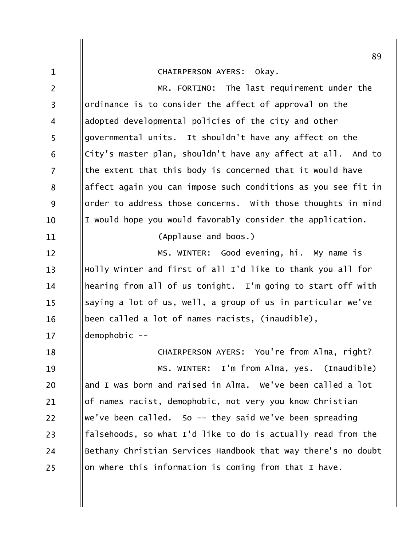## CHAIRPERSON AYERS: Okay.

 $\mathbf{1}$ 

MR. FORTINO: The last requirement under the  $\overline{2}$ ordinance is to consider the affect of approval on the  $\overline{3}$ adopted developmental policies of the city and other  $\overline{4}$ 5 governmental units. It shouldn't have any affect on the City's master plan, shouldn't have any affect at all. And to 6 the extent that this body is concerned that it would have  $\overline{7}$ affect again you can impose such conditions as you see fit in 8 9 order to address those concerns. With those thoughts in mind I would hope you would favorably consider the application. 10 (Applause and boos.) 11 MS. WINTER: Good evening, hi. My name is  $12 \overline{ }$ Holly Winter and first of all I'd like to thank you all for  $13$ hearing from all of us tonight. I'm going to start off with 14 saying a lot of us, well, a group of us in particular we've  $15$ been called a lot of names racists, (inaudible), 16  $demphobi c - 17$ CHAIRPERSON AYERS: You're from Alma, right? 18 MS. WINTER: I'm from Alma, yes. (Inaudible) 19 and I was born and raised in Alma. We've been called a lot 20 of names racist, demophobic, not very you know Christian 21 we've been called. So  $-$  they said we've been spreading  $22$ falsehoods, so what I'd like to do is actually read from the 23 Bethany Christian Services Handbook that way there's no doubt 24 on where this information is coming from that I have. 25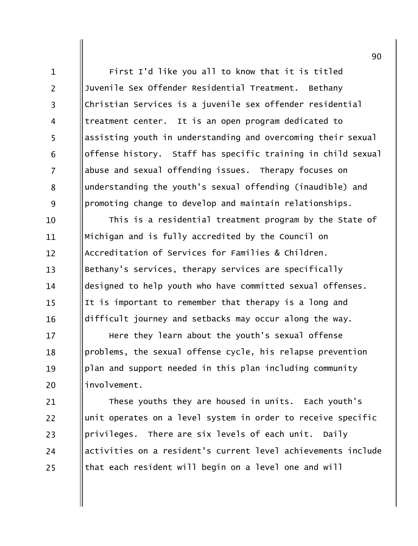First I'd like you all to know that it is titled Juvenile Sex Offender Residential Treatment. Bethany Christian Services is a juvenile sex offender residential treatment center. It is an open program dedicated to assisting youth in understanding and overcoming their sexual offense history. Staff has specific training in child sexual abuse and sexual offending issues. Therapy focuses on understanding the youth's sexual offending (inaudible) and promoting change to develop and maintain relationships.

 $\mathbf{1}$ 

 $\overline{2}$ 

 $\overline{3}$ 

 $\overline{4}$ 

5

6

 $\overline{7}$ 

8

9

This is a residential treatment program by the State of 10 Michigan and is fully accredited by the Council on 11 Accreditation of Services for Families & Children.  $12$ Bethany's services, therapy services are specifically  $13$ designed to help youth who have committed sexual offenses. 14 It is important to remember that therapy is a long and  $15$ difficult journey and setbacks may occur along the way. 16

Here they learn about the youth's sexual offense  $17$ problems, the sexual offense cycle, his relapse prevention 18 plan and support needed in this plan including community 19 involvement. 20

These youths they are housed in units. Each youth's 21 unit operates on a level system in order to receive specific  $22$ privileges. There are six levels of each unit. Daily 23 activities on a resident's current level achievements include 24 that each resident will begin on a level one and will 25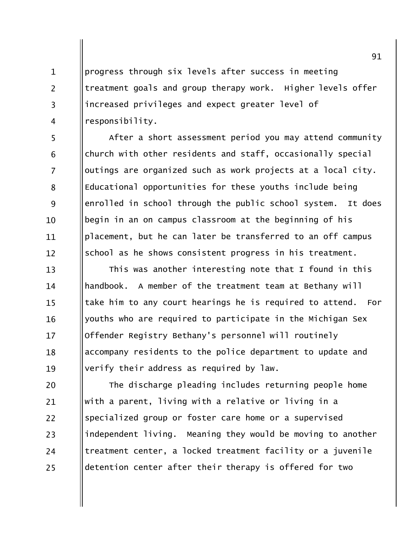progress through six levels after success in meeting treatment goals and group therapy work. Higher levels offer increased privileges and expect greater level of responsibility.

 $\mathbf{1}$ 

 $\overline{2}$ 

 $\overline{3}$ 

 $\overline{4}$ 

5

6

 $\overline{7}$ 

8

9

10

11

 $12 \overline{ }$ 

After a short assessment period you may attend community church with other residents and staff, occasionally special outings are organized such as work projects at a local city. Educational opportunities for these youths include being enrolled in school through the public school system. It does begin in an on campus classroom at the beginning of his placement, but he can later be transferred to an off campus school as he shows consistent progress in his treatment.

This was another interesting note that I found in this  $13$ handbook. A member of the treatment team at Bethany will 14 take him to any court hearings he is required to attend. For  $15$ youths who are required to participate in the Michigan Sex 16 Offender Registry Bethany's personnel will routinely  $17$ accompany residents to the police department to update and 18 verify their address as required by law. 19

The discharge pleading includes returning people home 20 with a parent, living with a relative or living in a 21  $22$ specialized group or foster care home or a supervised independent living. Meaning they would be moving to another 23 treatment center, a locked treatment facility or a juvenile 24 detention center after their therapy is offered for two 25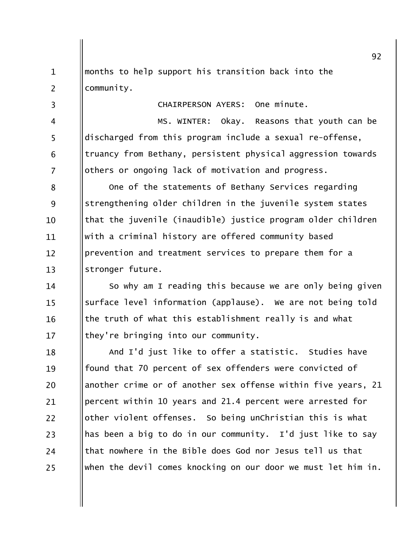months to help support his transition back into the  $\mathbf{1}$  $\overline{2}$ community.

 $\overline{3}$ 

 $\overline{4}$ 

5

6

 $\overline{7}$ 

CHAIRPERSON AYERS: One minute.

MS. WINTER: Okay. Reasons that youth can be discharged from this program include a sexual re-offense, truancy from Bethany, persistent physical aggression towards others or ongoing lack of motivation and progress.

One of the statements of Bethany Services regarding 8 9 strengthening older children in the juvenile system states that the juvenile (inaudible) justice program older children  $10$ with a criminal history are offered community based 11 prevention and treatment services to prepare them for a  $12 \overline{ }$  $13$ stronger future.

So why am I reading this because we are only being given 14 surface level information (applause). We are not being told  $15$ the truth of what this establishment really is and what 16 they're bringing into our community.  $17$ 

And I'd just like to offer a statistic. Studies have 18 found that 70 percent of sex offenders were convicted of 19 another crime or of another sex offense within five years, 21 20 percent within 10 years and 21.4 percent were arrested for 21 other violent offenses. So being unChristian this is what 22 has been a big to do in our community. I'd just like to say 23 that nowhere in the Bible does God nor Jesus tell us that 24 when the devil comes knocking on our door we must let him in. 25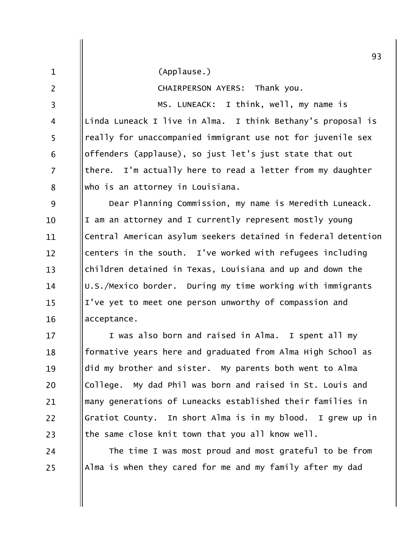|                | 93                                                            |
|----------------|---------------------------------------------------------------|
| $\mathbf{1}$   | (Applause.)                                                   |
| $\overline{2}$ | CHAIRPERSON AYERS: Thank you.                                 |
| 3              | MS. LUNEACK: I think, well, my name is                        |
| 4              | Linda Luneack I live in Alma. I think Bethany's proposal is   |
| 5              | really for unaccompanied immigrant use not for juvenile sex   |
| 6              | offenders (applause), so just let's just state that out       |
| 7              | I'm actually here to read a letter from my daughter<br>there. |
| 8              | who is an attorney in Louisiana.                              |
| 9              | Dear Planning Commission, my name is Meredith Luneack.        |
| 10             | I am an attorney and I currently represent mostly young       |
| 11             | Central American asylum seekers detained in federal detention |
| 12             | centers in the south. I've worked with refugees including     |
| 13             | children detained in Texas, Louisiana and up and down the     |
| 14             | U.S./Mexico border. During my time working with immigrants    |
| 15             | I've yet to meet one person unworthy of compassion and        |
| 16             | acceptance.                                                   |
| 17             | I was also born and raised in Alma.<br>I spent all my         |
| 18             | formative years here and graduated from Alma High School as   |
| 19             | did my brother and sister. My parents both went to Alma       |
| 20             | College. My dad Phil was born and raised in St. Louis and     |
| 21             | many generations of Luneacks established their families in    |
| 22             | Gratiot County. In short Alma is in my blood. I grew up in    |
|                |                                                               |

 $\vert$  the same close knit town that you all know well.

23

 $24$ 

25

The time I was most proud and most grateful to be from Alma is when they cared for me and my family after my dad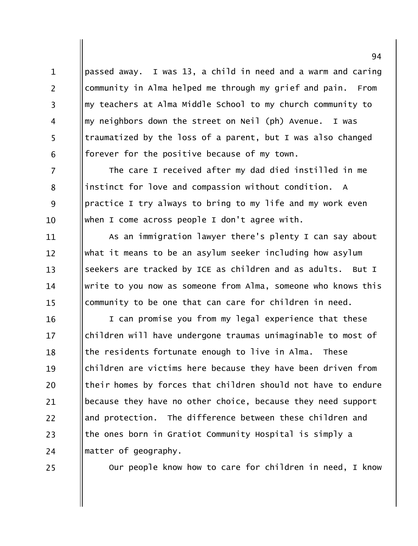passed away. I was 13, a child in need and a warm and caring community in Alma helped me through my grief and pain. From my teachers at Alma Middle School to my church community to my neighbors down the street on Neil (ph) Avenue. I was traumatized by the loss of a parent, but I was also changed forever for the positive because of my town.

 $\overline{7}$ The care I received after my dad died instilled in me instinct for love and compassion without condition. A 8 9 practice I try always to bring to my life and my work even when I come across people I don't agree with.  $10<sup>1</sup>$ 

As an immigration lawyer there's plenty I can say about 11 what it means to be an asylum seeker including how asylum  $12 \overline{ }$ seekers are tracked by ICE as children and as adults. But I  $13$ write to you now as someone from Alma, someone who knows this 14 community to be one that can care for children in need.  $15$ 

I can promise you from my legal experience that these 16 children will have undergone traumas unimaginable to most of  $17$ the residents fortunate enough to live in Alma. These 18 children are victims here because they have been driven from 19 their homes by forces that children should not have to endure 20 because they have no other choice, because they need support 21 and protection. The difference between these children and  $22$ the ones born in Gratiot Community Hospital is simply a 23 matter of geography. 24

25

 $\mathbf{1}$ 

 $\overline{2}$ 

 $\overline{3}$ 

 $\overline{4}$ 

5

6

Our people know how to care for children in need, I know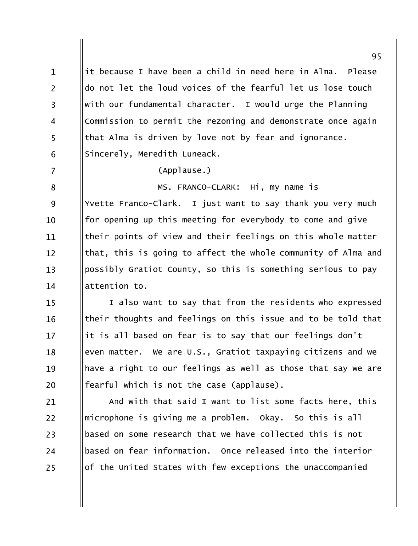it because I have been a child in need here in Alma.  $\mathbf{1}$ Please  $\overline{2}$ do not let the loud voices of the fearful let us lose touch with our fundamental character. I would urge the Planning  $\overline{3}$ Commission to permit the rezoning and demonstrate once again  $\overline{4}$ 5 that Alma is driven by love not by fear and ignorance. Sincerely, Meredith Luneack. 6  $\overline{7}$ (Applause.) MS. FRANCO-CLARK: Hi, my name is 8 Yvette Franco-Clark. I just want to say thank you very much 9 for opening up this meeting for everybody to come and give  $10$ their points of view and their feelings on this whole matter 11 that, this is going to affect the whole community of Alma and  $12 \overline{ }$  $13$ possibly Gratiot County, so this is something serious to pay attention to.  $14$ I also want to say that from the residents who expressed  $15$ their thoughts and feelings on this issue and to be told that 16 it is all based on fear is to say that our feelings don't  $17$ 18

even matter. We are U.S., Gratiot taxpaying citizens and we have a right to our feelings as well as those that say we are 19 fearful which is not the case (applause). 20

And with that said I want to list some facts here, this 21 22 microphone is giving me a problem. Okay. So this is all based on some research that we have collected this is not 23 based on fear information. Once released into the interior 24 of the United States with few exceptions the unaccompanied 25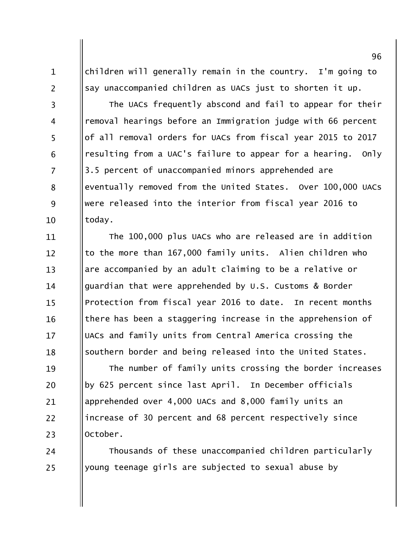children will generally remain in the country. I'm going to say unaccompanied children as UACs just to shorten it up.

 $\mathbf{1}$ 

 $\overline{2}$ 

 $\overline{3}$ 

 $\overline{4}$ 

5

6

 $\overline{7}$ 

8

9

10

24

25

The UACs frequently abscond and fail to appear for their removal hearings before an Immigration judge with 66 percent of all removal orders for UACs from fiscal year 2015 to 2017 resulting from a UAC's failure to appear for a hearing.  $Onlv$ 3.5 percent of unaccompanied minors apprehended are eventually removed from the United States. Over 100,000 UACs were released into the interior from fiscal year 2016 to today.

The 100,000 plus UACs who are released are in addition 11 to the more than 167,000 family units. Alien children who  $12 \overline{ }$ are accompanied by an adult claiming to be a relative or  $13$ guardian that were apprehended by U.S. Customs & Border 14 Protection from fiscal year 2016 to date. In recent months  $15$ there has been a staggering increase in the apprehension of 16 UACs and family units from Central America crossing the 17 southern border and being released into the United States. 18

The number of family units crossing the border increases 19 by 625 percent since last April. In December officials 20 apprehended over 4,000 UACs and 8,000 family units an 21 increase of 30 percent and 68 percent respectively since 22 October. 23

Thousands of these unaccompanied children particularly young teenage girls are subjected to sexual abuse by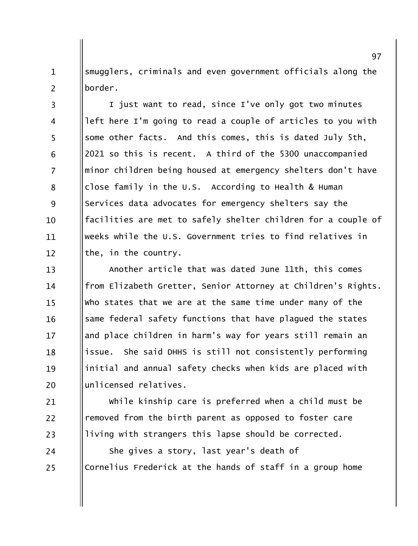smugglers, criminals and even government officials along the  $\mathbf{1}$  $\overline{2}$ border.

I just want to read, since I've only got two minutes  $\overline{3}$ left here I'm going to read a couple of articles to you with  $\overline{4}$ 5 some other facts. And this comes, this is dated July 5th, 2021 so this is recent. A third of the 5300 unaccompanied 6  $\overline{7}$ minor children being housed at emergency shelters don't have close family in the U.S. According to Health & Human 8 9 Services data advocates for emergency shelters say the facilities are met to safely shelter children for a couple of  $10<sup>1</sup>$ weeks while the U.S. Government tries to find relatives in 11 the, in the country.  $12<sup>1</sup>$ 

Another article that was dated June 11th, this comes  $13$ from Elizabeth Gretter, Senior Attorney at Children's Rights.  $14$ who states that we are at the same time under many of the  $15$ same federal safety functions that have plagued the states 16 and place children in harm's way for years still remain an  $17$ She said DHHS is still not consistently performing issue. 18 initial and annual safety checks when kids are placed with 19 unlicensed relatives. 20

while kinship care is preferred when a child must be 21  $22$ removed from the birth parent as opposed to foster care living with strangers this lapse should be corrected. 23

She gives a story, last year's death of 24 Cornelius Frederick at the hands of staff in a group home 25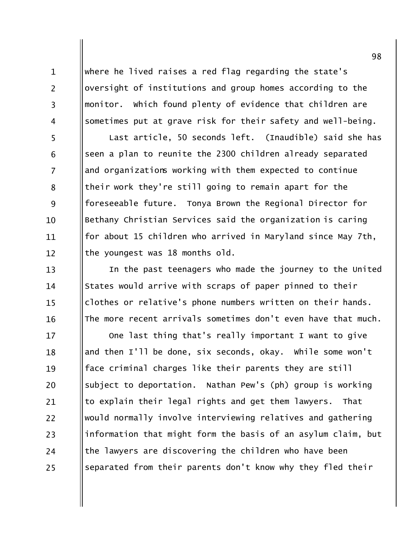where he lived raises a red flag regarding the state's oversight of institutions and group homes according to the monitor. Which found plenty of evidence that children are sometimes put at grave risk for their safety and well-being. Last article, 50 seconds left. (Inaudible) said she has seen a plan to reunite the 2300 children already separated and organizations working with them expected to continue their work they're still going to remain apart for the foreseeable future. Tonya Brown the Regional Director for Bethany Christian Services said the organization is caring for about 15 children who arrived in Maryland since May 7th, the youngest was 18 months old.

 $\mathbf{1}$ 

 $\overline{2}$ 

 $\overline{3}$ 

 $\overline{4}$ 

5

6

 $\overline{7}$ 

8

9

10

11

 $12 \overline{ }$ 

 $13$ 

14

 $15$ 

16

In the past teenagers who made the journey to the United States would arrive with scraps of paper pinned to their clothes or relative's phone numbers written on their hands. The more recent arrivals sometimes don't even have that much.

One last thing that's really important I want to give 17 and then I'll be done, six seconds, okay. While some won't 18 face criminal charges like their parents they are still 19 subject to deportation. Nathan Pew's (ph) group is working 20 to explain their legal rights and get them lawyers. That 21 would normally involve interviewing relatives and gathering 22 information that might form the basis of an asylum claim, but 23 the lawyers are discovering the children who have been 24 separated from their parents don't know why they fled their 25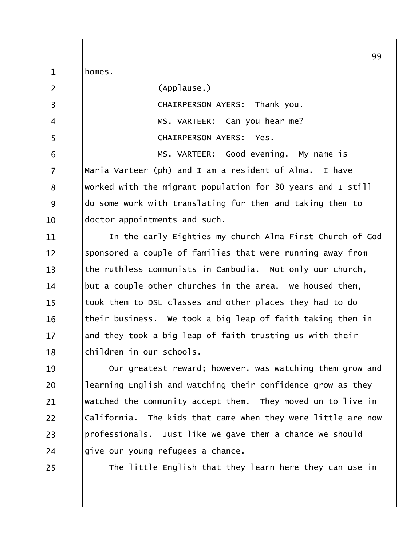|                | 99                                                           |
|----------------|--------------------------------------------------------------|
| $\mathbf{1}$   | homes.                                                       |
| $\overline{2}$ | (Applause.)                                                  |
| 3              | <b>CHAIRPERSON AYERS:</b><br>Thank you.                      |
| 4              | MS. VARTEER: Can you hear me?                                |
| 5              | <b>CHAIRPERSON AYERS:</b><br>Yes.                            |
| 6              | MS. VARTEER: Good evening. My name is                        |
| 7              | Maria Varteer (ph) and I am a resident of Alma.<br>I have    |
| 8              | worked with the migrant population for 30 years and I still  |
| 9              | do some work with translating for them and taking them to    |
| 10             | doctor appointments and such.                                |
| 11             | In the early Eighties my church Alma First Church of God     |
| 12             | sponsored a couple of families that were running away from   |
| 13             | the ruthless communists in Cambodia. Not only our church,    |
| 14             | but a couple other churches in the area. We housed them,     |
| 15             | took them to DSL classes and other places they had to do     |
| 16             | their business. We took a big leap of faith taking them in   |
| 17             | and they took a big leap of faith trusting us with their     |
| 18             | children in our schools.                                     |
| 19             | Our greatest reward; however, was watching them grow and     |
| 20             | learning English and watching their confidence grow as they  |
| 21             | watched the community accept them. They moved on to live in  |
| 22             | California. The kids that came when they were little are now |
| 23             | professionals. Just like we gave them a chance we should     |
| 24             | give our young refugees a chance.                            |
| 25             | The little English that they learn here they can use in      |
|                |                                                              |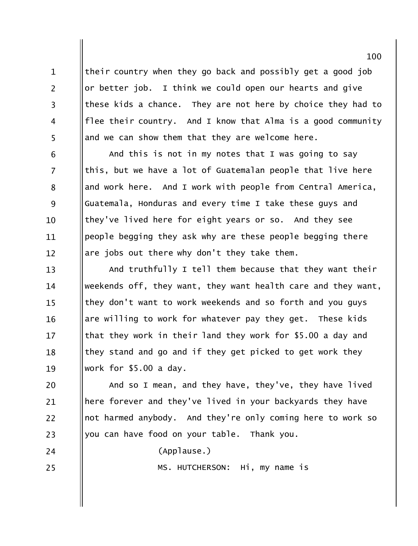their country when they go back and possibly get a good job or better job. I think we could open our hearts and give these kids a chance. They are not here by choice they had to flee their country. And I know that Alma is a good community and we can show them that they are welcome here.

 $\mathbf{1}$ 

 $\overline{2}$ 

 $\overline{3}$ 

 $\overline{4}$ 

5

6

 $\overline{7}$ 

8

9

10

11

 $12 \overline{ }$ 

24

25

And this is not in my notes that I was going to say this, but we have a lot of Guatemalan people that live here and work here. And I work with people from Central America, Guatemala, Honduras and every time I take these guys and they've lived here for eight years or so. And they see people begging they ask why are these people begging there are jobs out there why don't they take them.

And truthfully I tell them because that they want their  $13$ weekends off, they want, they want health care and they want, 14 they don't want to work weekends and so forth and you guys  $15$ are willing to work for whatever pay they get. These kids 16 that they work in their land they work for \$5.00 a day and 17 they stand and go and if they get picked to get work they 18 work for \$5.00 a day. 19

And so I mean, and they have, they've, they have lived 20 here forever and they've lived in your backyards they have 21 not harmed anybody. And they're only coming here to work so 22 you can have food on your table. Thank you. 23

(Applause.)

MS. HUTCHERSON: Hi, my name is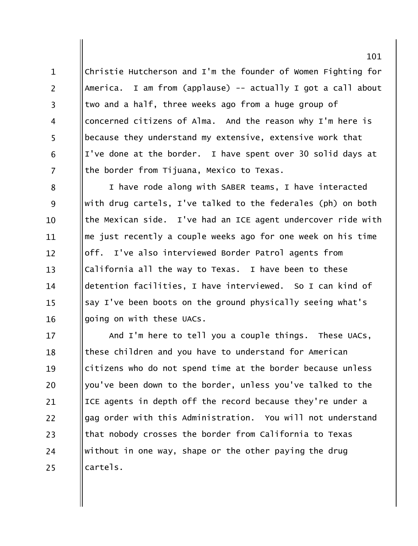Christie Hutcherson and I'm the founder of Women Fighting for America. I am from (applause) -- actually I got a call about two and a half, three weeks ago from a huge group of concerned citizens of Alma. And the reason why I'm here is because they understand my extensive, extensive work that I've done at the border. I have spent over 30 solid days at the border from Tijuana, Mexico to Texas.

 $\mathbf{1}$ 

 $\overline{2}$ 

 $\overline{3}$ 

 $\overline{4}$ 

5

6

 $\overline{7}$ 

I have rode along with SABER teams, I have interacted 8 with drug cartels, I've talked to the federales (ph) on both 9 the Mexican side. I've had an ICE agent undercover ride with  $10$ me just recently a couple weeks ago for one week on his time 11 off. I've also interviewed Border Patrol agents from  $12 \overline{ }$ California all the way to Texas. I have been to these  $13$ detention facilities, I have interviewed. So I can kind of 14 say I've been boots on the ground physically seeing what's  $15$ going on with these UACs. 16

And I'm here to tell you a couple things. These UACs, 17 these children and you have to understand for American 18 citizens who do not spend time at the border because unless 19 you've been down to the border, unless you've talked to the 20 ICE agents in depth off the record because they're under a 21 gag order with this Administration. You will not understand  $22$ that nobody crosses the border from California to Texas 23 without in one way, shape or the other paying the drug 24 cartels. 25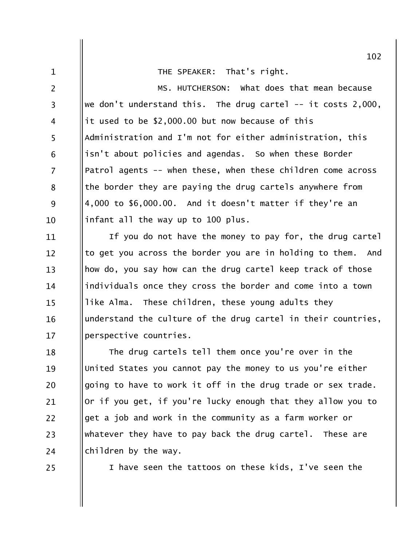THE SPEAKER: That's right.

MS. HUTCHERSON: what does that mean because  $\overline{2}$ we don't understand this. The drug cartel  $-$  it costs 2,000,  $\overline{3}$ it used to be \$2,000.00 but now because of this  $\overline{4}$ 5 Administration and I'm not for either administration, this isn't about policies and agendas. So when these Border 6  $\overline{7}$ Patrol agents -- when these, when these children come across the border they are paying the drug cartels anywhere from 8 9 4,000 to \$6,000.00. And it doesn't matter if they're an infant all the way up to 100 plus.  $10$ 

If you do not have the money to pay for, the drug cartel 11 to get you across the border you are in holding to them. And  $12 \overline{ }$ how do, you say how can the drug cartel keep track of those  $13$ individuals once they cross the border and come into a town 14 like Alma. These children, these young adults they  $15$ understand the culture of the drug cartel in their countries, 16 perspective countries.  $17$ 

The drug cartels tell them once you're over in the 18 United States you cannot pay the money to us you're either 19 going to have to work it off in the drug trade or sex trade. 20 Or if you get, if you're lucky enough that they allow you to 21  $22$ get a job and work in the community as a farm worker or whatever they have to pay back the drug cartel. These are 23 children by the way. 24

25

 $\mathbf{1}$ 

I have seen the tattoos on these kids, I've seen the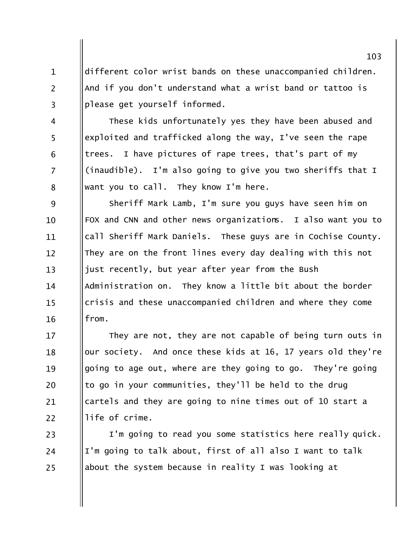different color wrist bands on these unaccompanied children. And if you don't understand what a wrist band or tattoo is please get yourself informed.

 $\mathbf{1}$ 

 $\overline{2}$ 

 $\overline{3}$ 

 $\overline{4}$ 

5

6

 $\overline{7}$ 

8

These kids unfortunately yes they have been abused and exploited and trafficked along the way, I've seen the rape trees. I have pictures of rape trees, that's part of my (inaudible). I'm also going to give you two sheriffs that I want you to call. They know I'm here.

9 Sheriff Mark Lamb, I'm sure you guys have seen him on FOX and CNN and other news organizations. I also want you to  $10$ call Sheriff Mark Daniels. These guys are in Cochise County. 11 They are on the front lines every day dealing with this not  $12 \overline{ }$ just recently, but year after year from the Bush  $13$ Administration on. They know a little bit about the border 14 crisis and these unaccompanied children and where they come  $15$ from. 16

They are not, they are not capable of being turn outs in  $17$ our society. And once these kids at 16, 17 years old they're 18 going to age out, where are they going to go. They're going 19 to go in your communities, they'll be held to the drug 20 cartels and they are going to nine times out of 10 start a 21 life of crime.  $22$ 

I'm going to read you some statistics here really quick. 23 I'm going to talk about, first of all also I want to talk 24 about the system because in reality I was looking at 25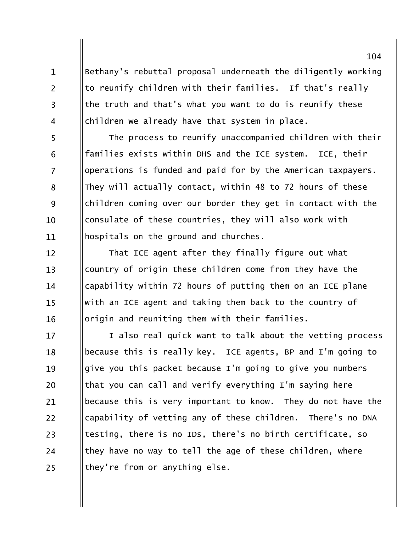Bethany's rebuttal proposal underneath the diligently working to reunify children with their families. If that's really the truth and that's what you want to do is reunify these children we already have that system in place.

 $\mathbf{1}$ 

 $\overline{2}$ 

 $\overline{3}$ 

 $\overline{4}$ 

5 The process to reunify unaccompanied children with their families exists within DHS and the ICE system. ICE, their 6  $\overline{7}$ operations is funded and paid for by the American taxpayers. They will actually contact, within 48 to 72 hours of these 8 9 children coming over our border they get in contact with the consulate of these countries, they will also work with 10 hospitals on the ground and churches. 11

That ICE agent after they finally figure out what  $12 \overline{ }$ country of origin these children come from they have the  $13$ capability within 72 hours of putting them on an ICE plane 14 with an ICE agent and taking them back to the country of  $15$ origin and reuniting them with their families. 16

I also real quick want to talk about the vetting process 17 because this is really key. ICE agents, BP and I'm going to 18 give you this packet because I'm going to give you numbers 19 that you can call and verify everything I'm saying here 20 because this is very important to know. They do not have the 21 capability of vetting any of these children. There's no DNA 22 testing, there is no IDs, there's no birth certificate, so 23 they have no way to tell the age of these children, where 24 they're from or anything else. 25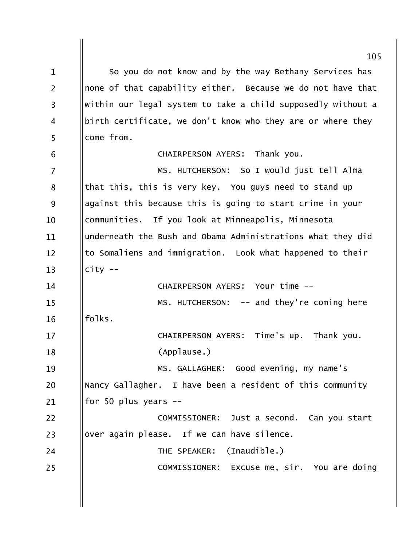So you do not know and by the way Bethany Services has  $\mathbf{1}$ none of that capability either. Because we do not have that  $\overline{2}$ within our legal system to take a child supposedly without a  $\overline{3}$ birth certificate, we don't know who they are or where they  $\overline{4}$ 5 come from. CHAIRPERSON AYERS: Thank you. 6 MS. HUTCHERSON: So I would just tell Alma  $\overline{7}$ that this, this is very key. You guys need to stand up 8 against this because this is going to start crime in your 9 communities. If you look at Minneapolis, Minnesota  $10$ underneath the Bush and Obama Administrations what they did 11 to Somaliens and immigration. Look what happened to their  $12 \overline{ }$  $13$  $city --$ CHAIRPERSON AYERS: Your time -- $14$ MS. HUTCHERSON: -- and they're coming here  $15$ folks. 16 CHAIRPERSON AYERS: Time's up. Thank you.  $17$ (Applause.) 18 MS. GALLAGHER: Good evening, my name's 19 Nancy Gallagher. I have been a resident of this community 20 for 50 plus years  $-$ 21  $22$ COMMISSIONER: Just a second. Can you start over again please. If we can have silence. 23 24 THE SPEAKER: (Inaudible.) COMMISSIONER: Excuse me, sir. You are doing 25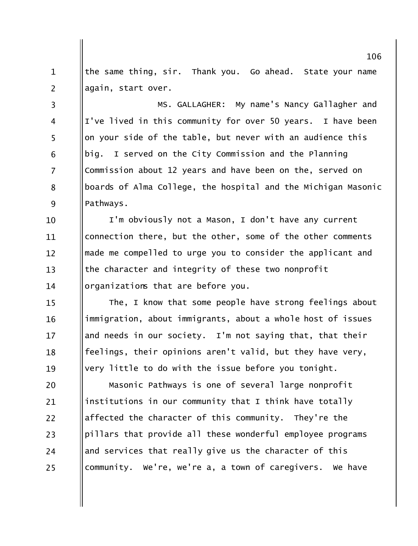the same thing, sir. Thank you. Go ahead. State your name  $\mathbf{1}$  $\overline{2}$ again, start over.

MS. GALLAGHER: My name's Nancy Gallagher and  $\overline{3}$ I've lived in this community for over 50 years. I have been  $\overline{4}$ 5 on your side of the table, but never with an audience this big. I served on the City Commission and the Planning 6  $\overline{7}$ Commission about 12 years and have been on the, served on boards of Alma College, the hospital and the Michigan Masonic 8 9 Pathways.

I'm obviously not a Mason, I don't have any current 10 connection there, but the other, some of the other comments 11 made me compelled to urge you to consider the applicant and  $12 \overline{ }$ the character and integrity of these two nonprofit  $13$ organizations that are before you. 14

The, I know that some people have strong feelings about  $15$ immigration, about immigrants, about a whole host of issues 16 and needs in our society. I'm not saying that, that their  $17$ feelings, their opinions aren't valid, but they have very, 18 very little to do with the issue before you tonight. 19

Masonic Pathways is one of several large nonprofit 20 institutions in our community that I think have totally 21 affected the character of this community. They're the  $22$ pillars that provide all these wonderful employee programs 23 and services that really give us the character of this 24 community. We're, we're a, a town of caregivers. We have 25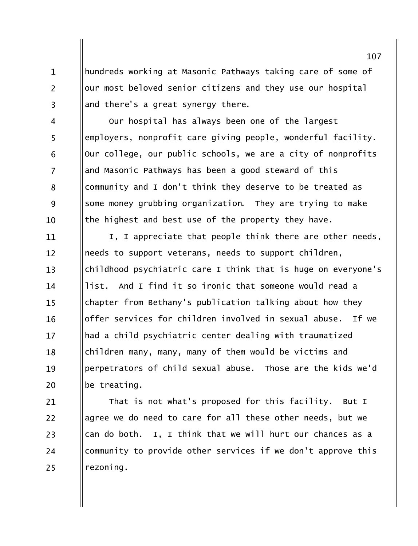hundreds working at Masonic Pathways taking care of some of our most beloved senior citizens and they use our hospital and there's a great synergy there.

 $\mathbf{1}$ 

 $\overline{2}$ 

 $\overline{3}$ 

Our hospital has always been one of the largest  $\overline{4}$ 5 employers, nonprofit care giving people, wonderful facility. Our college, our public schools, we are a city of nonprofits 6  $\overline{7}$ and Masonic Pathways has been a good steward of this community and I don't think they deserve to be treated as 8 9 some money grubbing organization. They are trying to make the highest and best use of the property they have.  $10$ 

I, I appreciate that people think there are other needs, 11 needs to support veterans, needs to support children,  $12 \overline{ }$  $13$ childhood psychiatric care I think that is huge on everyone's list. And I find it so ironic that someone would read a 14 chapter from Bethany's publication talking about how they  $15$ offer services for children involved in sexual abuse. If we 16 had a child psychiatric center dealing with traumatized  $17$ children many, many, many of them would be victims and 18 perpetrators of child sexual abuse. Those are the kids we'd 19 be treating. 20

That is not what's proposed for this facility. But I 21  $22$ agree we do need to care for all these other needs, but we can do both. I, I think that we will hurt our chances as a 23 community to provide other services if we don't approve this 24 rezoning. 25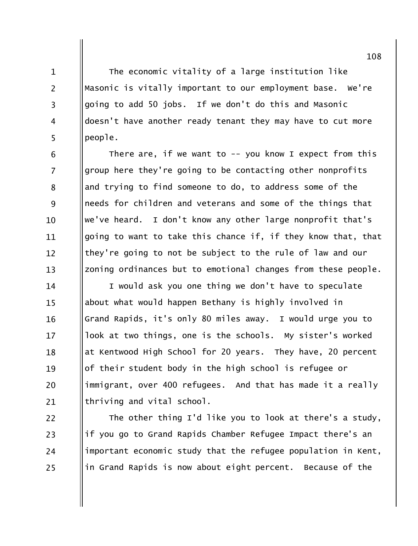The economic vitality of a large institution like Masonic is vitally important to our employment base. We're going to add 50 jobs. If we don't do this and Masonic doesn't have another ready tenant they may have to cut more people.

 $\mathbf{1}$ 

 $\overline{2}$ 

 $\overline{3}$ 

 $\overline{4}$ 

5

22

23

24

25

There are, if we want to  $-$  you know I expect from this 6  $\overline{7}$ group here they're going to be contacting other nonprofits and trying to find someone to do, to address some of the 8 9 needs for children and veterans and some of the things that we've heard. I don't know any other large nonprofit that's 10 going to want to take this chance if, if they know that, that 11 they're going to not be subject to the rule of law and our  $12 \overline{ }$ zoning ordinances but to emotional changes from these people.  $13$ 

I would ask you one thing we don't have to speculate 14 about what would happen Bethany is highly involved in  $15$ Grand Rapids, it's only 80 miles away. I would urge you to 16 look at two things, one is the schools. My sister's worked  $17$ at Kentwood High School for 20 years. They have, 20 percent 18 of their student body in the high school is refugee or 19 immigrant, over 400 refugees. And that has made it a really 20 thriving and vital school. 21

The other thing I'd like you to look at there's a study, if you go to Grand Rapids Chamber Refugee Impact there's an important economic study that the refugee population in Kent, in Grand Rapids is now about eight percent. Because of the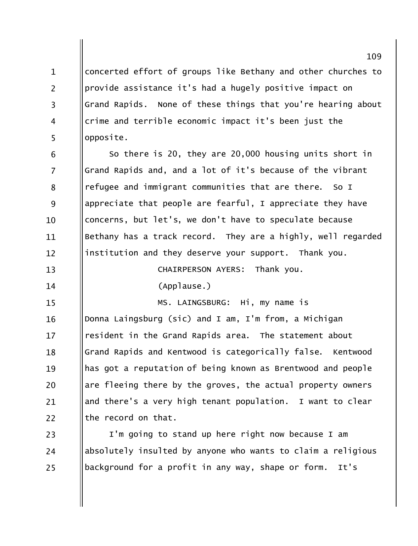concerted effort of groups like Bethany and other churches to  $\mathbf{1}$  $\overline{2}$ provide assistance it's had a hugely positive impact on Grand Rapids. None of these things that you're hearing about  $\overline{3}$ crime and terrible economic impact it's been just the  $\overline{4}$ 5 opposite.

So there is 20, they are 20,000 housing units short in 6  $\overline{7}$ Grand Rapids and, and a lot of it's because of the vibrant refugee and immigrant communities that are there. So I 8 9 appreciate that people are fearful, I appreciate they have concerns, but let's, we don't have to speculate because 10 Bethany has a track record. They are a highly, well regarded 11 institution and they deserve your support. Thank you.  $12 \overline{ }$ 

CHAIRPERSON AYERS: Thank you.  $13$ 

 $(Applause.)$ 

14

 $15$ 

MS. LAINGSBURG: Hi, my name is

Donna Laingsburg (sic) and I am, I'm from, a Michigan 16 resident in the Grand Rapids area. The statement about  $17$ Grand Rapids and Kentwood is categorically false. Kentwood 18 has got a reputation of being known as Brentwood and people 19 are fleeing there by the groves, the actual property owners 20 and there's a very high tenant population. I want to clear 21  $22$ the record on that.

I'm going to stand up here right now because I am 23 absolutely insulted by anyone who wants to claim a religious 24 background for a profit in any way, shape or form.  $It's$ 25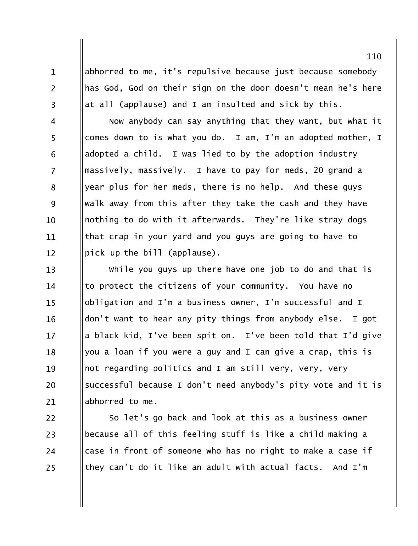abhorred to me, it's repulsive because just because somebody has God, God on their sign on the door doesn't mean he's here at all (applause) and I am insulted and sick by this.

 $\mathbf{1}$ 

 $\overline{2}$ 

 $\overline{3}$ 

Now anybody can say anything that they want, but what it  $\overline{4}$ 5 comes down to is what you do. I am, I'm an adopted mother, I adopted a child. I was lied to by the adoption industry 6  $\overline{7}$ massively, massively. I have to pay for meds, 20 grand a year plus for her meds, there is no help. And these guys 8 9 walk away from this after they take the cash and they have nothing to do with it afterwards. They're like stray dogs 10 that crap in your yard and you guys are going to have to 11 pick up the bill (applause).  $12 \overline{ }$ 

while you guys up there have one job to do and that is  $13$ to protect the citizens of your community. You have no 14 obligation and I'm a business owner, I'm successful and I  $15$ don't want to hear any pity things from anybody else. I got 16 a black kid, I've been spit on. I've been told that I'd give 17 you a loan if you were a guy and I can give a crap, this is 18 not regarding politics and I am still very, very, very 19 successful because I don't need anybody's pity vote and it is 20 abhorred to me. 21

22 So let's go back and look at this as a business owner because all of this feeling stuff is like a child making a 23 case in front of someone who has no right to make a case if 24 they can't do it like an adult with actual facts. And I'm  $25$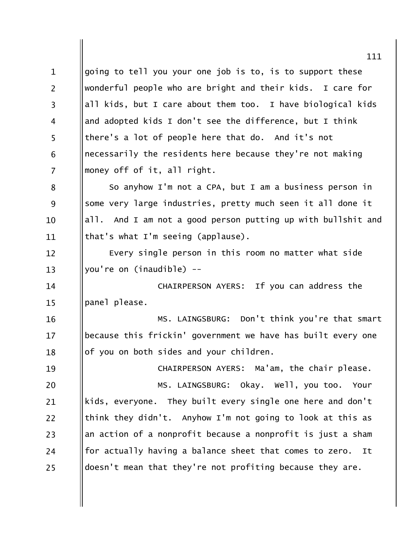going to tell you your one job is to, is to support these  $\mathbf{1}$  $\overline{2}$ wonderful people who are bright and their kids. I care for all kids, but I care about them too. I have biological kids  $\overline{3}$ and adopted kids I don't see the difference, but I think  $\overline{4}$ 5 there's a lot of people here that do. And it's not necessarily the residents here because they're not making 6  $\overline{7}$ money off of it, all right. So anyhow I'm not a CPA, but I am a business person in 8 some very large industries, pretty much seen it all done it 9 all. And I am not a good person putting up with bullshit and 10 that's what I'm seeing (applause). 11 Every single person in this room no matter what side  $12 \overline{ }$ you're on (inaudible) -- $13$ CHAIRPERSON AYERS: If you can address the 14 panel please.  $15$ MS. LAINGSBURG: Don't think you're that smart 16 because this frickin' government we have has built every one  $17$ of you on both sides and your children. 18 CHAIRPERSON AYERS: Ma'am, the chair please. 19 MS. LAINGSBURG: Okay. Well, you too. Your 20 kids, everyone. They built every single one here and don't 21 22 think they didn't. Anyhow I'm not going to look at this as an action of a nonprofit because a nonprofit is just a sham 23 for actually having a balance sheet that comes to zero. 24 It doesn't mean that they're not profiting because they are. 25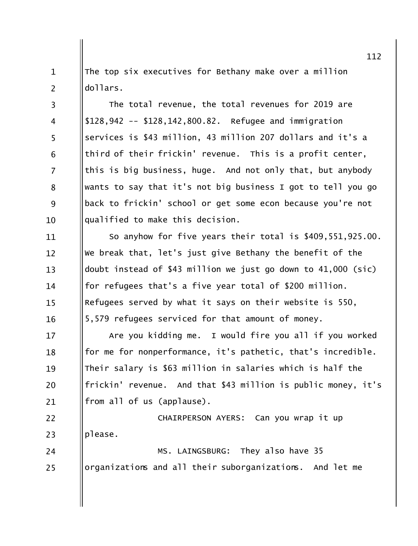The top six executives for Bethany make over a million  $\mathbf{1}$  $\overline{2}$  $d$ ollars.

The total revenue, the total revenues for 2019 are  $\overline{3}$  $$128,942 -- $128,142,800.82.$  Refugee and immigration  $\overline{4}$ 5 services is \$43 million, 43 million 207 dollars and it's a third of their frickin' revenue. This is a profit center, 6  $\overline{7}$ this is big business, huge. And not only that, but anybody wants to say that it's not big business I got to tell you go 8 9 back to frickin' school or get some econ because you're not qualified to make this decision.  $10$ 

So anyhow for five years their total is \$409,551,925.00. 11 We break that, let's just give Bethany the benefit of the  $12 \overline{ }$  $13$ doubt instead of \$43 million we just go down to 41,000 (sic) for refugees that's a five year total of \$200 million.  $14$ Refugees served by what it says on their website is 550,  $15$ 5,579 refugees serviced for that amount of money. 16

Are you kidding me. I would fire you all if you worked  $17$ for me for nonperformance, it's pathetic, that's incredible. 18 Their salary is \$63 million in salaries which is half the 19 frickin' revenue. And that \$43 million is public money, it's 20 from all of us (applause). 21

22 CHAIRPERSON AYERS: Can you wrap it up please. 23

MS. LAINGSBURG: They also have 35 24 organizations and all their suborganizations. And let me 25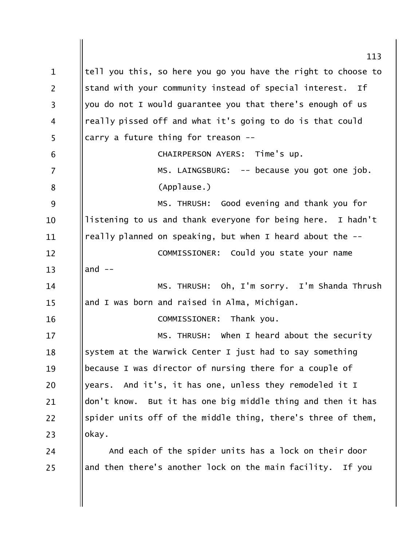113 tell you this, so here you go you have the right to choose to  $\mathbf{1}$  $\overline{2}$ stand with your community instead of special interest. Ιf you do not I would quarantee you that there's enough of us  $\overline{3}$ really pissed off and what it's going to do is that could  $\overline{4}$ 5 carry a future thing for treason --CHAIRPERSON AYERS: Time's up. 6  $\overline{7}$  $MS.$  LAINGSBURG:  $-$ - because you got one job. (Applause.) 8 MS. THRUSH: Good evening and thank you for 9 listening to us and thank everyone for being here. I hadn't  $10$ really planned on speaking, but when I heard about the --11 COMMISSIONER: Could you state your name  $12 \overline{ }$  $13$ and  $--$ MS. THRUSH: Oh, I'm sorry. I'm Shanda Thrush 14 and I was born and raised in Alma, Michigan.  $15$ COMMISSIONER: Thank you. 16 MS. THRUSH: When I heard about the security  $17$ system at the Warwick Center I just had to say something 18 because I was director of nursing there for a couple of 19 years. And it's, it has one, unless they remodeled it I 20 don't know. But it has one big middle thing and then it has 21 spider units off of the middle thing, there's three of them, 22 okay. 23 And each of the spider units has a lock on their door 24 and then there's another lock on the main facility. If you 25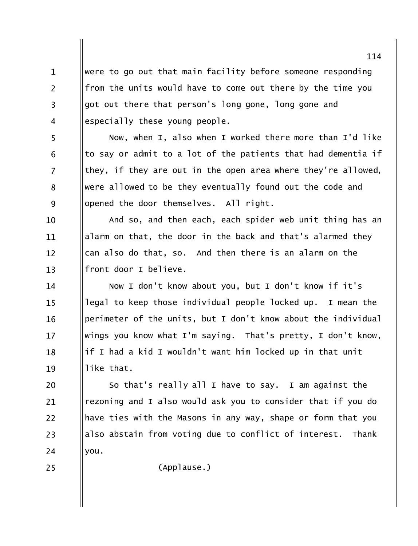were to go out that main facility before someone responding from the units would have to come out there by the time you got out there that person's long gone, long gone and especially these young people.

Now, when I, also when I worked there more than I'd like to say or admit to a lot of the patients that had dementia if they, if they are out in the open area where they're allowed, were allowed to be they eventually found out the code and opened the door themselves. All right.

And so, and then each, each spider web unit thing has an 10 alarm on that, the door in the back and that's alarmed they 11 can also do that, so. And then there is an alarm on the  $12 \overline{ }$ front door I believe.  $13$ 

Now I don't know about you, but I don't know if it's 14 legal to keep those individual people locked up. I mean the  $15$ perimeter of the units, but I don't know about the individual 16 wings you know what I'm saying. That's pretty, I don't know,  $17$ if I had a kid I wouldn't want him locked up in that unit 18 like that. 19

So that's really all I have to say. I am against the 20 rezoning and I also would ask you to consider that if you do 21 22 have ties with the Masons in any way, shape or form that you also abstain from voting due to conflict of interest. Thank 23 24 you.

25

 $\mathbf{1}$ 

 $\overline{2}$ 

 $\overline{3}$ 

 $\overline{4}$ 

5

6

 $\overline{7}$ 

8

9

(Applause.)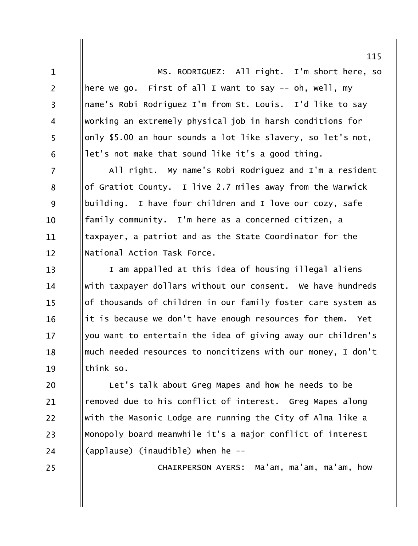MS. RODRIGUEZ: All right. I'm short here, so here we go. First of all I want to say -- oh, well, my name's Robi Rodriguez I'm from St. Louis. I'd like to say working an extremely physical job in harsh conditions for only \$5.00 an hour sounds a lot like slavery, so let's not, let's not make that sound like it's a good thing.

 $\mathbf{1}$ 

 $\overline{2}$ 

 $\overline{3}$ 

 $\overline{4}$ 

5

6

25

 $\overline{7}$ All right. My name's Robi Rodriguez and I'm a resident of Gratiot County. I live 2.7 miles away from the Warwick 8 9 building. I have four children and I love our cozy, safe family community. I'm here as a concerned citizen, a  $10$ taxpayer, a patriot and as the State Coordinator for the 11 National Action Task Force.  $12 \overline{ }$ 

I am appalled at this idea of housing illegal aliens  $13$ with taxpayer dollars without our consent. We have hundreds 14 of thousands of children in our family foster care system as  $15$ it is because we don't have enough resources for them. 16 Yet you want to entertain the idea of giving away our children's  $17$ much needed resources to noncitizens with our money, I don't 18 think so. 19

Let's talk about Greg Mapes and how he needs to be 20 removed due to his conflict of interest. Greg Mapes along 21 22 with the Masonic Lodge are running the City of Alma like a Monopoly board meanwhile it's a major conflict of interest 23 (applause) (inaudible) when he --24

CHAIRPERSON AYERS: Ma'am, ma'am, ma'am, how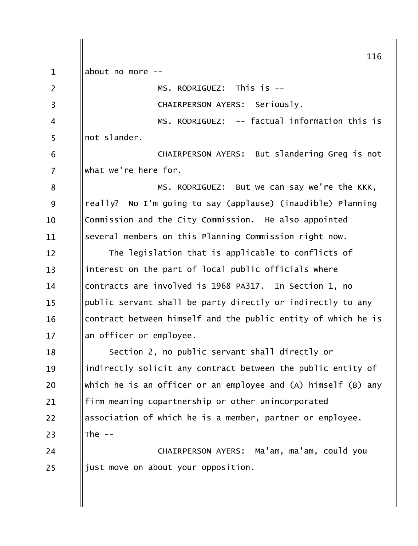|                | 116                                                           |
|----------------|---------------------------------------------------------------|
| $\mathbf{1}$   | about no more                                                 |
| $\overline{2}$ | MS. RODRIGUEZ: This is --                                     |
| $\overline{3}$ | CHAIRPERSON AYERS: Seriously.                                 |
| 4              | MS. RODRIGUEZ: -- factual information this is                 |
| 5              | not slander.                                                  |
| 6              | CHAIRPERSON AYERS: But slandering Greg is not                 |
| 7              | what we're here for.                                          |
| 8              | MS. RODRIGUEZ: But we can say we're the KKK,                  |
| 9              | really? No I'm going to say (applause) (inaudible) Planning   |
| 10             | Commission and the City Commission. He also appointed         |
| 11             | several members on this Planning Commission right now.        |
| 12             | The legislation that is applicable to conflicts of            |
| 13             | interest on the part of local public officials where          |
| 14             | contracts are involved is 1968 PA317. In Section 1, no        |
| 15             | public servant shall be party directly or indirectly to any   |
| 16             | contract between himself and the public entity of which he is |
| 17             | an officer or employee.                                       |
| 18             | Section 2, no public servant shall directly or                |
| 19             | indirectly solicit any contract between the public entity of  |
| 20             | which he is an officer or an employee and (A) himself (B) any |
| 21             | firm meaning copartnership or other unincorporated            |
| 22             | association of which he is a member, partner or employee.     |
| 23             | The $--$                                                      |
| 24             | CHAIRPERSON AYERS: Ma'am, ma'am, could you                    |
| 25             | just move on about your opposition.                           |
|                |                                                               |
|                |                                                               |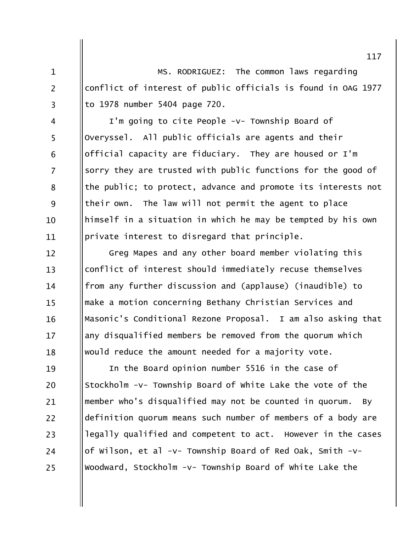MS. RODRIGUEZ: The common laws regarding  $\mathbf{1}$  $\overline{2}$ conflict of interest of public officials is found in OAG 1977 to 1978 number 5404 page 720.  $\overline{3}$ 

I'm going to cite People -v- Township Board of  $\overline{4}$ 5 Overyssel. All public officials are agents and their official capacity are fiduciary. They are housed or I'm 6  $\overline{7}$ sorry they are trusted with public functions for the good of the public; to protect, advance and promote its interests not 8 9 their own. The law will not permit the agent to place himself in a situation in which he may be tempted by his own 10 private interest to disregard that principle. 11

Greg Mapes and any other board member violating this  $12 \overline{ }$ conflict of interest should immediately recuse themselves  $13$ from any further discussion and (applause) (inaudible) to 14 make a motion concerning Bethany Christian Services and  $15$ Masonic's Conditional Rezone Proposal. I am also asking that 16 any disqualified members be removed from the quorum which  $17$ would reduce the amount needed for a majority vote. 18

In the Board opinion number 5516 in the case of 19 Stockholm -v- Township Board of white Lake the vote of the 20 member who's disqualified may not be counted in quorum. 21 BV. definition quorum means such number of members of a body are  $22$ legally qualified and competent to act. However in the cases 23 of Wilson, et al -v- Township Board of Red Oak, Smith -v-24 Woodward, Stockholm -v- Township Board of White Lake the 25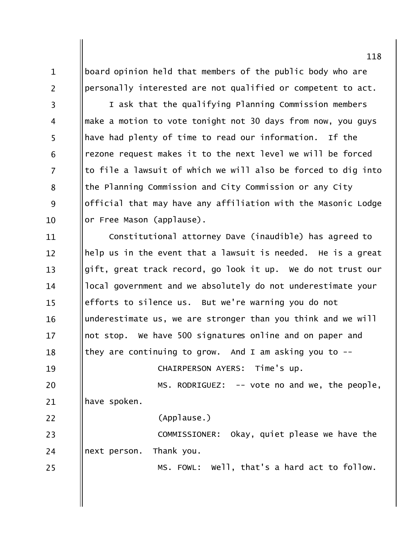board opinion held that members of the public body who are personally interested are not qualified or competent to act.

 $\mathbf{1}$ 

 $\overline{2}$ 

 $\overline{3}$ 

 $\overline{4}$ 

5

6

 $\overline{7}$ 

8

9

 $10$ 

I ask that the qualifying Planning Commission members make a motion to vote tonight not 30 days from now, you guys have had plenty of time to read our information. If the rezone request makes it to the next level we will be forced to file a lawsuit of which we will also be forced to dig into the Planning Commission and City Commission or any City official that may have any affiliation with the Masonic Lodge or Free Mason (applause).

Constitutional attorney Dave (inaudible) has agreed to 11 help us in the event that a lawsuit is needed. He is a great  $12 \overline{ }$  $13$ gift, great track record, go look it up. We do not trust our local government and we absolutely do not underestimate your 14 efforts to silence us. But we're warning you do not  $15$ underestimate us, we are stronger than you think and we will 16 not stop. We have 500 signatures online and on paper and  $17$ they are continuing to grow. And I am asking you to  $-$ 18 CHAIRPERSON AYERS: Time's up. 19 20 MS. RODRIGUEZ:  $-$ - vote no and we, the people, have spoken. 21 22 (Applause.) COMMISSIONER: Okay, quiet please we have the 23 24 next person. Thank you. MS. FOWL: Well, that's a hard act to follow. 25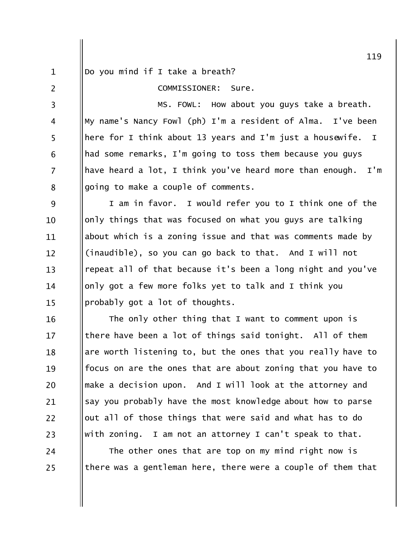$\mathbf{1}$ 

 $\overline{2}$ 

24

25

Do you mind if I take a breath?

COMMISSIONER: Sure.

MS. FOWL: How about you guys take a breath.  $\overline{3}$ My name's Nancy Fowl (ph) I'm a resident of Alma. I've been  $\overline{4}$ 5 here for I think about 13 years and I'm just a housewife.  $\mathbf I$ had some remarks, I'm going to toss them because you guys 6  $\overline{7}$ have heard a lot, I think you've heard more than enough.  $I'm$ going to make a couple of comments. 8

9 I am in favor. I would refer you to I think one of the only things that was focused on what you guys are talking  $10$ about which is a zoning issue and that was comments made by 11 (inaudible), so you can go back to that. And I will not  $12 \overline{ }$ repeat all of that because it's been a long night and you've  $13$ only got a few more folks yet to talk and I think you 14 probably got a lot of thoughts.  $15$ 

The only other thing that I want to comment upon is 16 there have been a lot of things said tonight. All of them  $17$ are worth listening to, but the ones that you really have to 18 focus on are the ones that are about zoning that you have to 19 make a decision upon. And I will look at the attorney and 20 say you probably have the most knowledge about how to parse 21 22 out all of those things that were said and what has to do with zoning. I am not an attorney I can't speak to that. 23

The other ones that are top on my mind right now is there was a gentleman here, there were a couple of them that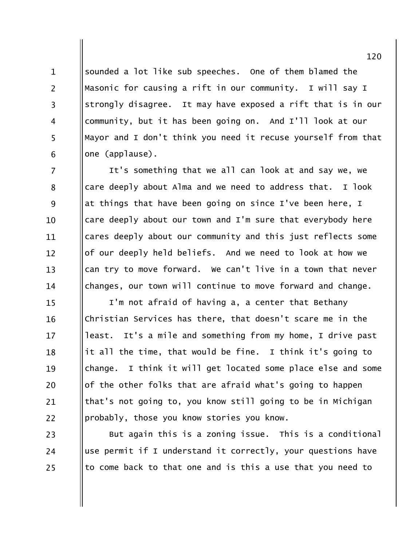sounded a lot like sub speeches. One of them blamed the Masonic for causing a rift in our community. I will say I strongly disagree. It may have exposed a rift that is in our community, but it has been going on. And I'll look at our Mayor and I don't think you need it recuse yourself from that one (applause).

 $\mathbf{1}$ 

 $\overline{2}$ 

 $\overline{3}$ 

 $\overline{4}$ 

5

6

23

24

25

 $\overline{7}$ It's something that we all can look at and say we, we care deeply about Alma and we need to address that. I look 8 9 at things that have been going on since I've been here, I care deeply about our town and I'm sure that everybody here  $10$ cares deeply about our community and this just reflects some 11 of our deeply held beliefs. And we need to look at how we  $12 \overline{ }$ can try to move forward. We can't live in a town that never  $13$ changes, our town will continue to move forward and change. 14

I'm not afraid of having a, a center that Bethany  $15$ Christian Services has there, that doesn't scare me in the 16 least. It's a mile and something from my home, I drive past  $17$ it all the time, that would be fine. I think it's going to 18 I think it will get located some place else and some 19 change. of the other folks that are afraid what's going to happen 20 that's not going to, you know still going to be in Michigan 21 22 probably, those you know stories you know.

But again this is a zoning issue. This is a conditional use permit if I understand it correctly, your questions have to come back to that one and is this a use that you need to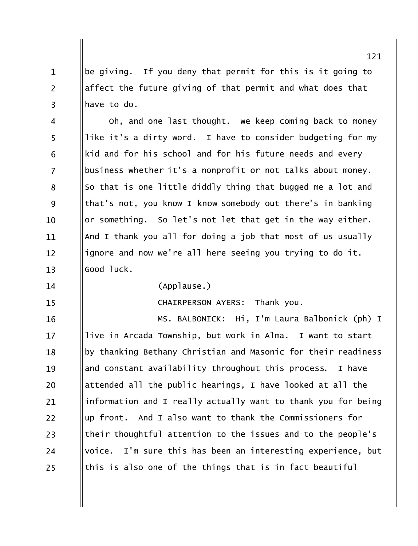be giving. If you deny that permit for this is it going to  $\mathbf{1}$  $\overline{2}$ affect the future giving of that permit and what does that have to do.  $\overline{3}$ 

Oh, and one last thought. We keep coming back to money  $\overline{4}$ 5 like it's a dirty word. I have to consider budgeting for my kid and for his school and for his future needs and every 6  $\overline{7}$ business whether it's a nonprofit or not talks about money. So that is one little diddly thing that bugged me a lot and 8 9 that's not, you know I know somebody out there's in banking or something. So let's not let that get in the way either. 10 And I thank you all for doing a job that most of us usually 11 ignore and now we're all here seeing you trying to do it.  $12 \overline{ }$ Good luck.  $13$ 

14

 $15$ 

(Applause.)

**CHAIRPERSON AYERS:** Thank you.

MS. BALBONICK: Hi, I'm Laura Balbonick (ph) I 16 live in Arcada Township, but work in Alma. I want to start  $17$ by thanking Bethany Christian and Masonic for their readiness 18 and constant availability throughout this process. 19 I have attended all the public hearings, I have looked at all the 20 information and I really actually want to thank you for being 21 up front. And I also want to thank the Commissioners for 22 their thoughtful attention to the issues and to the people's 23 voice. I'm sure this has been an interesting experience, but 24 this is also one of the things that is in fact beautiful 25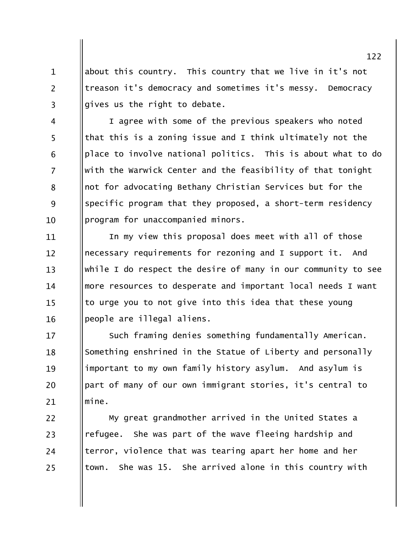about this country. This country that we live in it's not  $\mathbf{1}$  $\overline{2}$ treason it's democracy and sometimes it's messy. Democracy gives us the right to debate.  $\overline{3}$ 

I agree with some of the previous speakers who noted  $\overline{4}$ 5 that this is a zoning issue and I think ultimately not the place to involve national politics. This is about what to do 6  $\overline{7}$ with the Warwick Center and the feasibility of that tonight not for advocating Bethany Christian Services but for the 8 specific program that they proposed, a short-term residency 9 program for unaccompanied minors.  $10<sup>1</sup>$ 

In my view this proposal does meet with all of those 11 necessary requirements for rezoning and I support it. And  $12 \overline{ }$  $13$ while I do respect the desire of many in our community to see more resources to desperate and important local needs I want 14 to urge you to not give into this idea that these young  $15$ people are illegal aliens. 16

Such framing denies something fundamentally American.  $17$ Something enshrined in the Statue of Liberty and personally 18 important to my own family history asylum. And asylum is 19 part of many of our own immigrant stories, it's central to 20  $min$ 21

My great grandmother arrived in the United States a refugee. She was part of the wave fleeing hardship and terror, violence that was tearing apart her home and her town. She was 15. She arrived alone in this country with

22

23

24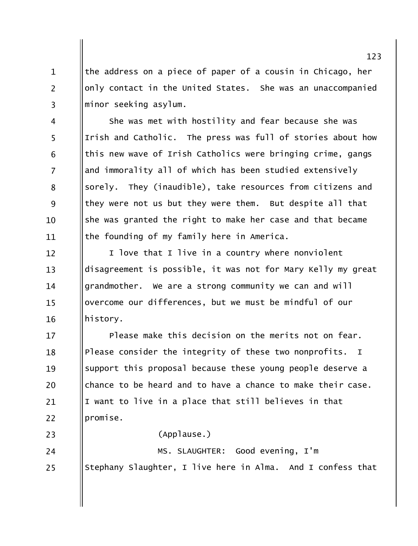the address on a piece of paper of a cousin in Chicago, her only contact in the United States. She was an unaccompanied minor seeking asylum.

 $\mathbf{1}$ 

 $\overline{2}$ 

 $\overline{3}$ 

23

She was met with hostility and fear because she was  $\overline{4}$ 5 Irish and Catholic. The press was full of stories about how this new wave of Irish Catholics were bringing crime, gangs 6  $\overline{7}$ and immorality all of which has been studied extensively sorely. They (inaudible), take resources from citizens and 8 9 they were not us but they were them. But despite all that she was granted the right to make her case and that became  $10$ the founding of my family here in America. 11

I love that I live in a country where nonviolent  $12 \overline{ }$ disagreement is possible, it was not for Mary Kelly my great  $13$ grandmother. We are a strong community we can and will 14 overcome our differences, but we must be mindful of our  $15$ history. 16

Please make this decision on the merits not on fear.  $17$ Please consider the integrity of these two nonprofits. I 18 support this proposal because these young people deserve a 19 chance to be heard and to have a chance to make their case. 20 I want to live in a place that still believes in that 21  $22$ promise.

(Applause.)

MS. SLAUGHTER: Good evening, I'm 24 Stephany Slaughter, I live here in Alma. And I confess that 25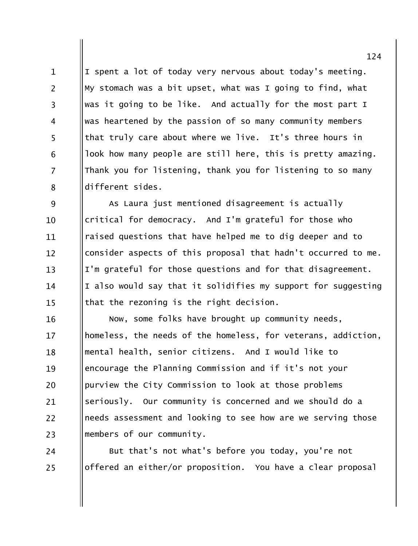I spent a lot of today very nervous about today's meeting.  $\mathbf{1}$  $\overline{2}$ My stomach was a bit upset, what was I going to find, what was it going to be like. And actually for the most part I  $\overline{3}$ was heartened by the passion of so many community members  $\overline{4}$ that truly care about where we live. It's three hours in 5 look how many people are still here, this is pretty amazing. 6  $\overline{7}$ Thank you for listening, thank you for listening to so many different sides. 8

9 As Laura just mentioned disagreement is actually critical for democracy. And I'm grateful for those who  $10$ raised questions that have helped me to dig deeper and to 11 consider aspects of this proposal that hadn't occurred to me.  $12 \overline{ }$ I'm grateful for those questions and for that disagreement.  $13$ I also would say that it solidifies my support for suggesting 14 that the rezoning is the right decision.  $15$ 

Now, some folks have brought up community needs, 16 homeless, the needs of the homeless, for veterans, addiction,  $17$ mental health, senior citizens. And I would like to 18 encourage the Planning Commission and if it's not your 19 purview the City Commission to look at those problems 20 seriously. Our community is concerned and we should do a 21  $22$ needs assessment and looking to see how are we serving those members of our community. 23

But that's not what's before you today, you're not 24 offered an either/or proposition. You have a clear proposal 25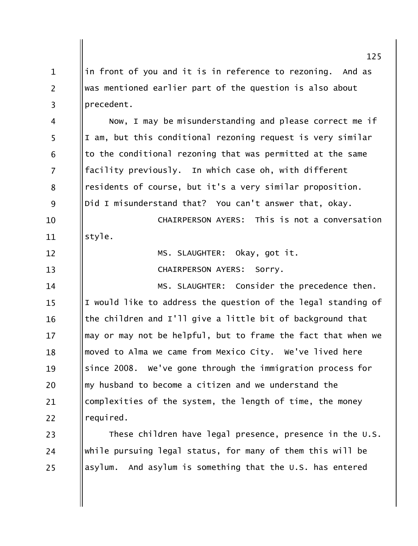125 in front of you and it is in reference to rezoning. And as  $\mathbf{1}$  $\overline{2}$ was mentioned earlier part of the question is also about precedent.  $\overline{3}$ Now, I may be misunderstanding and please correct me if  $\overline{4}$ 5 I am, but this conditional rezoning request is very similar to the conditional rezoning that was permitted at the same 6  $\overline{7}$ facility previously. In which case oh, with different residents of course, but it's a very similar proposition. 8 9 Did I misunderstand that? You can't answer that, okay. CHATRPERSON AYERS: This is not a conversation 10 style. 11 MS. SLAUGHTER: Okay, got it.  $12 \overline{ }$  $13$ CHAIRPERSON AYERS: SOrry. MS. SLAUGHTER: Consider the precedence then. 14 I would like to address the question of the legal standing of  $15$ the children and I'll give a little bit of background that 16 may or may not be helpful, but to frame the fact that when we  $17$ moved to Alma we came from Mexico City. We've lived here 18 since 2008. We've gone through the immigration process for 19 my husband to become a citizen and we understand the 20 complexities of the system, the length of time, the money 21  $22$ required. These children have legal presence, presence in the U.S. 23 while pursuing legal status, for many of them this will be 24

asylum. And asylum is something that the U.S. has entered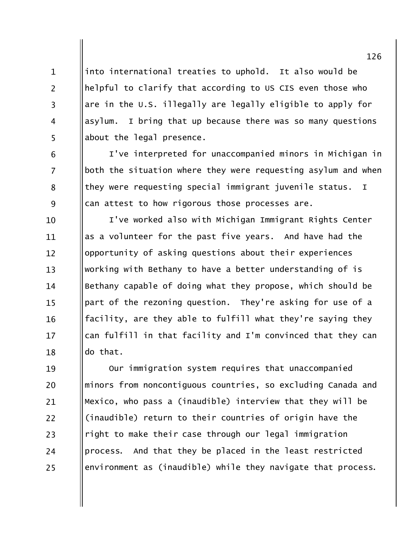into international treaties to uphold. It also would be  $\mathbf{1}$ helpful to clarify that according to US CIS even those who are in the U.S. illegally are legally eligible to apply for I bring that up because there was so many questions asylum. about the legal presence.

 $\overline{2}$ 

 $\overline{3}$ 

 $\overline{4}$ 

5

6

 $\overline{7}$ 

8

9

I've interpreted for unaccompanied minors in Michigan in both the situation where they were requesting asylum and when they were requesting special immigrant juvenile status.  $\mathbf I$ can attest to how rigorous those processes are.

I've worked also with Michigan Immigrant Rights Center 10 as a volunteer for the past five vears. And have had the 11 opportunity of asking questions about their experiences  $12 \overline{ }$ working with Bethany to have a better understanding of is  $13$ Bethany capable of doing what they propose, which should be 14 part of the rezoning question. They're asking for use of a  $15$ facility, are they able to fulfill what they're saying they 16 can fulfill in that facility and I'm convinced that they can  $17$ do that. 18

Our immigration system requires that unaccompanied 19 minors from noncontiguous countries, so excluding Canada and 20 Mexico, who pass a (inaudible) interview that they will be 21 (inaudible) return to their countries of origin have the 22 right to make their case through our legal immigration 23 process. And that they be placed in the least restricted 24 environment as (inaudible) while they navigate that process. 25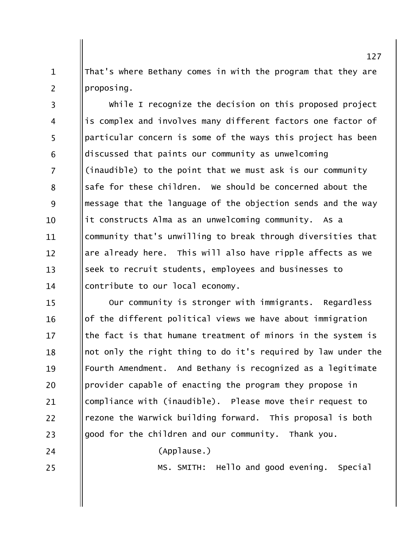That's where Bethany comes in with the program that they are  $\mathbf{1}$  $\overline{2}$ proposing.

while I recognize the decision on this proposed project  $\overline{3}$ is complex and involves many different factors one factor of  $\overline{4}$ 5 particular concern is some of the ways this project has been discussed that paints our community as unwelcoming 6  $\overline{7}$ (inaudible) to the point that we must ask is our community safe for these children. We should be concerned about the 8 9 message that the language of the objection sends and the way it constructs Alma as an unwelcoming community. As a  $10<sup>1</sup>$ community that's unwilling to break through diversities that 11 are already here. This will also have ripple affects as we  $12 \overline{ }$  $13$ seek to recruit students, employees and businesses to contribute to our local economy.  $14$ 

Our community is stronger with immigrants. Regardless  $15$ of the different political views we have about immigration 16 the fact is that humane treatment of minors in the system is  $17$ not only the right thing to do it's required by law under the 18 Fourth Amendment. And Bethany is recognized as a legitimate 19 provider capable of enacting the program they propose in 20 compliance with (inaudible). Please move their request to 21 rezone the Warwick building forward. This proposal is both  $22$ good for the children and our community. Thank you. 23

(Applause.)

24

25

MS. SMITH: Hello and good evening. Special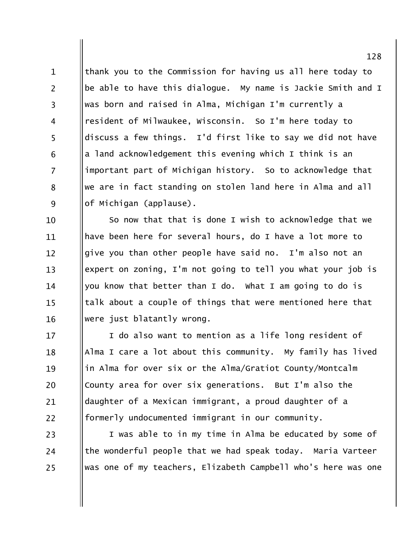thank you to the Commission for having us all here today to  $\mathbf{1}$  $\overline{2}$ be able to have this dialogue. My name is Jackie Smith and I was born and raised in Alma, Michigan I'm currently a  $\overline{3}$ resident of Milwaukee, Wisconsin. So I'm here today to  $\overline{4}$ 5 discuss a few things. I'd first like to say we did not have a land acknowledgement this evening which I think is an 6  $\overline{7}$ important part of Michigan history. So to acknowledge that we are in fact standing on stolen land here in Alma and all 8 9 of Michigan (applause).

So now that that is done I wish to acknowledge that we 10 have been here for several hours, do I have a lot more to 11 give you than other people have said no. I'm also not an  $12 \overline{ }$ expert on zoning, I'm not going to tell you what your job is  $13$ you know that better than I do. What I am going to do is 14 talk about a couple of things that were mentioned here that  $15$ were just blatantly wrong. 16

I do also want to mention as a life long resident of 17 Alma I care a lot about this community. My family has lived 18 in Alma for over six or the Alma/Gratiot County/Montcalm 19 County area for over six generations. But I'm also the 20 daughter of a Mexican immigrant, a proud daughter of a 21 formerly undocumented immigrant in our community. 22

I was able to in my time in Alma be educated by some of 23 the wonderful people that we had speak today. Maria Varteer 24 was one of my teachers, Elizabeth Campbell who's here was one 25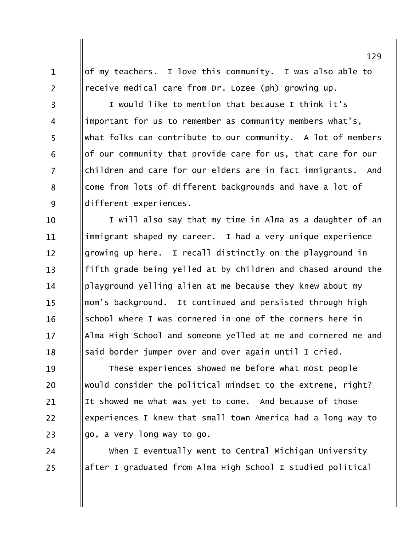of my teachers. I love this community. I was also able to receive medical care from Dr. Lozee (ph) growing up.

 $\mathbf{1}$ 

 $\overline{2}$ 

 $\overline{3}$ 

 $\overline{4}$ 

5

6

 $\overline{7}$ 

8

9

24

25

I would like to mention that because I think it's important for us to remember as community members what's, what folks can contribute to our community. A lot of members of our community that provide care for us, that care for our children and care for our elders are in fact immigrants. And come from lots of different backgrounds and have a lot of different experiences.

I will also say that my time in Alma as a daughter of an 10 immigrant shaped my career. I had a very unique experience 11 growing up here. I recall distinctly on the playground in  $12 \overline{ }$ fifth grade being yelled at by children and chased around the  $13$ playground yelling alien at me because they knew about my 14 mom's background. It continued and persisted through high  $15$ school where I was cornered in one of the corners here in 16 Alma High School and someone yelled at me and cornered me and  $17$ said border jumper over and over again until I cried. 18

These experiences showed me before what most people 19 would consider the political mindset to the extreme, right? 20 It showed me what was yet to come. And because of those 21 experiences I knew that small town America had a long way to 22 go, a very long way to go. 23

When I eventually went to Central Michigan University after I graduated from Alma High School I studied political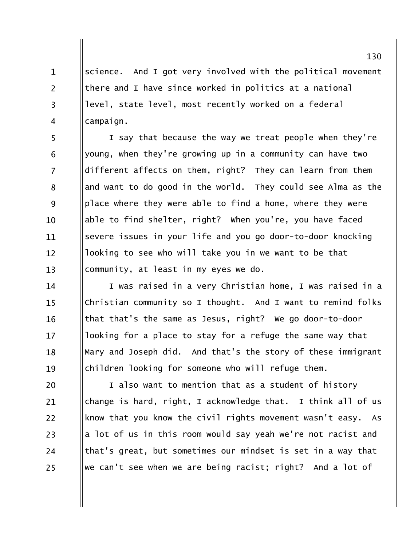science. And I got very involved with the political movement  $\mathbf{1}$  $\overline{2}$ there and I have since worked in politics at a national level, state level, most recently worked on a federal  $\overline{3}$  $\overline{4}$ campaign.

5 I say that because the way we treat people when they're young, when they're growing up in a community can have two 6  $\overline{7}$ different affects on them, right? They can learn from them and want to do good in the world. They could see Alma as the 8 9 place where they were able to find a home, where they were able to find shelter, right? when you're, you have faced 10 severe issues in your life and you go door-to-door knocking 11 looking to see who will take you in we want to be that  $12 \overline{ }$ community, at least in my eyes we do.  $13$ 

I was raised in a very Christian home, I was raised in a 14 Christian community so I thought. And I want to remind folks  $15$ that that's the same as Jesus, right? We go door-to-door 16 looking for a place to stay for a refuge the same way that  $17$ Mary and Joseph did. And that's the story of these immigrant 18 children looking for someone who will refuge them. 19

I also want to mention that as a student of history 20 change is hard, right, I acknowledge that. I think all of us 21 22 know that you know the civil rights movement wasn't easy. As a lot of us in this room would say yeah we're not racist and 23 that's great, but sometimes our mindset is set in a way that 24 we can't see when we are being racist; right? And a lot of 25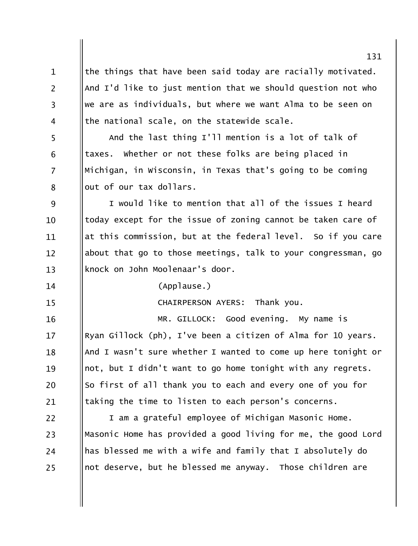the things that have been said today are racially motivated.  $\mathbf{1}$  $\overline{2}$ And I'd like to just mention that we should question not who we are as individuals, but where we want Alma to be seen on  $\overline{3}$ the national scale, on the statewide scale.  $\overline{4}$ 5 And the last thing I'll mention is a lot of talk of whether or not these folks are being placed in taxes. 6  $\overline{7}$ Michigan, in Wisconsin, in Texas that's going to be coming out of our tax dollars. 8 9 I would like to mention that all of the issues I heard today except for the issue of zoning cannot be taken care of  $10$ at this commission, but at the federal level. So if you care 11 about that go to those meetings, talk to your congressman, go  $12 \overline{ }$ knock on John Moolenaar's door.  $13$  $(Applause.)$ 14  $15$ CHAIRPERSON AYERS: Thank you. MR. GILLOCK: Good evening. My name is 16 Ryan Gillock (ph), I've been a citizen of Alma for 10 years.  $17$ And I wasn't sure whether I wanted to come up here tonight or 18 not, but I didn't want to go home tonight with any regrets. 19 So first of all thank you to each and every one of you for 20 taking the time to listen to each person's concerns. 21 22 I am a grateful employee of Michigan Masonic Home. Masonic Home has provided a good living for me, the good Lord 23 has blessed me with a wife and family that I absolutely do 24 not deserve, but he blessed me anyway. Those children are 25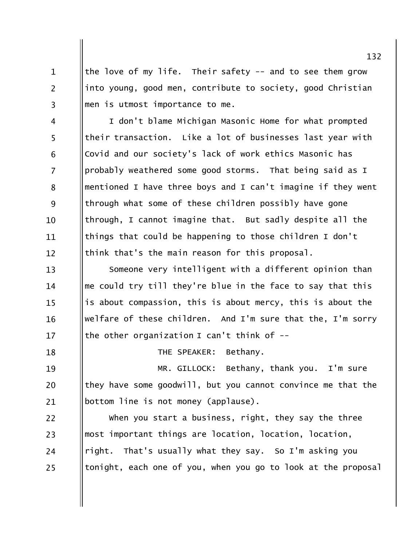the love of my life. Their safety -- and to see them grow into young, good men, contribute to society, good Christian men is utmost importance to me.

 $\mathbf{1}$ 

 $\overline{2}$ 

 $\overline{3}$ 

18

I don't blame Michigan Masonic Home for what prompted  $\overline{4}$ 5 their transaction. Like a lot of businesses last year with Covid and our society's lack of work ethics Masonic has 6  $\overline{7}$ probably weathered some good storms. That being said as I mentioned I have three boys and I can't imagine if they went 8 9 through what some of these children possibly have gone through, I cannot imagine that. But sadly despite all the 10 things that could be happening to those children I don't 11 think that's the main reason for this proposal.  $12 \overline{ }$ 

Someone very intelligent with a different opinion than  $13$ me could try till they're blue in the face to say that this 14 is about compassion, this is about mercy, this is about the  $15$ welfare of these children. And I'm sure that the, I'm sorry 16 the other organization I can't think of  $17$ 

THE SPEAKER: Bethany.

MR. GILLOCK: Bethany, thank you. 19 I'm sure they have some goodwill, but you cannot convince me that the 20 bottom line is not money (applause). 21

when you start a business, right, they say the three 22 most important things are location, location, location, 23 right. That's usually what they say. So I'm asking you 24 tonight, each one of you, when you go to look at the proposal 25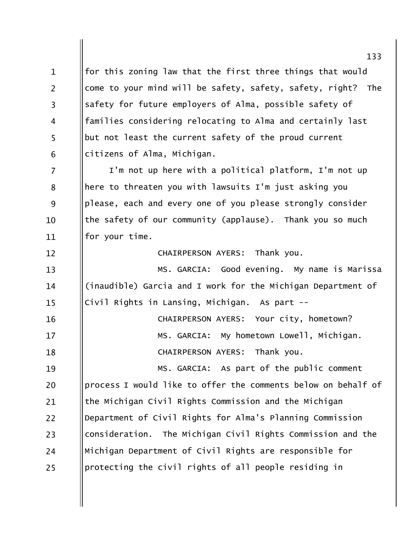for this zoning law that the first three things that would  $\mathbf{1}$  $\overline{2}$ come to your mind will be safety, safety, safety, right? **The** safety for future employers of Alma, possible safety of  $\overline{3}$ families considering relocating to Alma and certainly last  $\overline{4}$ 5 but not least the current safety of the proud current citizens of Alma, Michigan. 6

 $\overline{7}$ I'm not up here with a political platform, I'm not up here to threaten you with lawsuits I'm just asking you 8 9 please, each and every one of you please strongly consider the safety of our community (applause). Thank you so much 10 for your time. 11

> Thank you. CHAIRPERSON AYERS:

MS. GARCIA: Good evening. My name is Marissa (inaudible) Garcia and I work for the Michigan Department of Civil Rights in Lansing, Michigan. As part --

| 16 | CHAIRPERSON AYERS: Your city, hometown?   |
|----|-------------------------------------------|
| 17 | MS. GARCIA: My hometown Lowell, Michigan. |
| 18 | CHAIRPERSON AYERS: Thank you.             |

 $12 \overline{ }$ 

 $13$ 

14

15

19 MS. GARCIA: As part of the public comment process I would like to offer the comments below on behalf of 20 the Michigan Civil Rights Commission and the Michigan 21 Department of Civil Rights for Alma's Planning Commission  $22$ consideration. The Michigan Civil Rights Commission and the 23 Michigan Department of Civil Rights are responsible for 24 protecting the civil rights of all people residing in 25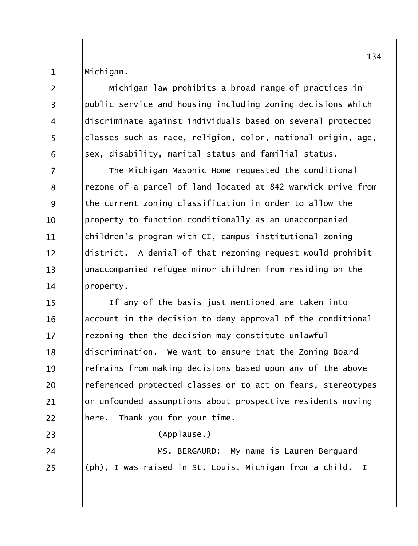Michigan.

 $\mathbf{1}$ 

 $\overline{2}$ 

 $\overline{3}$ 

 $\overline{4}$ 

5

6

23

24

25

Michigan law prohibits a broad range of practices in public service and housing including zoning decisions which discriminate against individuals based on several protected classes such as race, religion, color, national origin, age, sex, disability, marital status and familial status.

 $\overline{7}$ The Michigan Masonic Home requested the conditional rezone of a parcel of land located at 842 Warwick Drive from 8 9 the current zoning classification in order to allow the property to function conditionally as an unaccompanied  $10$ children's program with CI, campus institutional zoning 11 district. A denial of that rezoning request would prohibit  $12 \overline{ }$ unaccompanied refugee minor children from residing on the  $13$ property.  $14$ 

If any of the basis just mentioned are taken into  $15$ account in the decision to deny approval of the conditional 16 rezoning then the decision may constitute unlawful  $17$ discrimination. We want to ensure that the Zoning Board 18 refrains from making decisions based upon any of the above 19 referenced protected classes or to act on fears, stereotypes 20 or unfounded assumptions about prospective residents moving 21 here. Thank you for your time.  $22$ 

(Applause.)

MS. BERGAURD: My name is Lauren Berguard (ph), I was raised in St. Louis, Michigan from a child. I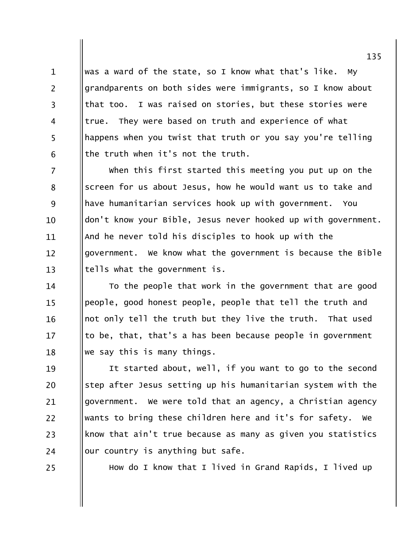was a ward of the state, so I know what that's like. My  $\mathbf{1}$  $\overline{2}$ grandparents on both sides were immigrants, so I know about that too. I was raised on stories, but these stories were  $\overline{3}$ true. They were based on truth and experience of what  $\overline{4}$ 5 happens when you twist that truth or you say you're telling the truth when it's not the truth. 6

 $\overline{7}$ when this first started this meeting you put up on the screen for us about Jesus, how he would want us to take and 8 9 have humanitarian services hook up with government. You don't know your Bible, Jesus never hooked up with government.  $10<sup>1</sup>$ And he never told his disciples to hook up with the 11 government. We know what the government is because the Bible  $12 \overline{ }$ tells what the government is.  $13$ 

To the people that work in the government that are good 14 people, good honest people, people that tell the truth and  $15$ not only tell the truth but they live the truth. That used 16 to be, that, that's a has been because people in government  $17$ we say this is many things. 18

It started about, well, if you want to go to the second 19 step after Jesus setting up his humanitarian system with the 20 government. We were told that an agency, a Christian agency 21 wants to bring these children here and it's for safety. We  $22$ know that ain't true because as many as given you statistics 23 our country is anything but safe. 24

25

How do I know that I lived in Grand Rapids, I lived up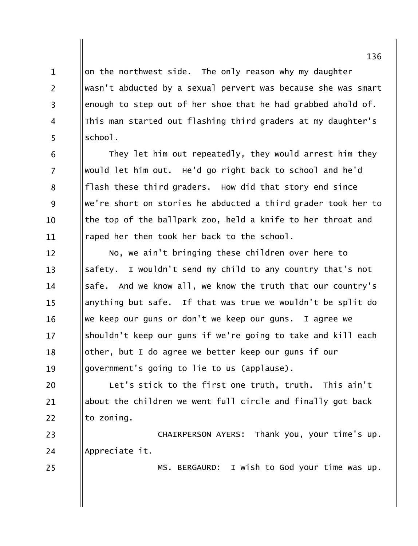on the northwest side. The only reason why my daughter wasn't abducted by a sexual pervert was because she was smart enough to step out of her shoe that he had grabbed ahold of. This man started out flashing third graders at my daughter's school.

 $\mathbf{1}$ 

 $\overline{2}$ 

 $\overline{3}$ 

 $\overline{4}$ 

5

6

 $\overline{7}$ 

8

9

 $10$ 

11

25

They let him out repeatedly, they would arrest him they would let him out. He'd go right back to school and he'd flash these third graders. How did that story end since we're short on stories he abducted a third grader took her to the top of the ballpark zoo, held a knife to her throat and raped her then took her back to the school.

No, we ain't bringing these children over here to  $12 \overline{ }$ safety. I wouldn't send my child to any country that's not  $13$ safe. And we know all, we know the truth that our country's  $14$ anything but safe. If that was true we wouldn't be split do  $15$ we keep our guns or don't we keep our guns. I agree we 16 shouldn't keep our guns if we're going to take and kill each  $17$ other, but I do agree we better keep our guns if our 18 government's going to lie to us (applause). 19

Let's stick to the first one truth, truth. This ain't 20 about the children we went full circle and finally got back 21  $22$ to zoning.

CHAIRPERSON AYERS: Thank you, your time's up. 23 Appreciate it. 24

MS. BERGAURD: I wish to God your time was up.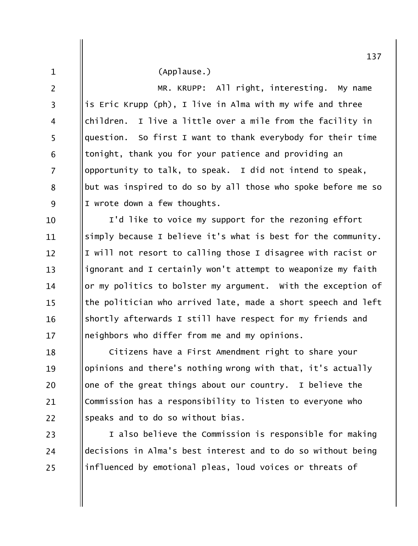(Applause.)

 $\mathbf{1}$ 

 $\overline{2}$ 

 $\overline{3}$ 

 $\overline{4}$ 

5

6

 $\overline{7}$ 

8

9

MR. KRUPP: All right, interesting. My name is Eric Krupp (ph), I live in Alma with my wife and three children. I live a little over a mile from the facility in question. So first I want to thank everybody for their time tonight, thank you for your patience and providing an opportunity to talk, to speak. I did not intend to speak, but was inspired to do so by all those who spoke before me so I wrote down a few thoughts.

I'd like to voice my support for the rezoning effort 10 simply because I believe it's what is best for the community. 11 I will not resort to calling those I disagree with racist or  $12 \overline{ }$ ignorant and I certainly won't attempt to weaponize my faith  $13$ or my politics to bolster my argument. With the exception of 14 the politician who arrived late, made a short speech and left  $15$ shortly afterwards I still have respect for my friends and 16 neighbors who differ from me and my opinions.  $17$ 

Citizens have a First Amendment right to share your 18 opinions and there's nothing wrong with that, it's actually 19 one of the great things about our country. I believe the 20 Commission has a responsibility to listen to everyone who 21 speaks and to do so without bias. 22

I also believe the Commission is responsible for making 23 decisions in Alma's best interest and to do so without being 24 influenced by emotional pleas, loud voices or threats of 25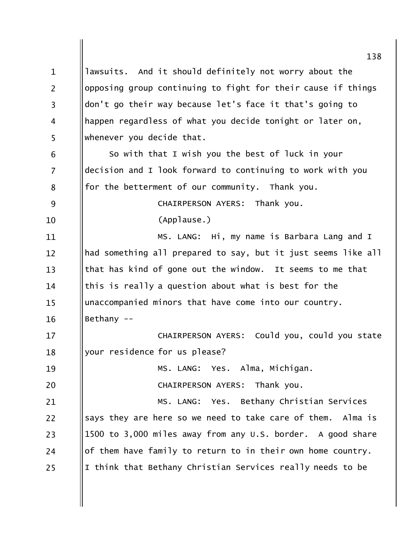138 lawsuits. And it should definitely not worry about the  $\mathbf{1}$  $\overline{2}$ opposing group continuing to fight for their cause if things don't go their way because let's face it that's going to  $\overline{3}$ happen regardless of what you decide tonight or later on,  $\overline{4}$ 5 whenever you decide that. So with that I wish you the best of luck in your 6  $\overline{7}$ decision and I look forward to continuing to work with you for the betterment of our community. Thank you. 8 9 CHAIRPERSON AYERS: Thank you. (Applause.)  $10$ MS. LANG: Hi, my name is Barbara Lang and I 11 had something all prepared to say, but it just seems like all  $12 \overline{ }$  $13$ that has kind of gone out the window. It seems to me that this is really a question about what is best for the 14 unaccompanied minors that have come into our country.  $15$ Bethany --16 CHAIRPERSON AYERS: Could you, could you state  $17$ your residence for us please? 18 MS. LANG: Yes. Alma, Michigan. 19 20 CHAIRPERSON AYERS: Thank you. MS. LANG: Yes. Bethany Christian Services 21 22 says they are here so we need to take care of them. Alma is 1500 to 3,000 miles away from any U.S. border. A good share 23 of them have family to return to in their own home country. 24 I think that Bethany Christian Services really needs to be 25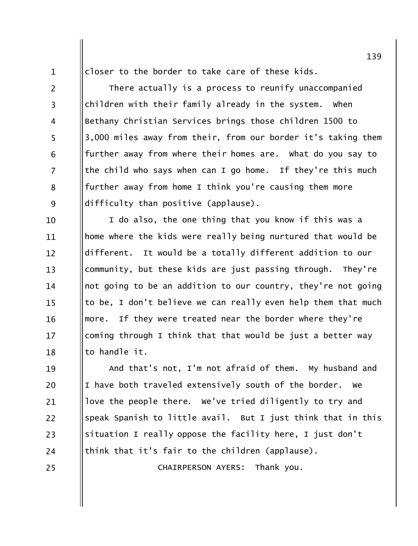closer to the border to take care of these kids.

There actually is a process to reunify unaccompanied children with their family already in the system. when Bethany Christian Services brings those children 1500 to 3,000 miles away from their, from our border it's taking them further away from where their homes are. What do you say to the child who says when can I go home. If they're this much further away from home I think you're causing them more difficulty than positive (applause).

I do also, the one thing that you know if this was a 10 home where the kids were really being nurtured that would be 11 It would be a totally different addition to our different.  $12 \overline{ }$ community, but these kids are just passing through. They're  $13$ not going to be an addition to our country, they're not going 14 to be, I don't believe we can really even help them that much  $15$ more. If they were treated near the border where they're 16 coming through I think that that would be just a better way  $17$ to handle it. 18

And that's not, I'm not afraid of them. My husband and 19 I have both traveled extensively south of the border. We 20 love the people there. We've tried diligently to try and 21 speak Spanish to little avail. But I just think that in this 22 situation I really oppose the facility here, I just don't 23 think that it's fair to the children (applause). 24

25

 $\mathbf{1}$ 

 $\overline{2}$ 

 $\overline{3}$ 

 $\overline{4}$ 

5

6

 $\overline{7}$ 

8

9

CHAIRPERSON AYERS: Thank you.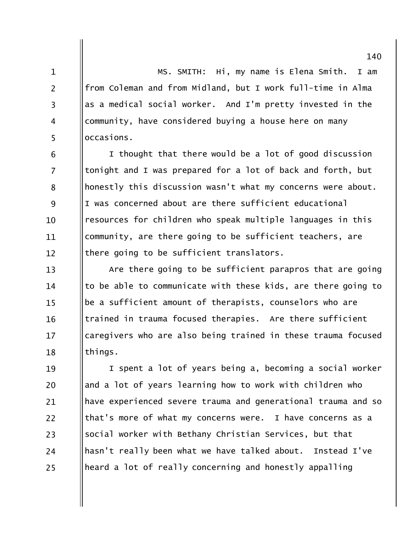MS. SMITH: Hi, my name is Elena Smith. I am from Coleman and from Midland, but I work full-time in Alma as a medical social worker. And I'm pretty invested in the community, have considered buying a house here on many occasions.

 $\mathbf{1}$ 

 $\overline{2}$ 

 $\overline{3}$ 

 $\overline{4}$ 

5

I thought that there would be a lot of good discussion 6  $\overline{7}$ tonight and I was prepared for a lot of back and forth, but honestly this discussion wasn't what my concerns were about. 8 9 I was concerned about are there sufficient educational resources for children who speak multiple languages in this  $10<sup>1</sup>$ community, are there going to be sufficient teachers, are 11 there going to be sufficient translators.  $12 \overline{ }$ 

Are there going to be sufficient parapros that are going  $13$ to be able to communicate with these kids, are there going to 14 be a sufficient amount of therapists, counselors who are  $15$ trained in trauma focused therapies. Are there sufficient 16 caregivers who are also being trained in these trauma focused  $17$ things. 18

I spent a lot of years being a, becoming a social worker 19 and a lot of years learning how to work with children who 20 have experienced severe trauma and generational trauma and so 21 22 that's more of what my concerns were. I have concerns as a social worker with Bethany Christian Services, but that 23 hasn't really been what we have talked about. Instead I've 24 heard a lot of really concerning and honestly appalling 25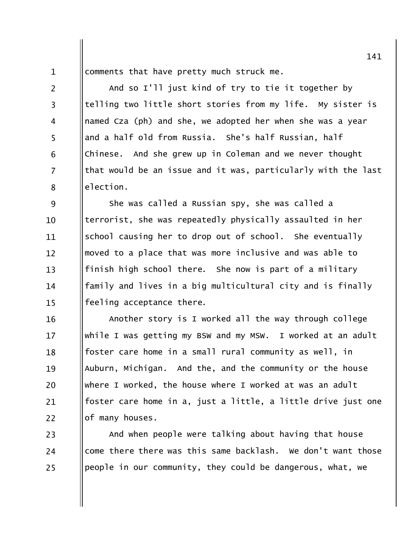comments that have pretty much struck me.

 $\mathbf{1}$ 

 $\overline{2}$ 

 $\overline{3}$ 

 $\overline{4}$ 

5

6

 $\overline{7}$ 

8

And so I'll just kind of try to tie it together by telling two little short stories from my life. My sister is named Cza (ph) and she, we adopted her when she was a year and a half old from Russia. She's half Russian, half Chinese. And she grew up in Coleman and we never thought that would be an issue and it was, particularly with the last election.

9 She was called a Russian spy, she was called a terrorist, she was repeatedly physically assaulted in her  $10$ school causing her to drop out of school. She eventually 11 moved to a place that was more inclusive and was able to  $12 \overline{ }$ finish high school there. She now is part of a military  $13$ family and lives in a big multicultural city and is finally 14 feeling acceptance there.  $15$ 

Another story is I worked all the way through college 16 while I was getting my BSW and my MSW. I worked at an adult  $17$ foster care home in a small rural community as well, in 18 Auburn, Michigan. And the, and the community or the house 19 where I worked, the house where I worked at was an adult 20 foster care home in a, just a little, a little drive just one 21 22 of many houses.

And when people were talking about having that house 23 come there there was this same backlash. We don't want those 24 people in our community, they could be dangerous, what, we 25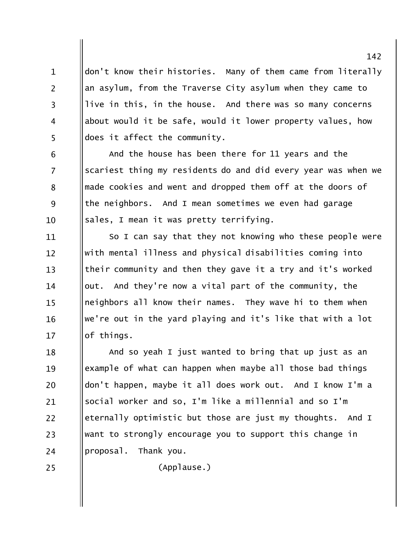don't know their histories. Many of them came from literally  $\mathbf{1}$  $\overline{2}$ an asylum, from the Traverse City asylum when they came to live in this, in the house. And there was so many concerns  $\overline{3}$ about would it be safe, would it lower property values, how  $\overline{4}$ 5 does it affect the community.

And the house has been there for 11 years and the 6  $\overline{7}$ scariest thing my residents do and did every year was when we made cookies and went and dropped them off at the doors of 8 9 the neighbors. And I mean sometimes we even had garage sales, I mean it was pretty terrifying.  $10$ 

So I can say that they not knowing who these people were 11 with mental illness and physical disabilities coming into  $12 \overline{ }$ their community and then they gave it a try and it's worked  $13$ out. And they're now a vital part of the community, the 14 neighbors all know their names. They wave hi to them when  $15$ we're out in the yard playing and it's like that with a lot 16  $17$ of things.

And so yeah I just wanted to bring that up just as an 18 example of what can happen when maybe all those bad things 19 don't happen, maybe it all does work out. And I know I'm a 20 social worker and so, I'm like a millennial and so I'm 21 eternally optimistic but those are just my thoughts. And I 22 want to strongly encourage you to support this change in 23 proposal. Thank you. 24

25

(Applause.)

142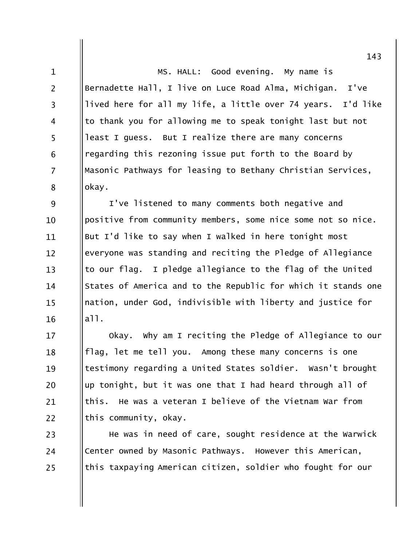MS. HALL: Good evening. My name is Bernadette Hall, I live on Luce Road Alma, Michigan. I've lived here for all my life, a little over 74 years. I'd like to thank you for allowing me to speak tonight last but not least I guess. But I realize there are many concerns regarding this rezoning issue put forth to the Board by Masonic Pathways for leasing to Bethany Christian Services, okay.

 $\mathbf{1}$ 

 $\overline{2}$ 

 $\overline{3}$ 

 $\overline{4}$ 

5

6

 $\overline{7}$ 

8

9 I've listened to many comments both negative and positive from community members, some nice some not so nice.  $10$ But I'd like to say when I walked in here tonight most 11 everyone was standing and reciting the Pledge of Allegiance  $12 \overline{ }$  $13$ to our flag. I pledge allegiance to the flag of the United States of America and to the Republic for which it stands one 14 nation, under God, indivisible with liberty and justice for  $15$  $a11.$ 16

Okay. Why am I reciting the Pledge of Allegiance to our  $17$ flag, let me tell you. Among these many concerns is one 18 testimony regarding a United States soldier. Wasn't brought 19 up tonight, but it was one that I had heard through all of 20 this. He was a veteran I believe of the Vietnam War from 21  $22$ this community, okay.

He was in need of care, sought residence at the Warwick 23 Center owned by Masonic Pathways. However this American, 24 this taxpaying American citizen, soldier who fought for our 25

143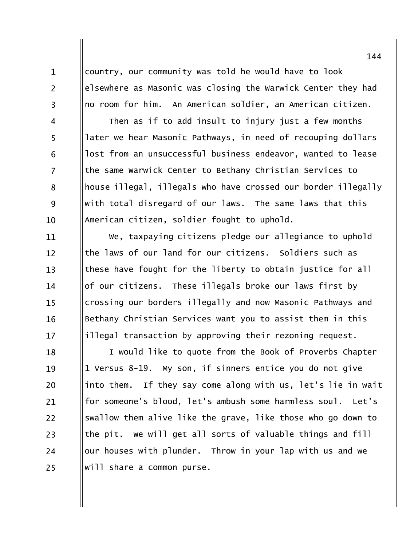$\mathbf{1}$ 

 $\overline{2}$ 

 $\overline{3}$ 

 $\overline{4}$ 

5

6

 $\overline{7}$ 

8

9

 $10$ 

country, our community was told he would have to look elsewhere as Masonic was closing the Warwick Center they had no room for him. An American soldier, an American citizen.

Then as if to add insult to injury just a few months later we hear Masonic Pathways, in need of recouping dollars lost from an unsuccessful business endeavor, wanted to lease the same Warwick Center to Bethany Christian Services to house illegal, illegals who have crossed our border illegally with total disregard of our laws. The same laws that this American citizen, soldier fought to uphold.

We, taxpaying citizens pledge our allegiance to uphold 11 the laws of our land for our citizens. Soldiers such as  $12 \overline{ }$ these have fought for the liberty to obtain justice for all  $13$ of our citizens. These illegals broke our laws first by 14 crossing our borders illegally and now Masonic Pathways and  $15$ Bethany Christian Services want you to assist them in this 16 illegal transaction by approving their rezoning request.  $17$ 

I would like to quote from the Book of Proverbs Chapter 18 1 Versus 8-19. My son, if sinners entice you do not give 19 into them. If they say come along with us, let's lie in wait 20 for someone's blood, let's ambush some harmless soul. Let's 21 22 swallow them alive like the grave, like those who go down to the pit. We will get all sorts of valuable things and fill 23 our houses with plunder. Throw in your lap with us and we 24 will share a common purse. 25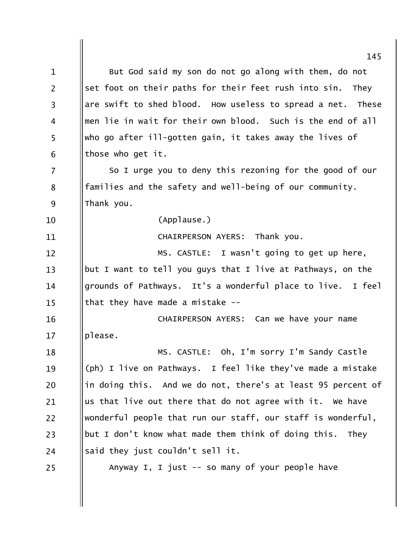|                | 145                                                           |
|----------------|---------------------------------------------------------------|
| $\mathbf{1}$   | But God said my son do not go along with them, do not         |
| $\overline{2}$ | set foot on their paths for their feet rush into sin.<br>They |
| 3              | are swift to shed blood. How useless to spread a net. These   |
| 4              | men lie in wait for their own blood. Such is the end of all   |
| 5              | who go after ill-gotten gain, it takes away the lives of      |
| 6              | those who get it.                                             |
| 7              | So I urge you to deny this rezoning for the good of our       |
| 8              | families and the safety and well-being of our community.      |
| 9              | Thank you.                                                    |
| 10             | (Applause.)                                                   |
| 11             | CHAIRPERSON AYERS: Thank you.                                 |
| 12             | MS. CASTLE: I wasn't going to get up here,                    |
| 13             | but I want to tell you guys that I live at Pathways, on the   |
| 14             | grounds of Pathways. It's a wonderful place to live. I feel   |
| 15             | that they have made a mistake $-$ -                           |
| 16             | CHAIRPERSON AYERS: Can we have your name                      |
| 17             | please.                                                       |
| 18             | MS. CASTLE: Oh, I'm sorry I'm Sandy Castle                    |
| 19             | (ph) I live on Pathways. I feel like they've made a mistake   |
| 20             | in doing this. And we do not, there's at least 95 percent of  |
| 21             | us that live out there that do not agree with it. We have     |
| 22             | wonderful people that run our staff, our staff is wonderful,  |
| 23             | but I don't know what made them think of doing this. They     |
| 24             | said they just couldn't sell it.                              |
| 25             | Anyway I, I just $-$ so many of your people have              |
|                |                                                               |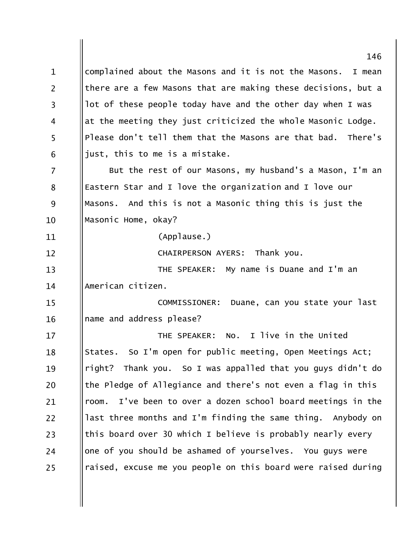146 complained about the Masons and it is not the Masons.  $\mathbf{1}$ I mean  $\overline{2}$ there are a few Masons that are making these decisions, but a lot of these people today have and the other day when I was  $\overline{3}$ at the meeting they just criticized the whole Masonic Lodge.  $\overline{4}$ 5 Please don't tell them that the Masons are that bad. There's just, this to me is a mistake. 6  $\overline{7}$ But the rest of our Masons, my husband's a Mason, I'm an Eastern Star and I love the organization and I love our 8 9 Masons. And this is not a Masonic thing this is just the Masonic Home, okay? 10 (Applause.) 11 Thank you. **CHAIRPERSON AYERS:**  $12 \overline{ }$  $13$ THE SPEAKER: My name is Duane and I'm an American citizen. 14 COMMISSIONER: Duane, can you state your last  $15$ name and address please? 16 I live in the United THE SPEAKER:  $NO.$  $17$ States. So I'm open for public meeting, Open Meetings Act; 18 right? Thank you. So I was appalled that you guys didn't do 19 the Pledge of Allegiance and there's not even a flag in this 20 room. I've been to over a dozen school board meetings in the 21 last three months and I'm finding the same thing. Anybody on 22 this board over 30 which I believe is probably nearly every 23 one of you should be ashamed of yourselves. You guys were 24 raised, excuse me you people on this board were raised during 25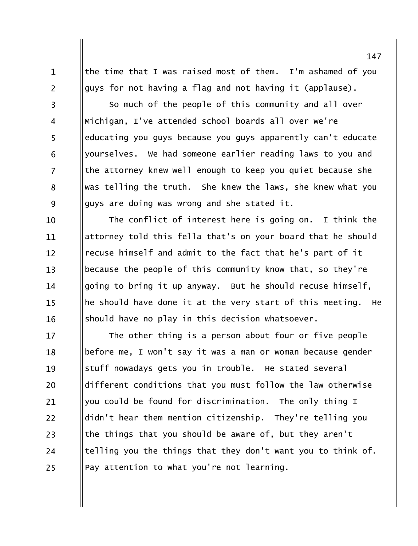the time that I was raised most of them. I'm ashamed of you guys for not having a flag and not having it (applause).

 $\mathbf{1}$ 

 $\overline{2}$ 

 $\overline{3}$ 

 $\overline{4}$ 

5

6

 $\overline{7}$ 

8

9

So much of the people of this community and all over Michigan, I've attended school boards all over we're educating you guys because you guys apparently can't educate yourselves. We had someone earlier reading laws to you and the attorney knew well enough to keep you quiet because she was telling the truth. She knew the laws, she knew what you guys are doing was wrong and she stated it.

The conflict of interest here is going on. I think the 10 attorney told this fella that's on your board that he should 11 recuse himself and admit to the fact that he's part of it  $12 \overline{ }$ because the people of this community know that, so they're  $13$ going to bring it up anyway. But he should recuse himself, 14 he should have done it at the very start of this meeting. He  $15$ should have no play in this decision whatsoever. 16

The other thing is a person about four or five people 17 before me, I won't say it was a man or woman because gender 18 stuff nowadays gets you in trouble. He stated several 19 different conditions that you must follow the law otherwise 20 you could be found for discrimination. The only thing I 21 didn't hear them mention citizenship. They're telling you 22 the things that you should be aware of, but they aren't 23 telling you the things that they don't want you to think of. 24 Pay attention to what you're not learning. 25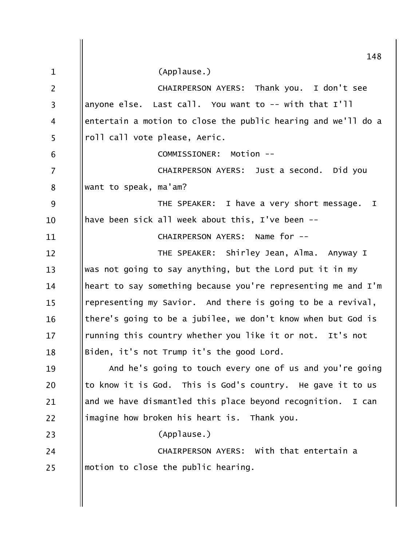|                | 148                                                            |
|----------------|----------------------------------------------------------------|
| $\mathbf{1}$   | (Applause.)                                                    |
|                |                                                                |
| $\overline{2}$ | CHAIRPERSON AYERS: Thank you. I don't see                      |
| $\overline{3}$ | anyone else. Last call. You want to -- with that I'll          |
| 4              | entertain a motion to close the public hearing and we'll do a  |
| 5              | roll call vote please, Aeric.                                  |
| 6              | Motion --<br>COMMISSIONER:                                     |
| 7              | CHAIRPERSON AYERS: Just a second. Did you                      |
| 8              | want to speak, ma'am?                                          |
| 9              | THE SPEAKER: I have a very short message.<br>I                 |
| 10             | have been sick all week about this, I've been --               |
| 11             | CHAIRPERSON AYERS: Name for --                                 |
| 12             | THE SPEAKER: Shirley Jean, Alma. Anyway I                      |
| 13             | was not going to say anything, but the Lord put it in my       |
| 14             | heart to say something because you're representing me and I'm  |
| 15             | representing my Savior. And there is going to be a revival,    |
| 16             | there's going to be a jubilee, we don't know when but God is   |
| 17             | running this country whether you like it or not.<br>It's not   |
| 18             | Biden, it's not Trump it's the good Lord.                      |
| 19             | And he's going to touch every one of us and you're going       |
| 20             | to know it is God. This is God's country. He gave it to us     |
| 21             | and we have dismantled this place beyond recognition.<br>I can |
| 22             | imagine how broken his heart is. Thank you.                    |
| 23             | (Applause.)                                                    |
| 24             | CHAIRPERSON AYERS: With that entertain a                       |
| 25             | motion to close the public hearing.                            |
|                |                                                                |
|                |                                                                |
|                |                                                                |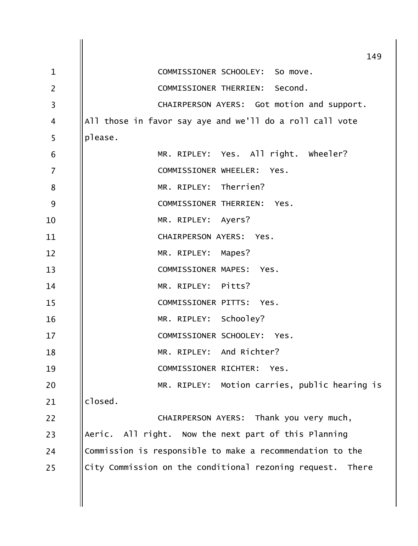|                 | 149                                                        |
|-----------------|------------------------------------------------------------|
| $\mathbf{1}$    | COMMISSIONER SCHOOLEY: So move.                            |
| $\overline{2}$  | COMMISSIONER THERRIEN: Second.                             |
| 3               | CHAIRPERSON AYERS: Got motion and support.                 |
| 4               | All those in favor say aye and we'll do a roll call vote   |
| 5               | please.                                                    |
| $6\phantom{1}6$ | MR. RIPLEY: Yes. All right. Wheeler?                       |
| $\overline{7}$  | COMMISSIONER WHEELER: Yes.                                 |
| 8               | MR. RIPLEY: Therrien?                                      |
| 9               | COMMISSIONER THERRIEN: Yes.                                |
| 10              | MR. RIPLEY: Ayers?                                         |
| 11              | CHAIRPERSON AYERS: Yes.                                    |
| 12              | MR. RIPLEY: Mapes?                                         |
| 13              | COMMISSIONER MAPES: Yes.                                   |
| 14              | MR. RIPLEY: Pitts?                                         |
| 15              | COMMISSIONER PITTS: Yes.                                   |
| 16              | MR. RIPLEY: Schooley?                                      |
| 17              | COMMISSIONER SCHOOLEY: Yes.                                |
| 18              | MR. RIPLEY: And Richter?                                   |
| 19              | COMMISSIONER RICHTER:<br>Yes.                              |
| 20              | MR. RIPLEY: Motion carries, public hearing is              |
| 21              | closed.                                                    |
| 22              | CHAIRPERSON AYERS: Thank you very much,                    |
| 23              | Aeric. All right. Now the next part of this Planning       |
| 24              | Commission is responsible to make a recommendation to the  |
| 25              | City Commission on the conditional rezoning request. There |
|                 |                                                            |
|                 |                                                            |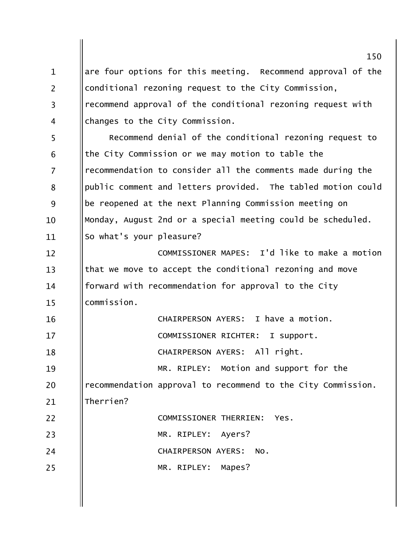are four options for this meeting. Recommend approval of the  $\mathbf{1}$  $\overline{2}$ conditional rezoning request to the City Commission, recommend approval of the conditional rezoning request with  $\overline{3}$ changes to the City Commission.  $\overline{4}$ 5 Recommend denial of the conditional rezoning request to the City Commission or we may motion to table the 6  $\overline{7}$ recommendation to consider all the comments made during the public comment and letters provided. The tabled motion could 8 9 be reopened at the next Planning Commission meeting on Monday, August 2nd or a special meeting could be scheduled.  $10$ So what's your pleasure? 11 COMMISSIONER MAPES: I'd like to make a motion  $12$ that we move to accept the conditional rezoning and move  $13$ forward with recommendation for approval to the City  $14$ commission.  $15$ CHAIRPERSON AYERS: I have a motion. 16  $1.7$ COMMISSIONER RICHTER: I support. CHAIRPERSON AYERS: All right. 18 MR. RIPLEY: Motion and support for the 19 recommendation approval to recommend to the City Commission. 20 Therrien?  $21$  $22$ COMMISSIONER THERRIEN: Yes. MR. RIPLEY: Ayers? 23 24 CHAIRPERSON AYERS: No. MR. RIPLEY: Mapes? 25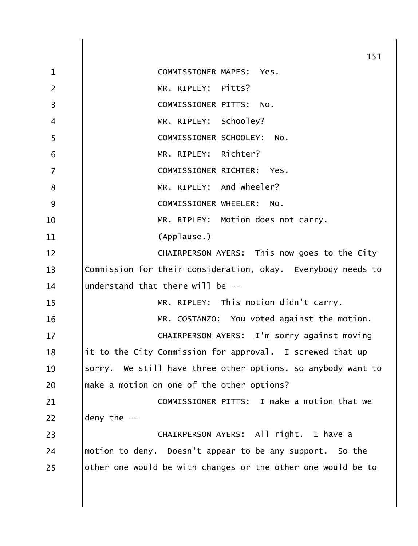| 151                                                          |
|--------------------------------------------------------------|
| COMMISSIONER MAPES: Yes.                                     |
| MR. RIPLEY: Pitts?                                           |
| COMMISSIONER PITTS:<br>NO.                                   |
| MR. RIPLEY: Schooley?                                        |
| COMMISSIONER SCHOOLEY: No.                                   |
| MR. RIPLEY: Richter?                                         |
| COMMISSIONER RICHTER:<br>Yes.                                |
| MR. RIPLEY: And Wheeler?                                     |
| COMMISSIONER WHEELER:<br>NO.                                 |
| MR. RIPLEY: Motion does not carry.                           |
| (Applause.)                                                  |
| CHAIRPERSON AYERS: This now goes to the City                 |
| Commission for their consideration, okay. Everybody needs to |
| understand that there will be --                             |
| MR. RIPLEY: This motion didn't carry.                        |
| MR. COSTANZO: You voted against the motion.                  |
| CHAIRPERSON AYERS: I'm sorry against moving                  |
| it to the City Commission for approval. I screwed that up    |
| sorry. We still have three other options, so anybody want to |
| make a motion on one of the other options?                   |
| COMMISSIONER PITTS: I make a motion that we                  |
| deny the $-$                                                 |
| CHAIRPERSON AYERS: All right. I have a                       |
| motion to deny. Doesn't appear to be any support. So the     |
| other one would be with changes or the other one would be to |
|                                                              |
|                                                              |
|                                                              |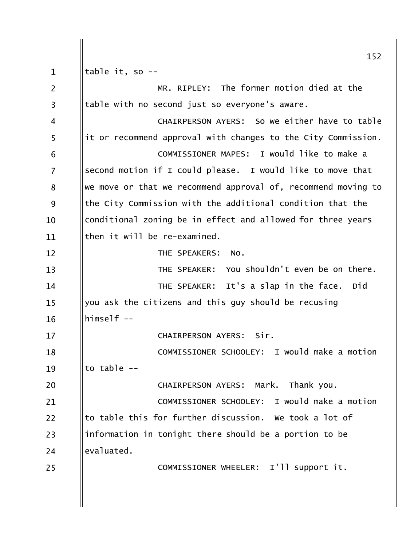152 table it, so -- $\mathbf{1}$  $\overline{2}$ MR. RIPLEY: The former motion died at the table with no second just so everyone's aware.  $\overline{3}$ CHAIRPERSON AYERS: So we either have to table  $\overline{4}$ 5 it or recommend approval with changes to the City Commission. COMMISSIONER MAPES: I would like to make a 6  $\overline{7}$ second motion if I could please. I would like to move that we move or that we recommend approval of, recommend moving to 8 9 the City Commission with the additional condition that the conditional zoning be in effect and allowed for three years 10 then it will be re-examined. 11 THE SPEAKERS: No.  $12$ THE SPEAKER: You shouldn't even be on there.  $13$ THE SPEAKER: It's a slap in the face. Did  $14$ you ask the citizens and this guy should be recusing 15  $himeser1f - -$ 16 CHAIRPERSON AYERS: Sir.  $17$ COMMISSIONER SCHOOLEY: I would make a motion 18 to table  $-$ 19 20 CHAIRPERSON AYERS: Mark. Thank you. COMMISSIONER SCHOOLEY: I would make a motion 21 to table this for further discussion. We took a lot of  $22$ information in tonight there should be a portion to be 23 evaluated. 24 COMMISSIONER WHEELER: I'll support it. 25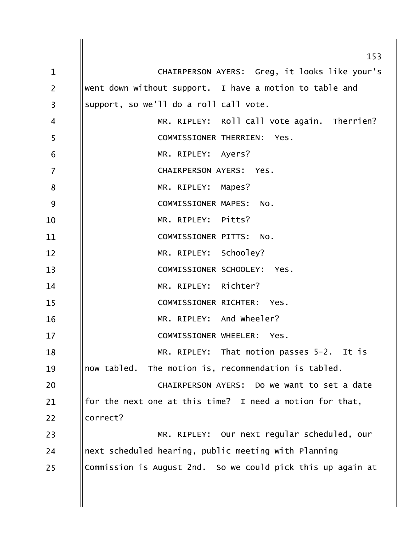|                | 153                                                         |
|----------------|-------------------------------------------------------------|
| $\mathbf{1}$   | CHAIRPERSON AYERS: Greg, it looks like your's               |
| $\overline{2}$ | went down without support. I have a motion to table and     |
| 3              | support, so we'll do a roll call vote.                      |
| 4              | MR. RIPLEY: Roll call vote again. Therrien?                 |
| 5              | COMMISSIONER THERRIEN:<br>Yes.                              |
| 6              | MR. RIPLEY: Ayers?                                          |
| $\overline{7}$ | CHAIRPERSON AYERS: Yes.                                     |
| 8              | MR. RIPLEY: Mapes?                                          |
| 9              | COMMISSIONER MAPES: NO.                                     |
| 10             | MR. RIPLEY: Pitts?                                          |
| 11             | COMMISSIONER PITTS: NO.                                     |
| 12             | MR. RIPLEY: Schooley?                                       |
| 13             | COMMISSIONER SCHOOLEY: Yes.                                 |
| 14             | MR. RIPLEY: Richter?                                        |
| 15             | COMMISSIONER RICHTER: Yes.                                  |
| 16             | MR. RIPLEY: And wheeler?                                    |
| 17             | COMMISSIONER WHEELER:<br>Yes.                               |
| 18             | MR. RIPLEY: That motion passes 5-2. It is                   |
| 19             | now tabled. The motion is, recommendation is tabled.        |
| 20             | CHAIRPERSON AYERS: Do we want to set a date                 |
| 21             | for the next one at this time? I need a motion for that,    |
| 22             | correct?                                                    |
| 23             | MR. RIPLEY: Our next regular scheduled, our                 |
| 24             | next scheduled hearing, public meeting with Planning        |
| 25             | Commission is August 2nd. So we could pick this up again at |
|                |                                                             |
|                |                                                             |
|                |                                                             |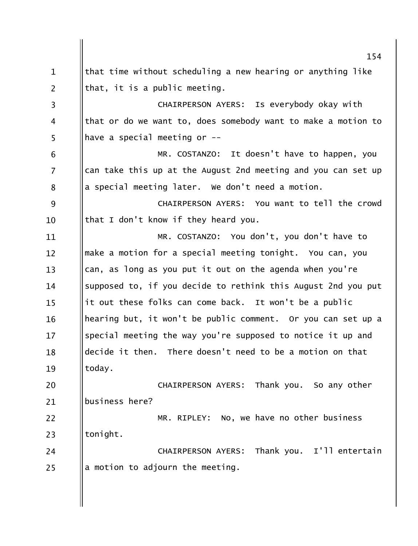154 that time without scheduling a new hearing or anything like  $\mathbf{1}$  $\overline{2}$ that, it is a public meeting. CHAIRPERSON AYERS: Is everybody okay with  $\overline{3}$ that or do we want to, does somebody want to make a motion to  $\overline{4}$ 5 have a special meeting or --MR. COSTANZO: It doesn't have to happen, you 6 can take this up at the August 2nd meeting and you can set up  $\overline{7}$ a special meeting later. We don't need a motion. 8 9 CHAIRPERSON AYERS: You want to tell the crowd that I don't know if they heard you.  $10$ MR. COSTANZO: You don't, you don't have to 11 make a motion for a special meeting tonight. You can, you  $12 \overline{ }$ can, as long as you put it out on the agenda when you're  $13$ supposed to, if you decide to rethink this August 2nd you put 14 it out these folks can come back. It won't be a public  $15$ hearing but, it won't be public comment. Or you can set up a 16 special meeting the way you're supposed to notice it up and  $17$ decide it then. There doesn't need to be a motion on that 18 today. 19 20 CHAIRPERSON AYERS: Thank you. So any other business here?  $21$ 22 MR. RIPLEY: No, we have no other business tonight. 23 CHAIRPERSON AYERS: Thank you. I'll entertain 24 a motion to adjourn the meeting. 25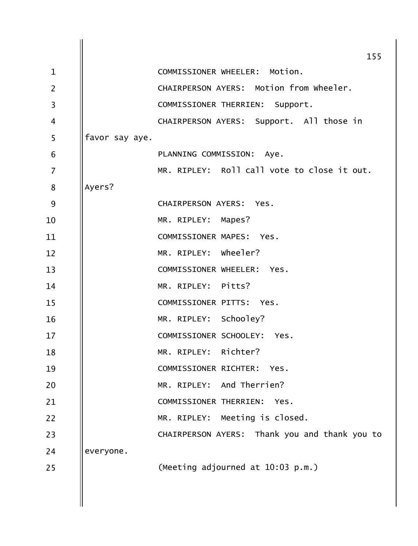| 155                                           |
|-----------------------------------------------|
|                                               |
| CHAIRPERSON AYERS: Motion from wheeler.       |
|                                               |
| CHAIRPERSON AYERS: Support. All those in      |
|                                               |
|                                               |
| MR. RIPLEY: Roll call vote to close it out.   |
|                                               |
|                                               |
|                                               |
|                                               |
|                                               |
|                                               |
|                                               |
|                                               |
|                                               |
|                                               |
|                                               |
|                                               |
|                                               |
|                                               |
|                                               |
| CHAIRPERSON AYERS: Thank you and thank you to |
|                                               |
|                                               |
|                                               |
|                                               |
|                                               |